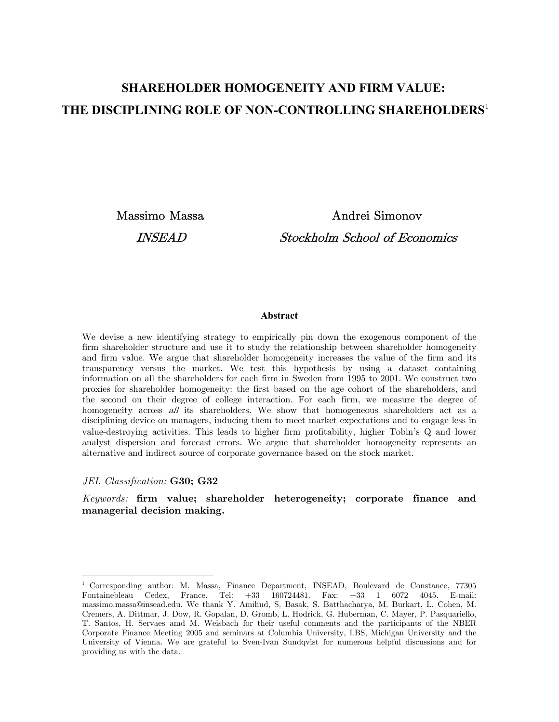# **SHAREHOLDER HOMOGENEITY AND FIRM VALUE: THE DISCIPLINING ROLE OF NON-CONTROLLING SHAREHOLDERS**<sup>1</sup>

 Massimo Massa Andrei Simonov INSEAD Stockholm School of Economics

### **Abstract**

We devise a new identifying strategy to empirically pin down the exogenous component of the firm shareholder structure and use it to study the relationship between shareholder homogeneity and firm value. We argue that shareholder homogeneity increases the value of the firm and its transparency versus the market. We test this hypothesis by using a dataset containing information on all the shareholders for each firm in Sweden from 1995 to 2001. We construct two proxies for shareholder homogeneity: the first based on the age cohort of the shareholders, and the second on their degree of college interaction. For each firm, we measure the degree of homogeneity across all its shareholders. We show that homogeneous shareholders act as a disciplining device on managers, inducing them to meet market expectations and to engage less in value-destroying activities. This leads to higher firm profitability, higher Tobin's Q and lower analyst dispersion and forecast errors. We argue that shareholder homogeneity represents an alternative and indirect source of corporate governance based on the stock market.

#### JEL Classification: G30; G32

 $\overline{a}$ 

Keywords: firm value; shareholder heterogeneity; corporate finance and managerial decision making.

<sup>1</sup> Corresponding author: M. Massa, Finance Department, INSEAD, Boulevard de Constance, 77305 Fontainebleau Cedex, France. Tel: +33 160724481. Fax: +33 1 6072 4045. E-mail: massimo.massa@insead.edu. We thank Y. Amihud, S. Basak, S. Batthacharya, M. Burkart, L. Cohen, M. Cremers, A. Dittmar, J. Dow, R. Gopalan, D. Gromb, L. Hodrick, G. Huberman, C. Mayer, P. Pasquariello, T. Santos, H. Servaes amd M. Weisbach for their useful comments and the participants of the NBER Corporate Finance Meeting 2005 and seminars at Columbia University, LBS, Michigan University and the University of Vienna. We are grateful to Sven-Ivan Sundqvist for numerous helpful discussions and for providing us with the data.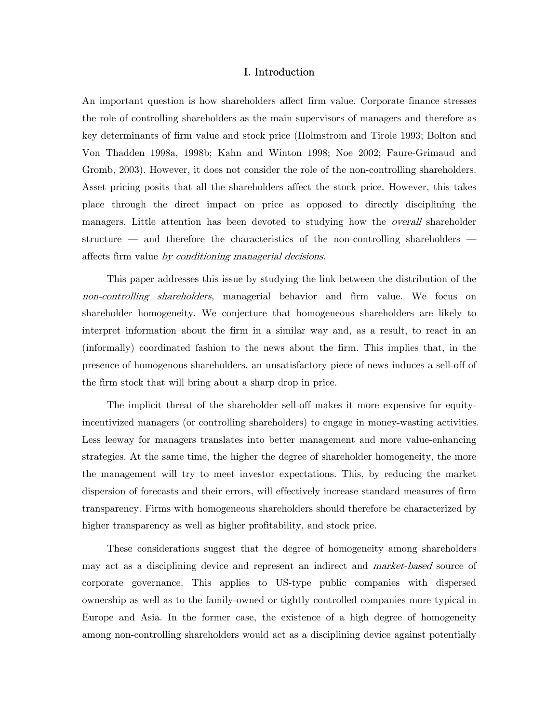### I. Introduction

An important question is how shareholders affect firm value. Corporate finance stresses the role of controlling shareholders as the main supervisors of managers and therefore as key determinants of firm value and stock price (Holmstrom and Tirole 1993; Bolton and Von Thadden 1998a, 1998b; Kahn and Winton 1998; Noe 2002; Faure-Grimaud and Gromb, 2003). However, it does not consider the role of the non-controlling shareholders. Asset pricing posits that all the shareholders affect the stock price. However, this takes place through the direct impact on price as opposed to directly disciplining the managers. Little attention has been devoted to studying how the *overall* shareholder structure – and therefore the characteristics of the non-controlling shareholders – affects firm value by conditioning managerial decisions.

This paper addresses this issue by studying the link between the distribution of the non-controlling shareholders, managerial behavior and firm value. We focus on shareholder homogeneity. We conjecture that homogeneous shareholders are likely to interpret information about the firm in a similar way and, as a result, to react in an (informally) coordinated fashion to the news about the firm. This implies that, in the presence of homogenous shareholders, an unsatisfactory piece of news induces a sell-off of the firm stock that will bring about a sharp drop in price.

The implicit threat of the shareholder sell-off makes it more expensive for equityincentivized managers (or controlling shareholders) to engage in money-wasting activities. Less leeway for managers translates into better management and more value-enhancing strategies. At the same time, the higher the degree of shareholder homogeneity, the more the management will try to meet investor expectations. This, by reducing the market dispersion of forecasts and their errors, will effectively increase standard measures of firm transparency. Firms with homogeneous shareholders should therefore be characterized by higher transparency as well as higher profitability, and stock price.

These considerations suggest that the degree of homogeneity among shareholders may act as a disciplining device and represent an indirect and *market-based* source of corporate governance. This applies to US-type public companies with dispersed ownership as well as to the family-owned or tightly controlled companies more typical in Europe and Asia. In the former case, the existence of a high degree of homogeneity among non-controlling shareholders would act as a disciplining device against potentially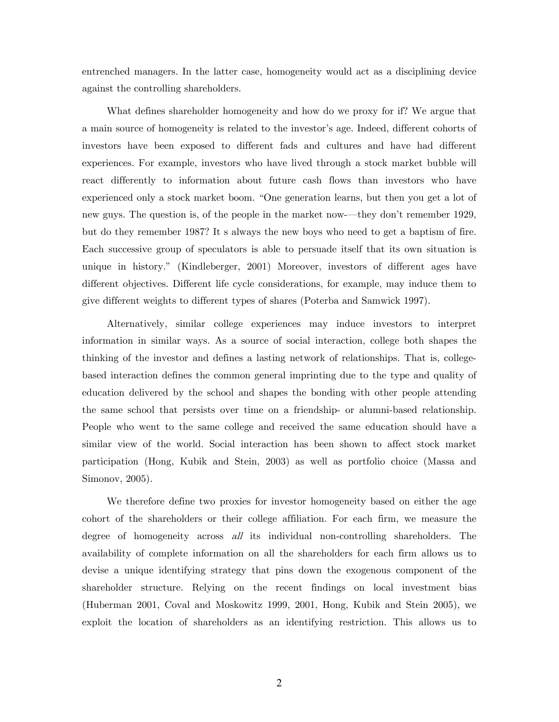entrenched managers. In the latter case, homogeneity would act as a disciplining device against the controlling shareholders.

What defines shareholder homogeneity and how do we proxy for if? We argue that a main source of homogeneity is related to the investor's age. Indeed, different cohorts of investors have been exposed to different fads and cultures and have had different experiences. For example, investors who have lived through a stock market bubble will react differently to information about future cash flows than investors who have experienced only a stock market boom. "One generation learns, but then you get a lot of new guys. The question is, of the people in the market now-–they don't remember 1929, but do they remember 1987? It s always the new boys who need to get a baptism of fire. Each successive group of speculators is able to persuade itself that its own situation is unique in history." (Kindleberger, 2001) Moreover, investors of different ages have different objectives. Different life cycle considerations, for example, may induce them to give different weights to different types of shares (Poterba and Samwick 1997).

Alternatively, similar college experiences may induce investors to interpret information in similar ways. As a source of social interaction, college both shapes the thinking of the investor and defines a lasting network of relationships. That is, collegebased interaction defines the common general imprinting due to the type and quality of education delivered by the school and shapes the bonding with other people attending the same school that persists over time on a friendship- or alumni-based relationship. People who went to the same college and received the same education should have a similar view of the world. Social interaction has been shown to affect stock market participation (Hong, Kubik and Stein, 2003) as well as portfolio choice (Massa and Simonov, 2005).

We therefore define two proxies for investor homogeneity based on either the age cohort of the shareholders or their college affiliation. For each firm, we measure the degree of homogeneity across all its individual non-controlling shareholders. The availability of complete information on all the shareholders for each firm allows us to devise a unique identifying strategy that pins down the exogenous component of the shareholder structure. Relying on the recent findings on local investment bias (Huberman 2001, Coval and Moskowitz 1999, 2001, Hong, Kubik and Stein 2005), we exploit the location of shareholders as an identifying restriction. This allows us to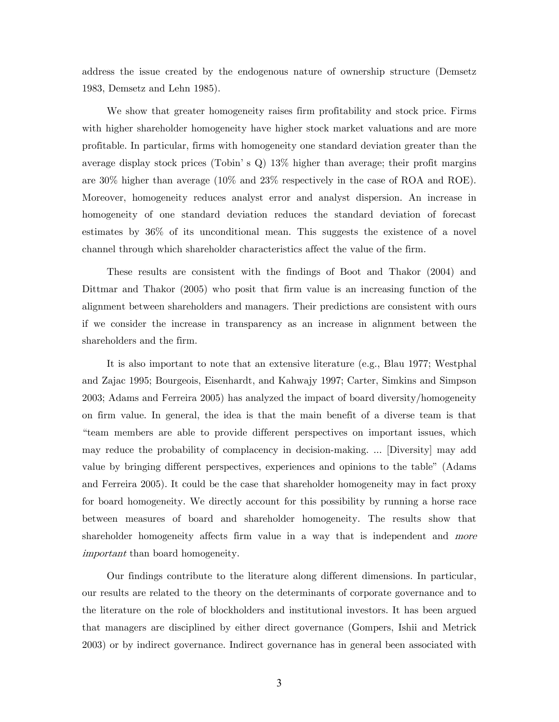address the issue created by the endogenous nature of ownership structure (Demsetz 1983, Demsetz and Lehn 1985).

We show that greater homogeneity raises firm profitability and stock price. Firms with higher shareholder homogeneity have higher stock market valuations and are more profitable. In particular, firms with homogeneity one standard deviation greater than the average display stock prices (Tobin's  $Q$ ) 13% higher than average; their profit margins are 30% higher than average (10% and 23% respectively in the case of ROA and ROE). Moreover, homogeneity reduces analyst error and analyst dispersion. An increase in homogeneity of one standard deviation reduces the standard deviation of forecast estimates by 36% of its unconditional mean. This suggests the existence of a novel channel through which shareholder characteristics affect the value of the firm.

These results are consistent with the findings of Boot and Thakor (2004) and Dittmar and Thakor (2005) who posit that firm value is an increasing function of the alignment between shareholders and managers. Their predictions are consistent with ours if we consider the increase in transparency as an increase in alignment between the shareholders and the firm.

It is also important to note that an extensive literature (e.g., Blau 1977; Westphal and Zajac 1995; Bourgeois, Eisenhardt, and Kahwajy 1997; Carter, Simkins and Simpson 2003; Adams and Ferreira 2005) has analyzed the impact of board diversity/homogeneity on firm value. In general, the idea is that the main benefit of a diverse team is that "team members are able to provide different perspectives on important issues, which may reduce the probability of complacency in decision-making. ... [Diversity] may add value by bringing different perspectives, experiences and opinions to the table" (Adams and Ferreira 2005). It could be the case that shareholder homogeneity may in fact proxy for board homogeneity. We directly account for this possibility by running a horse race between measures of board and shareholder homogeneity. The results show that shareholder homogeneity affects firm value in a way that is independent and *more* important than board homogeneity.

Our findings contribute to the literature along different dimensions. In particular, our results are related to the theory on the determinants of corporate governance and to the literature on the role of blockholders and institutional investors. It has been argued that managers are disciplined by either direct governance (Gompers, Ishii and Metrick 2003) or by indirect governance. Indirect governance has in general been associated with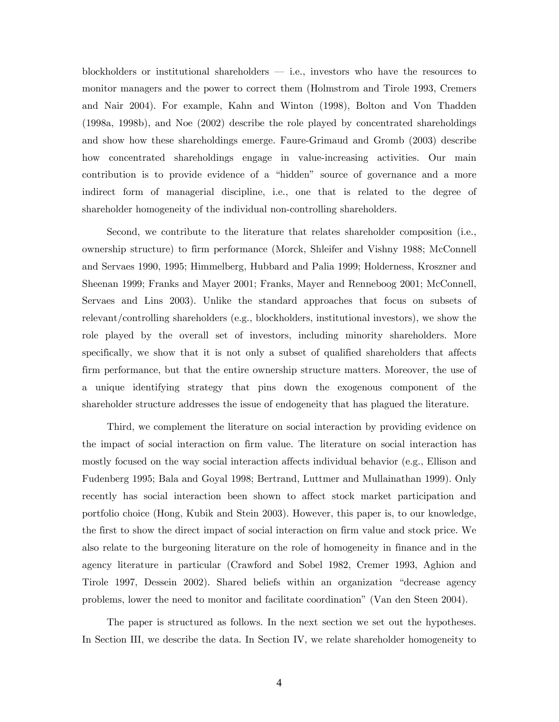blockholders or institutional shareholders  $-$  i.e., investors who have the resources to monitor managers and the power to correct them (Holmstrom and Tirole 1993, Cremers and Nair 2004). For example, Kahn and Winton (1998), Bolton and Von Thadden (1998a, 1998b), and Noe (2002) describe the role played by concentrated shareholdings and show how these shareholdings emerge. Faure-Grimaud and Gromb (2003) describe how concentrated shareholdings engage in value-increasing activities. Our main contribution is to provide evidence of a "hidden" source of governance and a more indirect form of managerial discipline, i.e., one that is related to the degree of shareholder homogeneity of the individual non-controlling shareholders.

Second, we contribute to the literature that relates shareholder composition (i.e., ownership structure) to firm performance (Morck, Shleifer and Vishny 1988; McConnell and Servaes 1990, 1995; Himmelberg, Hubbard and Palia 1999; Holderness, Kroszner and Sheenan 1999; Franks and Mayer 2001; Franks, Mayer and Renneboog 2001; McConnell, Servaes and Lins 2003). Unlike the standard approaches that focus on subsets of relevant/controlling shareholders (e.g., blockholders, institutional investors), we show the role played by the overall set of investors, including minority shareholders. More specifically, we show that it is not only a subset of qualified shareholders that affects firm performance, but that the entire ownership structure matters. Moreover, the use of a unique identifying strategy that pins down the exogenous component of the shareholder structure addresses the issue of endogeneity that has plagued the literature.

Third, we complement the literature on social interaction by providing evidence on the impact of social interaction on firm value. The literature on social interaction has mostly focused on the way social interaction affects individual behavior (e.g., Ellison and Fudenberg 1995; Bala and Goyal 1998; Bertrand, Luttmer and Mullainathan 1999). Only recently has social interaction been shown to affect stock market participation and portfolio choice (Hong, Kubik and Stein 2003). However, this paper is, to our knowledge, the first to show the direct impact of social interaction on firm value and stock price. We also relate to the burgeoning literature on the role of homogeneity in finance and in the agency literature in particular (Crawford and Sobel 1982, Cremer 1993, Aghion and Tirole 1997, Dessein 2002). Shared beliefs within an organization "decrease agency problems, lower the need to monitor and facilitate coordination" (Van den Steen 2004).

The paper is structured as follows. In the next section we set out the hypotheses. In Section III, we describe the data. In Section IV, we relate shareholder homogeneity to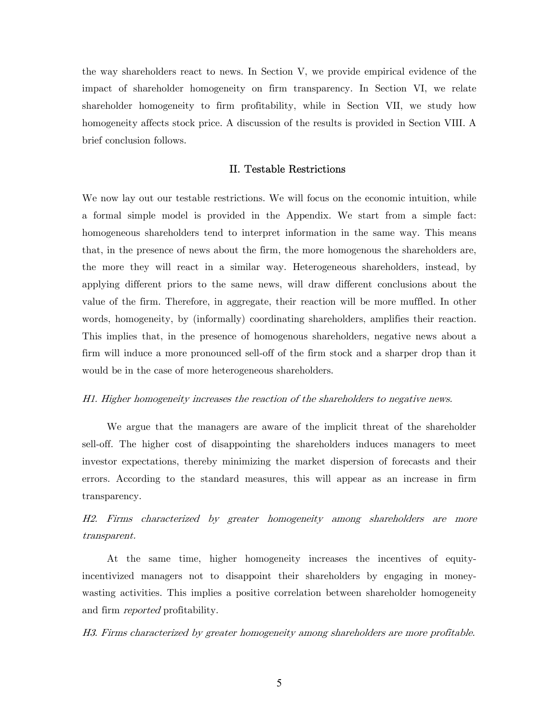the way shareholders react to news. In Section V, we provide empirical evidence of the impact of shareholder homogeneity on firm transparency. In Section VI, we relate shareholder homogeneity to firm profitability, while in Section VII, we study how homogeneity affects stock price. A discussion of the results is provided in Section VIII. A brief conclusion follows.

### II. Testable Restrictions

We now lay out our testable restrictions. We will focus on the economic intuition, while a formal simple model is provided in the Appendix. We start from a simple fact: homogeneous shareholders tend to interpret information in the same way. This means that, in the presence of news about the firm, the more homogenous the shareholders are, the more they will react in a similar way. Heterogeneous shareholders, instead, by applying different priors to the same news, will draw different conclusions about the value of the firm. Therefore, in aggregate, their reaction will be more muffled. In other words, homogeneity, by (informally) coordinating shareholders, amplifies their reaction. This implies that, in the presence of homogenous shareholders, negative news about a firm will induce a more pronounced sell-off of the firm stock and a sharper drop than it would be in the case of more heterogeneous shareholders.

#### H1. Higher homogeneity increases the reaction of the shareholders to negative news.

We argue that the managers are aware of the implicit threat of the shareholder sell-off. The higher cost of disappointing the shareholders induces managers to meet investor expectations, thereby minimizing the market dispersion of forecasts and their errors. According to the standard measures, this will appear as an increase in firm transparency.

# H2. Firms characterized by greater homogeneity among shareholders are more transparent.

At the same time, higher homogeneity increases the incentives of equityincentivized managers not to disappoint their shareholders by engaging in moneywasting activities. This implies a positive correlation between shareholder homogeneity and firm *reported* profitability.

H3. Firms characterized by greater homogeneity among shareholders are more profitable.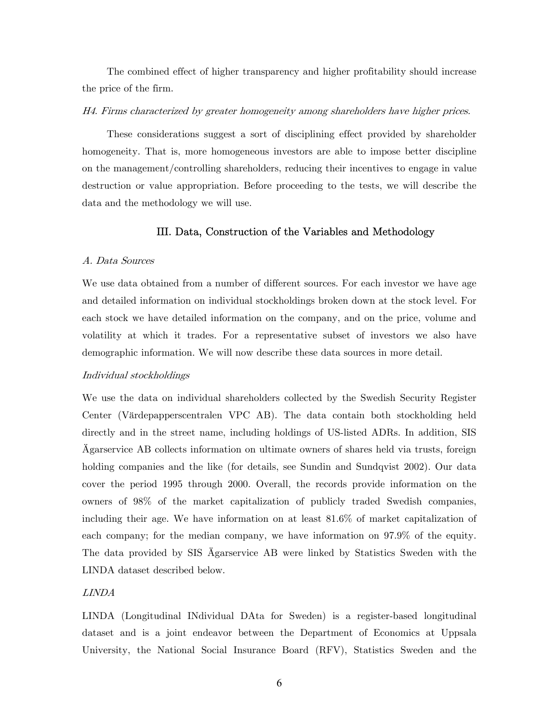The combined effect of higher transparency and higher profitability should increase the price of the firm.

### H4. Firms characterized by greater homogeneity among shareholders have higher prices.

These considerations suggest a sort of disciplining effect provided by shareholder homogeneity. That is, more homogeneous investors are able to impose better discipline on the management/controlling shareholders, reducing their incentives to engage in value destruction or value appropriation. Before proceeding to the tests, we will describe the data and the methodology we will use.

## III. Data, Construction of the Variables and Methodology

#### A. Data Sources

We use data obtained from a number of different sources. For each investor we have age and detailed information on individual stockholdings broken down at the stock level. For each stock we have detailed information on the company, and on the price, volume and volatility at which it trades. For a representative subset of investors we also have demographic information. We will now describe these data sources in more detail.

#### Individual stockholdings

We use the data on individual shareholders collected by the Swedish Security Register Center (Värdepapperscentralen VPC AB). The data contain both stockholding held directly and in the street name, including holdings of US-listed ADRs. In addition, SIS Ägarservice AB collects information on ultimate owners of shares held via trusts, foreign holding companies and the like (for details, see Sundin and Sundqvist 2002). Our data cover the period 1995 through 2000. Overall, the records provide information on the owners of 98% of the market capitalization of publicly traded Swedish companies, including their age. We have information on at least 81.6% of market capitalization of each company; for the median company, we have information on 97.9% of the equity. The data provided by SIS Ägarservice AB were linked by Statistics Sweden with the LINDA dataset described below.

### LINDA

LINDA (Longitudinal INdividual DAta for Sweden) is a register-based longitudinal dataset and is a joint endeavor between the Department of Economics at Uppsala University, the National Social Insurance Board (RFV), Statistics Sweden and the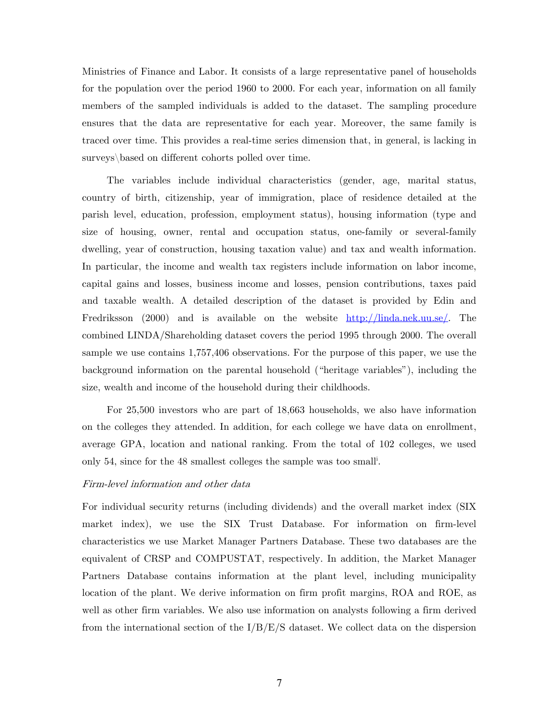Ministries of Finance and Labor. It consists of a large representative panel of households for the population over the period 1960 to 2000. For each year, information on all family members of the sampled individuals is added to the dataset. The sampling procedure ensures that the data are representative for each year. Moreover, the same family is traced over time. This provides a real-time series dimension that, in general, is lacking in surveys\based on different cohorts polled over time.

The variables include individual characteristics (gender, age, marital status, country of birth, citizenship, year of immigration, place of residence detailed at the parish level, education, profession, employment status), housing information (type and size of housing, owner, rental and occupation status, one-family or several-family dwelling, year of construction, housing taxation value) and tax and wealth information. In particular, the income and wealth tax registers include information on labor income, capital gains and losses, business income and losses, pension contributions, taxes paid and taxable wealth. A detailed description of the dataset is provided by Edin and Fredriksson (2000) and is available on the website http://linda.nek.uu.se/. The combined LINDA/Shareholding dataset covers the period 1995 through 2000. The overall sample we use contains 1,757,406 observations. For the purpose of this paper, we use the background information on the parental household ("heritage variables"), including the size, wealth and income of the household during their childhoods.

For 25,500 investors who are part of 18,663 households, we also have information on the colleges they attended. In addition, for each college we have data on enrollment, average GPA, location and national ranking. From the total of 102 colleges, we used only 54, since for the 48 smallest colleges the sample was too small<sup>i</sup>.

#### Firm-level information and other data

For individual security returns (including dividends) and the overall market index (SIX market index), we use the SIX Trust Database. For information on firm-level characteristics we use Market Manager Partners Database. These two databases are the equivalent of CRSP and COMPUSTAT, respectively. In addition, the Market Manager Partners Database contains information at the plant level, including municipality location of the plant. We derive information on firm profit margins, ROA and ROE, as well as other firm variables. We also use information on analysts following a firm derived from the international section of the  $I/B/E/S$  dataset. We collect data on the dispersion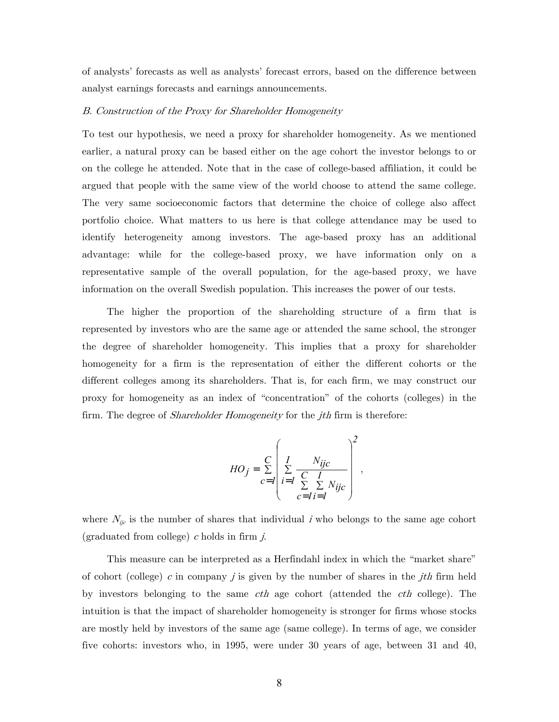of analysts' forecasts as well as analysts' forecast errors, based on the difference between analyst earnings forecasts and earnings announcements.

#### B. Construction of the Proxy for Shareholder Homogeneity

To test our hypothesis, we need a proxy for shareholder homogeneity. As we mentioned earlier, a natural proxy can be based either on the age cohort the investor belongs to or on the college he attended. Note that in the case of college-based affiliation, it could be argued that people with the same view of the world choose to attend the same college. The very same socioeconomic factors that determine the choice of college also affect portfolio choice. What matters to us here is that college attendance may be used to identify heterogeneity among investors. The age-based proxy has an additional advantage: while for the college-based proxy, we have information only on a representative sample of the overall population, for the age-based proxy, we have information on the overall Swedish population. This increases the power of our tests.

The higher the proportion of the shareholding structure of a firm that is represented by investors who are the same age or attended the same school, the stronger the degree of shareholder homogeneity. This implies that a proxy for shareholder homogeneity for a firm is the representation of either the different cohorts or the different colleges among its shareholders. That is, for each firm, we may construct our proxy for homogeneity as an index of "concentration" of the cohorts (colleges) in the firm. The degree of *Shareholder Homogeneity* for the *jth* firm is therefore:

$$
HO_j = \sum_{c=I}^{C} \left( \sum_{i=I}^{I} \frac{N_{ijc}}{\sum_{c=I}^{C} \sum_{i=I}^{I} N_{ijc}} \right)^2,
$$

where  $N_{ijc}$  is the number of shares that individual i who belongs to the same age cohort (graduated from college)  $c$  holds in firm  $j$ .

This measure can be interpreted as a Herfindahl index in which the "market share" of cohort (college) c in company j is given by the number of shares in the jth firm held by investors belonging to the same *cth* age cohort (attended the *cth* college). The intuition is that the impact of shareholder homogeneity is stronger for firms whose stocks are mostly held by investors of the same age (same college). In terms of age, we consider five cohorts: investors who, in 1995, were under 30 years of age, between 31 and 40,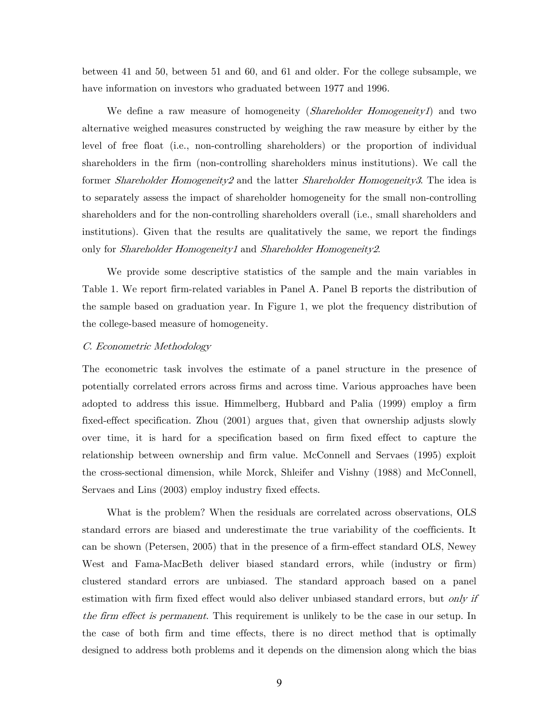between 41 and 50, between 51 and 60, and 61 and older. For the college subsample, we have information on investors who graduated between 1977 and 1996.

We define a raw measure of homogeneity (*Shareholder Homogeneity1*) and two alternative weighed measures constructed by weighing the raw measure by either by the level of free float (i.e., non-controlling shareholders) or the proportion of individual shareholders in the firm (non-controlling shareholders minus institutions). We call the former Shareholder Homogeneity2 and the latter Shareholder Homogeneity3. The idea is to separately assess the impact of shareholder homogeneity for the small non-controlling shareholders and for the non-controlling shareholders overall (i.e., small shareholders and institutions). Given that the results are qualitatively the same, we report the findings only for *Shareholder Homogeneity1* and *Shareholder Homogeneity2*.

We provide some descriptive statistics of the sample and the main variables in Table 1. We report firm-related variables in Panel A. Panel B reports the distribution of the sample based on graduation year. In Figure 1, we plot the frequency distribution of the college-based measure of homogeneity.

#### C. Econometric Methodology

The econometric task involves the estimate of a panel structure in the presence of potentially correlated errors across firms and across time. Various approaches have been adopted to address this issue. Himmelberg, Hubbard and Palia (1999) employ a firm fixed-effect specification. Zhou (2001) argues that, given that ownership adjusts slowly over time, it is hard for a specification based on firm fixed effect to capture the relationship between ownership and firm value. McConnell and Servaes (1995) exploit the cross-sectional dimension, while Morck, Shleifer and Vishny (1988) and McConnell, Servaes and Lins (2003) employ industry fixed effects.

What is the problem? When the residuals are correlated across observations, OLS standard errors are biased and underestimate the true variability of the coefficients. It can be shown (Petersen, 2005) that in the presence of a firm-effect standard OLS, Newey West and Fama-MacBeth deliver biased standard errors, while (industry or firm) clustered standard errors are unbiased. The standard approach based on a panel estimation with firm fixed effect would also deliver unbiased standard errors, but *only if* the firm effect is permanent. This requirement is unlikely to be the case in our setup. In the case of both firm and time effects, there is no direct method that is optimally designed to address both problems and it depends on the dimension along which the bias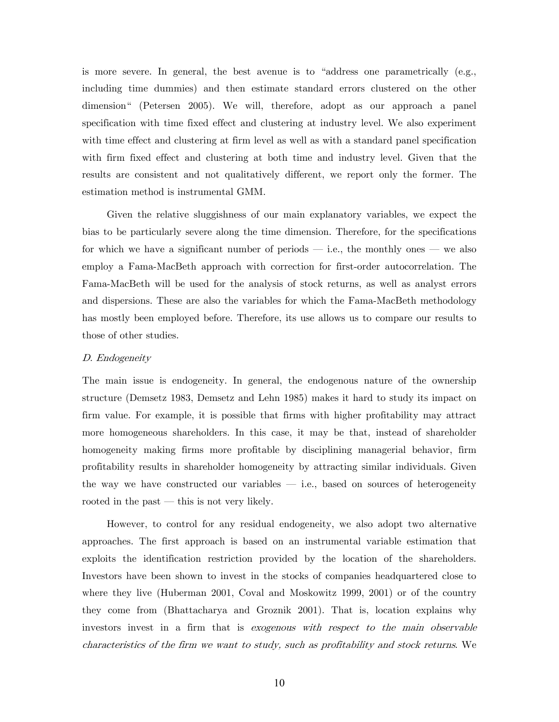is more severe. In general, the best avenue is to "address one parametrically (e.g., including time dummies) and then estimate standard errors clustered on the other dimension" (Petersen 2005). We will, therefore, adopt as our approach a panel specification with time fixed effect and clustering at industry level. We also experiment with time effect and clustering at firm level as well as with a standard panel specification with firm fixed effect and clustering at both time and industry level. Given that the results are consistent and not qualitatively different, we report only the former. The estimation method is instrumental GMM.

Given the relative sluggishness of our main explanatory variables, we expect the bias to be particularly severe along the time dimension. Therefore, for the specifications for which we have a significant number of periods – i.e., the monthly ones – we also employ a Fama-MacBeth approach with correction for first-order autocorrelation. The Fama-MacBeth will be used for the analysis of stock returns, as well as analyst errors and dispersions. These are also the variables for which the Fama-MacBeth methodology has mostly been employed before. Therefore, its use allows us to compare our results to those of other studies.

#### D. Endogeneity

The main issue is endogeneity. In general, the endogenous nature of the ownership structure (Demsetz 1983, Demsetz and Lehn 1985) makes it hard to study its impact on firm value. For example, it is possible that firms with higher profitability may attract more homogeneous shareholders. In this case, it may be that, instead of shareholder homogeneity making firms more profitable by disciplining managerial behavior, firm profitability results in shareholder homogeneity by attracting similar individuals. Given the way we have constructed our variables  $-$  i.e., based on sources of heterogeneity rooted in the past — this is not very likely.

However, to control for any residual endogeneity, we also adopt two alternative approaches. The first approach is based on an instrumental variable estimation that exploits the identification restriction provided by the location of the shareholders. Investors have been shown to invest in the stocks of companies headquartered close to where they live (Huberman 2001, Coval and Moskowitz 1999, 2001) or of the country they come from (Bhattacharya and Groznik 2001). That is, location explains why investors invest in a firm that is exogenous with respect to the main observable characteristics of the firm we want to study, such as profitability and stock returns. We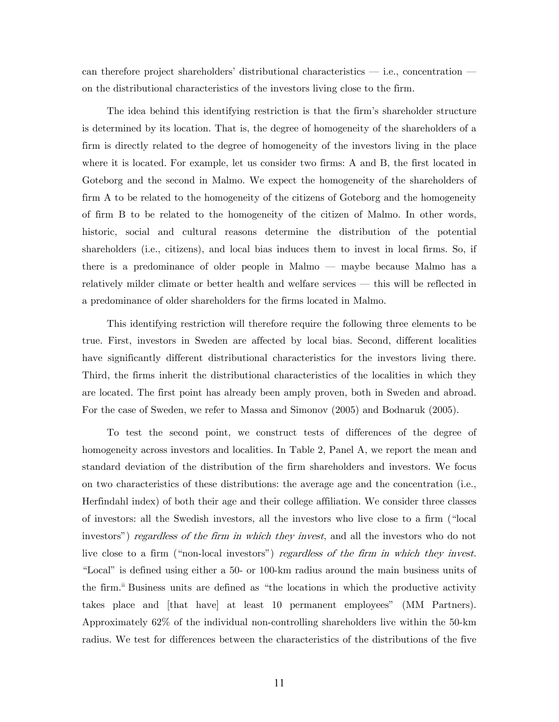can therefore project shareholders' distributional characteristics – i.e., concentration – on the distributional characteristics of the investors living close to the firm.

The idea behind this identifying restriction is that the firm's shareholder structure is determined by its location. That is, the degree of homogeneity of the shareholders of a firm is directly related to the degree of homogeneity of the investors living in the place where it is located. For example, let us consider two firms: A and B, the first located in Goteborg and the second in Malmo. We expect the homogeneity of the shareholders of firm A to be related to the homogeneity of the citizens of Goteborg and the homogeneity of firm B to be related to the homogeneity of the citizen of Malmo. In other words, historic, social and cultural reasons determine the distribution of the potential shareholders (i.e., citizens), and local bias induces them to invest in local firms. So, if there is a predominance of older people in Malmo – maybe because Malmo has a relatively milder climate or better health and welfare services – this will be reflected in a predominance of older shareholders for the firms located in Malmo.

This identifying restriction will therefore require the following three elements to be true. First, investors in Sweden are affected by local bias. Second, different localities have significantly different distributional characteristics for the investors living there. Third, the firms inherit the distributional characteristics of the localities in which they are located. The first point has already been amply proven, both in Sweden and abroad. For the case of Sweden, we refer to Massa and Simonov (2005) and Bodnaruk (2005).

To test the second point, we construct tests of differences of the degree of homogeneity across investors and localities. In Table 2, Panel A, we report the mean and standard deviation of the distribution of the firm shareholders and investors. We focus on two characteristics of these distributions: the average age and the concentration (i.e., Herfindahl index) of both their age and their college affiliation. We consider three classes of investors: all the Swedish investors, all the investors who live close to a firm ("local investors") *regardless of the firm in which they invest*, and all the investors who do not live close to a firm ("non-local investors") regardless of the firm in which they invest. "Local" is defined using either a 50- or 100-km radius around the main business units of the firm.<sup>ii</sup> Business units are defined as "the locations in which the productive activity takes place and [that have] at least 10 permanent employees" (MM Partners). Approximately 62% of the individual non-controlling shareholders live within the 50-km radius. We test for differences between the characteristics of the distributions of the five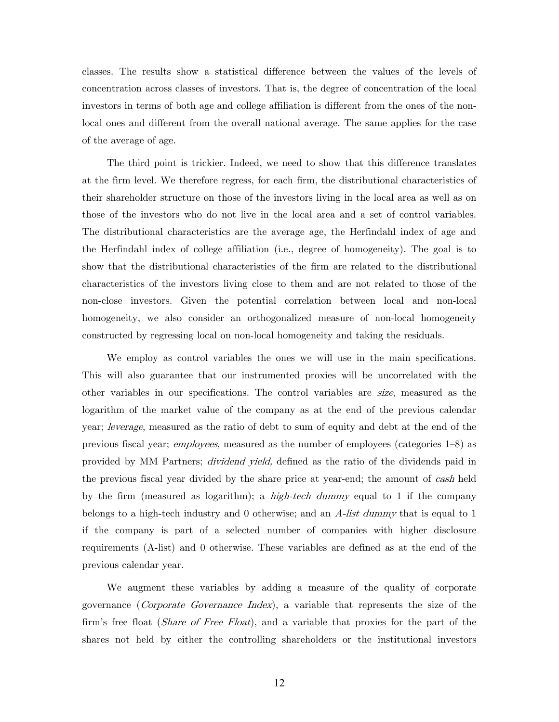classes. The results show a statistical difference between the values of the levels of concentration across classes of investors. That is, the degree of concentration of the local investors in terms of both age and college affiliation is different from the ones of the nonlocal ones and different from the overall national average. The same applies for the case of the average of age.

The third point is trickier. Indeed, we need to show that this difference translates at the firm level. We therefore regress, for each firm, the distributional characteristics of their shareholder structure on those of the investors living in the local area as well as on those of the investors who do not live in the local area and a set of control variables. The distributional characteristics are the average age, the Herfindahl index of age and the Herfindahl index of college affiliation (i.e., degree of homogeneity). The goal is to show that the distributional characteristics of the firm are related to the distributional characteristics of the investors living close to them and are not related to those of the non-close investors. Given the potential correlation between local and non-local homogeneity, we also consider an orthogonalized measure of non-local homogeneity constructed by regressing local on non-local homogeneity and taking the residuals.

We employ as control variables the ones we will use in the main specifications. This will also guarantee that our instrumented proxies will be uncorrelated with the other variables in our specifications. The control variables are size, measured as the logarithm of the market value of the company as at the end of the previous calendar year; leverage, measured as the ratio of debt to sum of equity and debt at the end of the previous fiscal year; employees, measured as the number of employees (categories 1—8) as provided by MM Partners; dividend yield, defined as the ratio of the dividends paid in the previous fiscal year divided by the share price at year-end; the amount of cash held by the firm (measured as logarithm); a *high-tech dummy* equal to 1 if the company belongs to a high-tech industry and 0 otherwise; and an  $A$ -list dummy that is equal to 1 if the company is part of a selected number of companies with higher disclosure requirements (A-list) and 0 otherwise. These variables are defined as at the end of the previous calendar year.

We augment these variables by adding a measure of the quality of corporate governance (Corporate Governance Index), a variable that represents the size of the firm's free float *(Share of Free Float)*, and a variable that proxies for the part of the shares not held by either the controlling shareholders or the institutional investors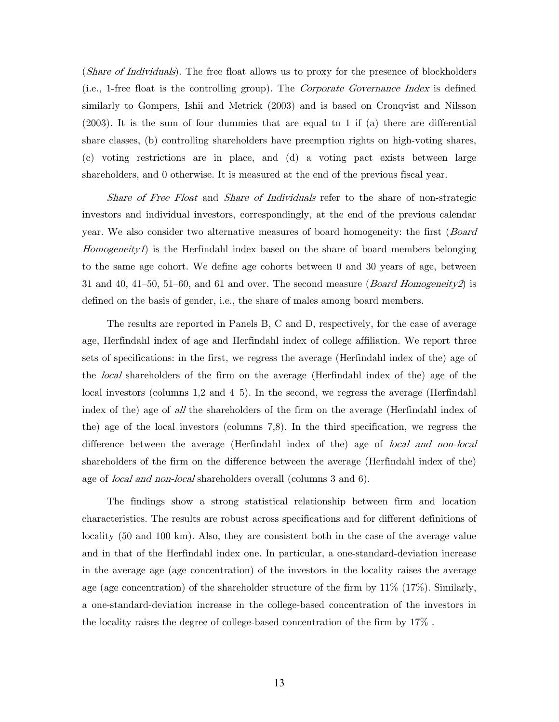(*Share of Individuals*). The free float allows us to proxy for the presence of blockholders (i.e., 1-free float is the controlling group). The Corporate Governance Index is defined similarly to Gompers, Ishii and Metrick (2003) and is based on Cronqvist and Nilsson (2003). It is the sum of four dummies that are equal to 1 if (a) there are differential share classes, (b) controlling shareholders have preemption rights on high-voting shares, (c) voting restrictions are in place, and (d) a voting pact exists between large shareholders, and 0 otherwise. It is measured at the end of the previous fiscal year.

Share of Free Float and Share of Individuals refer to the share of non-strategic investors and individual investors, correspondingly, at the end of the previous calendar year. We also consider two alternative measures of board homogeneity: the first (Board Homogeneity1) is the Herfindahl index based on the share of board members belonging to the same age cohort. We define age cohorts between 0 and 30 years of age, between 31 and 40, 41–50, 51–60, and 61 and over. The second measure (*Board Homogeneity2*) is defined on the basis of gender, i.e., the share of males among board members.

The results are reported in Panels B, C and D, respectively, for the case of average age, Herfindahl index of age and Herfindahl index of college affiliation. We report three sets of specifications: in the first, we regress the average (Herfindahl index of the) age of the local shareholders of the firm on the average (Herfindahl index of the) age of the local investors (columns 1,2 and 4—5). In the second, we regress the average (Herfindahl index of the) age of all the shareholders of the firm on the average (Herfindahl index of the) age of the local investors (columns 7,8). In the third specification, we regress the difference between the average (Herfindahl index of the) age of local and non-local shareholders of the firm on the difference between the average (Herfindahl index of the) age of *local and non-local* shareholders overall (columns 3 and 6).

The findings show a strong statistical relationship between firm and location characteristics. The results are robust across specifications and for different definitions of locality (50 and 100 km). Also, they are consistent both in the case of the average value and in that of the Herfindahl index one. In particular, a one-standard-deviation increase in the average age (age concentration) of the investors in the locality raises the average age (age concentration) of the shareholder structure of the firm by 11% (17%). Similarly, a one-standard-deviation increase in the college-based concentration of the investors in the locality raises the degree of college-based concentration of the firm by 17% .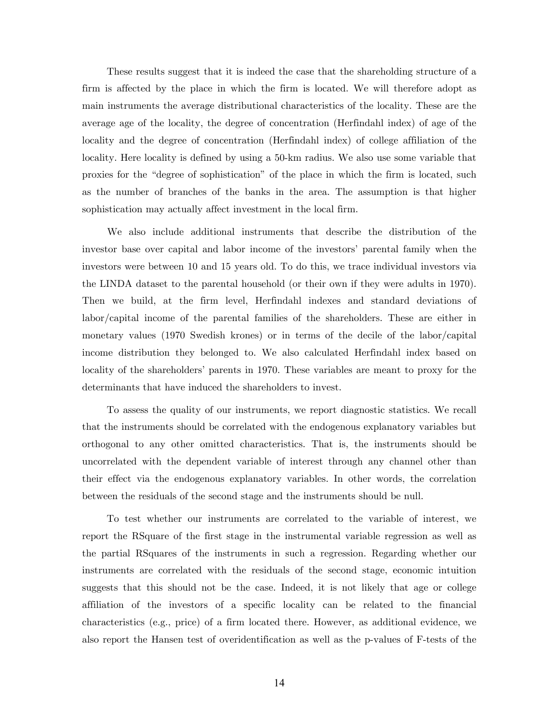These results suggest that it is indeed the case that the shareholding structure of a firm is affected by the place in which the firm is located. We will therefore adopt as main instruments the average distributional characteristics of the locality. These are the average age of the locality, the degree of concentration (Herfindahl index) of age of the locality and the degree of concentration (Herfindahl index) of college affiliation of the locality. Here locality is defined by using a 50-km radius. We also use some variable that proxies for the "degree of sophistication" of the place in which the firm is located, such as the number of branches of the banks in the area. The assumption is that higher sophistication may actually affect investment in the local firm.

We also include additional instruments that describe the distribution of the investor base over capital and labor income of the investors' parental family when the investors were between 10 and 15 years old. To do this, we trace individual investors via the LINDA dataset to the parental household (or their own if they were adults in 1970). Then we build, at the firm level, Herfindahl indexes and standard deviations of labor/capital income of the parental families of the shareholders. These are either in monetary values (1970 Swedish krones) or in terms of the decile of the labor/capital income distribution they belonged to. We also calculated Herfindahl index based on locality of the shareholders' parents in 1970. These variables are meant to proxy for the determinants that have induced the shareholders to invest.

To assess the quality of our instruments, we report diagnostic statistics. We recall that the instruments should be correlated with the endogenous explanatory variables but orthogonal to any other omitted characteristics. That is, the instruments should be uncorrelated with the dependent variable of interest through any channel other than their effect via the endogenous explanatory variables. In other words, the correlation between the residuals of the second stage and the instruments should be null.

To test whether our instruments are correlated to the variable of interest, we report the RSquare of the first stage in the instrumental variable regression as well as the partial RSquares of the instruments in such a regression. Regarding whether our instruments are correlated with the residuals of the second stage, economic intuition suggests that this should not be the case. Indeed, it is not likely that age or college affiliation of the investors of a specific locality can be related to the financial characteristics (e.g., price) of a firm located there. However, as additional evidence, we also report the Hansen test of overidentification as well as the p-values of F-tests of the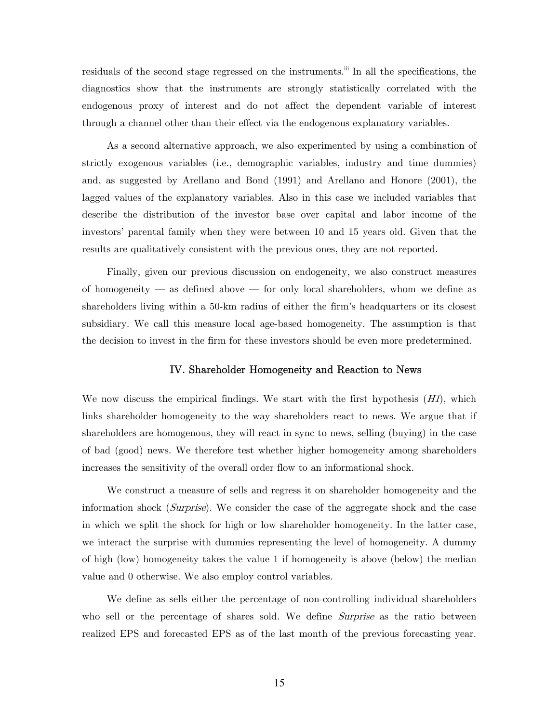residuals of the second stage regressed on the instruments.<sup>iii</sup> In all the specifications, the diagnostics show that the instruments are strongly statistically correlated with the endogenous proxy of interest and do not affect the dependent variable of interest through a channel other than their effect via the endogenous explanatory variables.

As a second alternative approach, we also experimented by using a combination of strictly exogenous variables (i.e., demographic variables, industry and time dummies) and, as suggested by Arellano and Bond (1991) and Arellano and Honore (2001), the lagged values of the explanatory variables. Also in this case we included variables that describe the distribution of the investor base over capital and labor income of the investors' parental family when they were between 10 and 15 years old. Given that the results are qualitatively consistent with the previous ones, they are not reported.

Finally, given our previous discussion on endogeneity, we also construct measures of homogeneity – as defined above – for only local shareholders, whom we define as shareholders living within a 50-km radius of either the firm's headquarters or its closest subsidiary. We call this measure local age-based homogeneity. The assumption is that the decision to invest in the firm for these investors should be even more predetermined.

### IV. Shareholder Homogeneity and Reaction to News

We now discuss the empirical findings. We start with the first hypothesis  $(H1)$ , which links shareholder homogeneity to the way shareholders react to news. We argue that if shareholders are homogenous, they will react in sync to news, selling (buying) in the case of bad (good) news. We therefore test whether higher homogeneity among shareholders increases the sensitivity of the overall order flow to an informational shock.

We construct a measure of sells and regress it on shareholder homogeneity and the information shock (Surprise). We consider the case of the aggregate shock and the case in which we split the shock for high or low shareholder homogeneity. In the latter case, we interact the surprise with dummies representing the level of homogeneity. A dummy of high (low) homogeneity takes the value 1 if homogeneity is above (below) the median value and 0 otherwise. We also employ control variables.

We define as sells either the percentage of non-controlling individual shareholders who sell or the percentage of shares sold. We define *Surprise* as the ratio between realized EPS and forecasted EPS as of the last month of the previous forecasting year.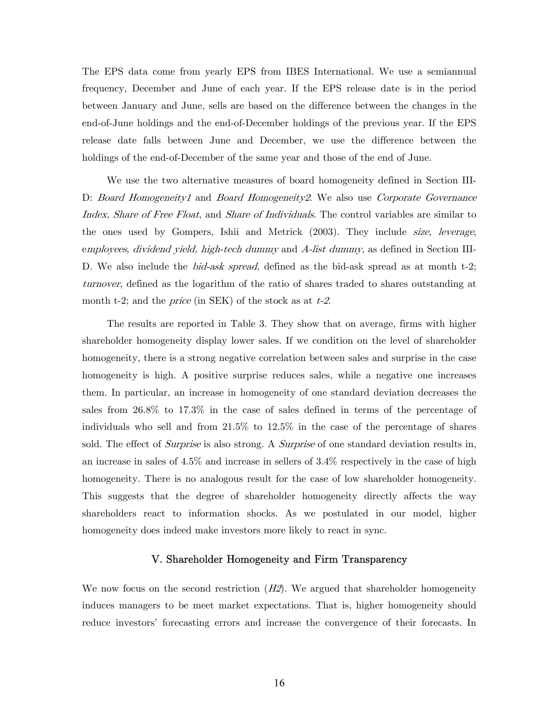The EPS data come from yearly EPS from IBES International. We use a semiannual frequency, December and June of each year. If the EPS release date is in the period between January and June, sells are based on the difference between the changes in the end-of-June holdings and the end-of-December holdings of the previous year. If the EPS release date falls between June and December, we use the difference between the holdings of the end-of-December of the same year and those of the end of June.

We use the two alternative measures of board homogeneity defined in Section III-D: Board Homogeneity1 and Board Homogeneity2. We also use Corporate Governance Index, Share of Free Float, and Share of Individuals. The control variables are similar to the ones used by Gompers, Ishii and Metrick (2003). They include *size*, leverage, employees, dividend yield, high-tech dummy and A-list dummy, as defined in Section III-D. We also include the *bid-ask spread*, defined as the bid-ask spread as at month t-2; turnover, defined as the logarithm of the ratio of shares traded to shares outstanding at month t-2; and the *price* (in SEK) of the stock as at  $t$ -2.

The results are reported in Table 3. They show that on average, firms with higher shareholder homogeneity display lower sales. If we condition on the level of shareholder homogeneity, there is a strong negative correlation between sales and surprise in the case homogeneity is high. A positive surprise reduces sales, while a negative one increases them. In particular, an increase in homogeneity of one standard deviation decreases the sales from 26.8% to 17.3% in the case of sales defined in terms of the percentage of individuals who sell and from 21.5% to 12.5% in the case of the percentage of shares sold. The effect of *Surprise* is also strong. A *Surprise* of one standard deviation results in, an increase in sales of 4.5% and increase in sellers of 3.4% respectively in the case of high homogeneity. There is no analogous result for the case of low shareholder homogeneity. This suggests that the degree of shareholder homogeneity directly affects the way shareholders react to information shocks. As we postulated in our model, higher homogeneity does indeed make investors more likely to react in sync.

## V. Shareholder Homogeneity and Firm Transparency

We now focus on the second restriction  $(H2)$ . We argued that shareholder homogeneity induces managers to be meet market expectations. That is, higher homogeneity should reduce investors' forecasting errors and increase the convergence of their forecasts. In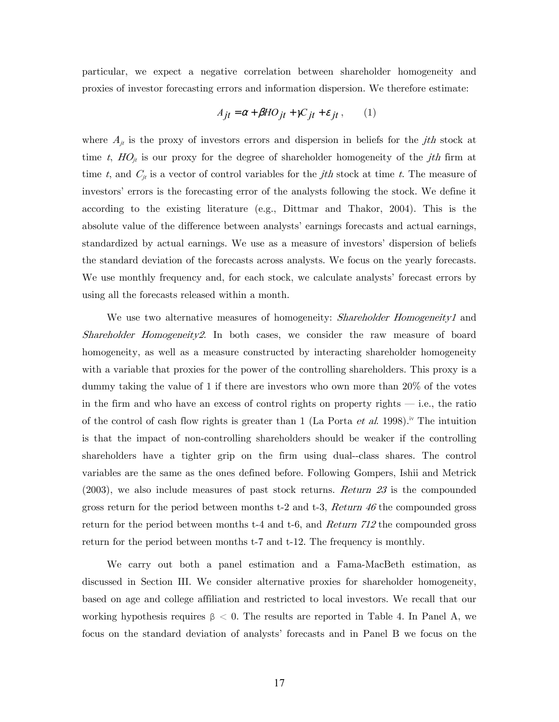particular, we expect a negative correlation between shareholder homogeneity and proxies of investor forecasting errors and information dispersion. We therefore estimate:

$$
A_{jt} = \alpha + \beta HO_{jt} + \gamma C_{jt} + \varepsilon_{jt}, \qquad (1)
$$

where  $A_{jt}$  is the proxy of investors errors and dispersion in beliefs for the *jth* stock at time t,  $HO_{it}$  is our proxy for the degree of shareholder homogeneity of the *jth* firm at time t, and  $C_{jt}$  is a vector of control variables for the jth stock at time t. The measure of investors' errors is the forecasting error of the analysts following the stock. We define it according to the existing literature (e.g., Dittmar and Thakor, 2004). This is the absolute value of the difference between analysts' earnings forecasts and actual earnings, standardized by actual earnings. We use as a measure of investors' dispersion of beliefs the standard deviation of the forecasts across analysts. We focus on the yearly forecasts. We use monthly frequency and, for each stock, we calculate analysts' forecast errors by using all the forecasts released within a month.

We use two alternative measures of homogeneity: *Shareholder Homogeneity1* and Shareholder Homogeneity2. In both cases, we consider the raw measure of board homogeneity, as well as a measure constructed by interacting shareholder homogeneity with a variable that proxies for the power of the controlling shareholders. This proxy is a dummy taking the value of 1 if there are investors who own more than 20% of the votes in the firm and who have an excess of control rights on property rights  $-$  i.e., the ratio of the control of cash flow rights is greater than 1 (La Porta et al. 1998).<sup>iv</sup> The intuition is that the impact of non-controlling shareholders should be weaker if the controlling shareholders have a tighter grip on the firm using dual--class shares. The control variables are the same as the ones defined before. Following Gompers, Ishii and Metrick (2003), we also include measures of past stock returns. Return 23 is the compounded gross return for the period between months t-2 and t-3,  $Return 46$  the compounded gross return for the period between months t-4 and t-6, and  $Return 712$  the compounded gross return for the period between months t-7 and t-12. The frequency is monthly.

We carry out both a panel estimation and a Fama-MacBeth estimation, as discussed in Section III. We consider alternative proxies for shareholder homogeneity, based on age and college affiliation and restricted to local investors. We recall that our working hypothesis requires  $\beta < 0$ . The results are reported in Table 4. In Panel A, we focus on the standard deviation of analysts' forecasts and in Panel B we focus on the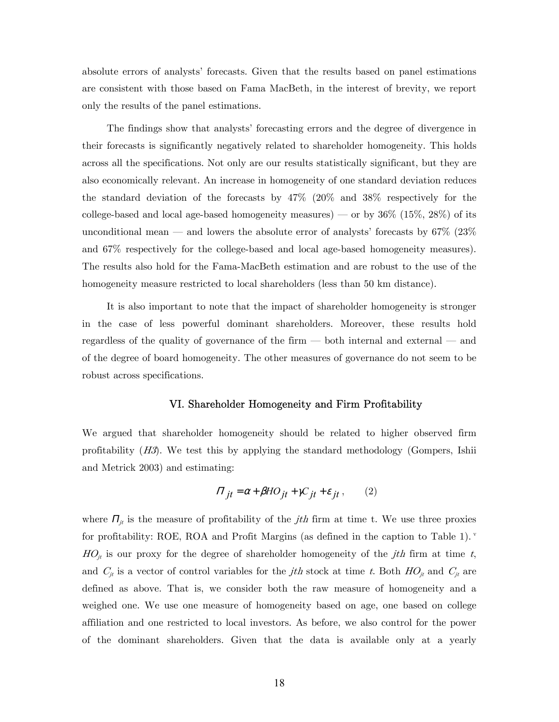absolute errors of analysts' forecasts. Given that the results based on panel estimations are consistent with those based on Fama MacBeth, in the interest of brevity, we report only the results of the panel estimations.

The findings show that analysts' forecasting errors and the degree of divergence in their forecasts is significantly negatively related to shareholder homogeneity. This holds across all the specifications. Not only are our results statistically significant, but they are also economically relevant. An increase in homogeneity of one standard deviation reduces the standard deviation of the forecasts by 47% (20% and 38% respectively for the college-based and local age-based homogeneity measures) — or by  $36\%$  (15\%, 28\%) of its unconditional mean – and lowers the absolute error of analysts' forecasts by  $67\%$  (23%) and 67% respectively for the college-based and local age-based homogeneity measures). The results also hold for the Fama-MacBeth estimation and are robust to the use of the homogeneity measure restricted to local shareholders (less than 50 km distance).

It is also important to note that the impact of shareholder homogeneity is stronger in the case of less powerful dominant shareholders. Moreover, these results hold regardless of the quality of governance of the firm – both internal and external – and of the degree of board homogeneity. The other measures of governance do not seem to be robust across specifications.

#### VI. Shareholder Homogeneity and Firm Profitability

We argued that shareholder homogeneity should be related to higher observed firm profitability  $(H3)$ . We test this by applying the standard methodology (Gompers, Ishii) and Metrick 2003) and estimating:

$$
\Pi_{jt} = \alpha + \beta H O_{jt} + \gamma C_{jt} + \varepsilon_{jt}, \qquad (2)
$$

where  $\Pi_{jt}$  is the measure of profitability of the *jth* firm at time t. We use three proxies for profitability: ROE, ROA and Profit Margins (as defined in the caption to Table 1). v  $HO_{jt}$  is our proxy for the degree of shareholder homogeneity of the *jth* firm at time t, and  $C_{jt}$  is a vector of control variables for the *jth* stock at time t. Both  $HO_{jt}$  and  $C_{jt}$  are defined as above. That is, we consider both the raw measure of homogeneity and a weighed one. We use one measure of homogeneity based on age, one based on college affiliation and one restricted to local investors. As before, we also control for the power of the dominant shareholders. Given that the data is available only at a yearly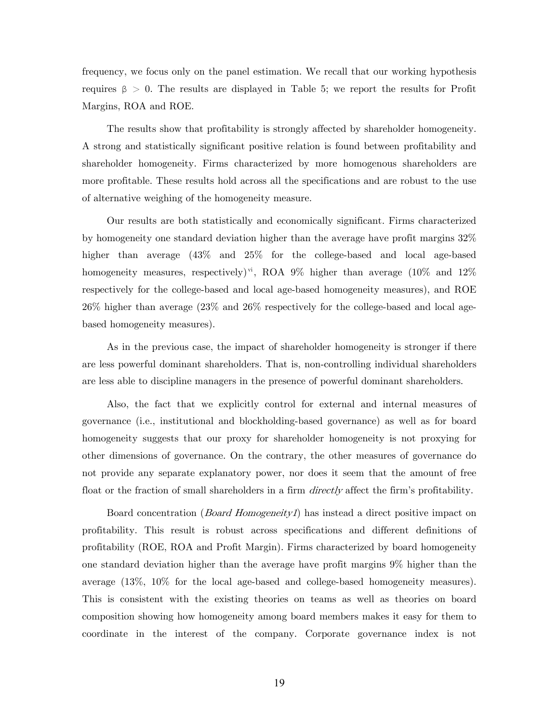frequency, we focus only on the panel estimation. We recall that our working hypothesis requires β > 0. The results are displayed in Table 5; we report the results for Profit Margins, ROA and ROE.

The results show that profitability is strongly affected by shareholder homogeneity. A strong and statistically significant positive relation is found between profitability and shareholder homogeneity. Firms characterized by more homogenous shareholders are more profitable. These results hold across all the specifications and are robust to the use of alternative weighing of the homogeneity measure.

Our results are both statistically and economically significant. Firms characterized by homogeneity one standard deviation higher than the average have profit margins 32% higher than average (43% and 25% for the college-based and local age-based homogeneity measures, respectively)<sup>vi</sup>, ROA 9% higher than average (10% and 12%) respectively for the college-based and local age-based homogeneity measures), and ROE 26% higher than average (23% and 26% respectively for the college-based and local agebased homogeneity measures).

As in the previous case, the impact of shareholder homogeneity is stronger if there are less powerful dominant shareholders. That is, non-controlling individual shareholders are less able to discipline managers in the presence of powerful dominant shareholders.

Also, the fact that we explicitly control for external and internal measures of governance (i.e., institutional and blockholding-based governance) as well as for board homogeneity suggests that our proxy for shareholder homogeneity is not proxying for other dimensions of governance. On the contrary, the other measures of governance do not provide any separate explanatory power, nor does it seem that the amount of free float or the fraction of small shareholders in a firm *directly* affect the firm's profitability.

Board concentration (*Board Homogeneity1*) has instead a direct positive impact on profitability. This result is robust across specifications and different definitions of profitability (ROE, ROA and Profit Margin). Firms characterized by board homogeneity one standard deviation higher than the average have profit margins 9% higher than the average (13%, 10% for the local age-based and college-based homogeneity measures). This is consistent with the existing theories on teams as well as theories on board composition showing how homogeneity among board members makes it easy for them to coordinate in the interest of the company. Corporate governance index is not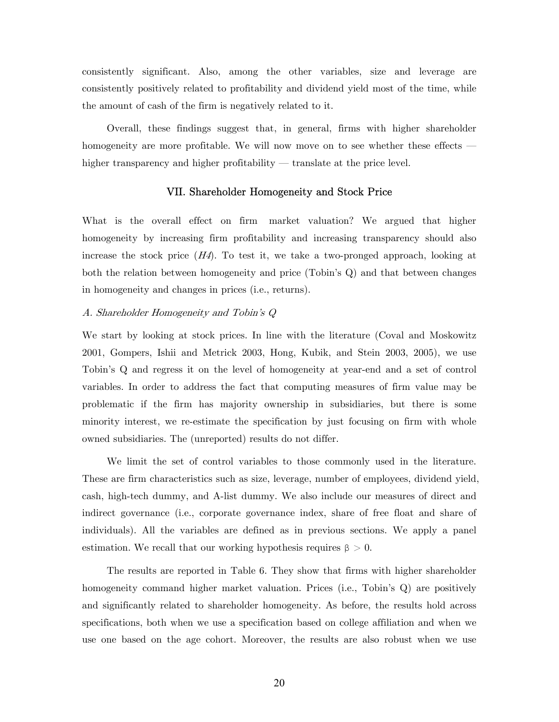consistently significant. Also, among the other variables, size and leverage are consistently positively related to profitability and dividend yield most of the time, while the amount of cash of the firm is negatively related to it.

Overall, these findings suggest that, in general, firms with higher shareholder homogeneity are more profitable. We will now move on to see whether these effects – higher transparency and higher profitability — translate at the price level.

### VII. Shareholder Homogeneity and Stock Price

What is the overall effect on firm market valuation? We argued that higher homogeneity by increasing firm profitability and increasing transparency should also increase the stock price  $(H4)$ . To test it, we take a two-pronged approach, looking at both the relation between homogeneity and price (Tobin's Q) and that between changes in homogeneity and changes in prices (i.e., returns).

#### A. Shareholder Homogeneity and Tobin's Q

We start by looking at stock prices. In line with the literature (Coval and Moskowitz 2001, Gompers, Ishii and Metrick 2003, Hong, Kubik, and Stein 2003, 2005), we use Tobin's Q and regress it on the level of homogeneity at year-end and a set of control variables. In order to address the fact that computing measures of firm value may be problematic if the firm has majority ownership in subsidiaries, but there is some minority interest, we re-estimate the specification by just focusing on firm with whole owned subsidiaries. The (unreported) results do not differ.

We limit the set of control variables to those commonly used in the literature. These are firm characteristics such as size, leverage, number of employees, dividend yield, cash, high-tech dummy, and A-list dummy. We also include our measures of direct and indirect governance (i.e., corporate governance index, share of free float and share of individuals). All the variables are defined as in previous sections. We apply a panel estimation. We recall that our working hypothesis requires  $\beta > 0$ .

The results are reported in Table 6. They show that firms with higher shareholder homogeneity command higher market valuation. Prices (i.e., Tobin's Q) are positively and significantly related to shareholder homogeneity. As before, the results hold across specifications, both when we use a specification based on college affiliation and when we use one based on the age cohort. Moreover, the results are also robust when we use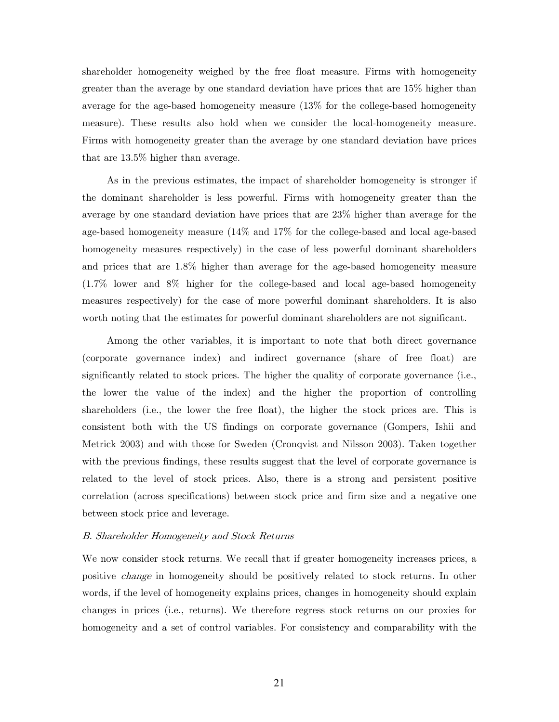shareholder homogeneity weighed by the free float measure. Firms with homogeneity greater than the average by one standard deviation have prices that are 15% higher than average for the age-based homogeneity measure (13% for the college-based homogeneity measure). These results also hold when we consider the local-homogeneity measure. Firms with homogeneity greater than the average by one standard deviation have prices that are 13.5% higher than average.

As in the previous estimates, the impact of shareholder homogeneity is stronger if the dominant shareholder is less powerful. Firms with homogeneity greater than the average by one standard deviation have prices that are 23% higher than average for the age-based homogeneity measure (14% and 17% for the college-based and local age-based homogeneity measures respectively) in the case of less powerful dominant shareholders and prices that are 1.8% higher than average for the age-based homogeneity measure (1.7% lower and 8% higher for the college-based and local age-based homogeneity measures respectively) for the case of more powerful dominant shareholders. It is also worth noting that the estimates for powerful dominant shareholders are not significant.

Among the other variables, it is important to note that both direct governance (corporate governance index) and indirect governance (share of free float) are significantly related to stock prices. The higher the quality of corporate governance (i.e., the lower the value of the index) and the higher the proportion of controlling shareholders (i.e., the lower the free float), the higher the stock prices are. This is consistent both with the US findings on corporate governance (Gompers, Ishii and Metrick 2003) and with those for Sweden (Cronqvist and Nilsson 2003). Taken together with the previous findings, these results suggest that the level of corporate governance is related to the level of stock prices. Also, there is a strong and persistent positive correlation (across specifications) between stock price and firm size and a negative one between stock price and leverage.

#### B. Shareholder Homogeneity and Stock Returns

We now consider stock returns. We recall that if greater homogeneity increases prices, a positive change in homogeneity should be positively related to stock returns. In other words, if the level of homogeneity explains prices, changes in homogeneity should explain changes in prices (i.e., returns). We therefore regress stock returns on our proxies for homogeneity and a set of control variables. For consistency and comparability with the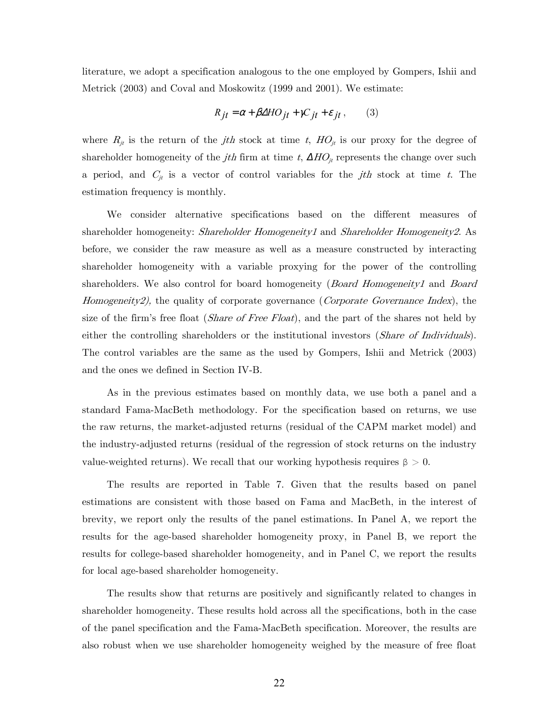literature, we adopt a specification analogous to the one employed by Gompers, Ishii and Metrick (2003) and Coval and Moskowitz (1999 and 2001). We estimate:

$$
R_{jt} = \alpha + \beta \Delta HO_{jt} + \gamma C_{jt} + \varepsilon_{jt}, \qquad (3)
$$

where  $R_{jt}$  is the return of the *jth* stock at time t,  $HO_{jt}$  is our proxy for the degree of shareholder homogeneity of the *jth* firm at time t,  $\Delta HO_{it}$  represents the change over such a period, and  $C_{jt}$  is a vector of control variables for the *jth* stock at time t. The estimation frequency is monthly.

We consider alternative specifications based on the different measures of shareholder homogeneity: *Shareholder Homogeneity1* and *Shareholder Homogeneity2*. As before, we consider the raw measure as well as a measure constructed by interacting shareholder homogeneity with a variable proxying for the power of the controlling shareholders. We also control for board homogeneity (*Board Homogeneity1* and *Board* Homogeneity2), the quality of corporate governance (Corporate Governance Index), the size of the firm's free float *(Share of Free Float)*, and the part of the shares not held by either the controlling shareholders or the institutional investors (*Share of Individuals*). The control variables are the same as the used by Gompers, Ishii and Metrick (2003) and the ones we defined in Section IV-B.

As in the previous estimates based on monthly data, we use both a panel and a standard Fama-MacBeth methodology. For the specification based on returns, we use the raw returns, the market-adjusted returns (residual of the CAPM market model) and the industry-adjusted returns (residual of the regression of stock returns on the industry value-weighted returns). We recall that our working hypothesis requires  $\beta > 0$ .

The results are reported in Table 7. Given that the results based on panel estimations are consistent with those based on Fama and MacBeth, in the interest of brevity, we report only the results of the panel estimations. In Panel A, we report the results for the age-based shareholder homogeneity proxy, in Panel B, we report the results for college-based shareholder homogeneity, and in Panel C, we report the results for local age-based shareholder homogeneity.

The results show that returns are positively and significantly related to changes in shareholder homogeneity. These results hold across all the specifications, both in the case of the panel specification and the Fama-MacBeth specification. Moreover, the results are also robust when we use shareholder homogeneity weighed by the measure of free float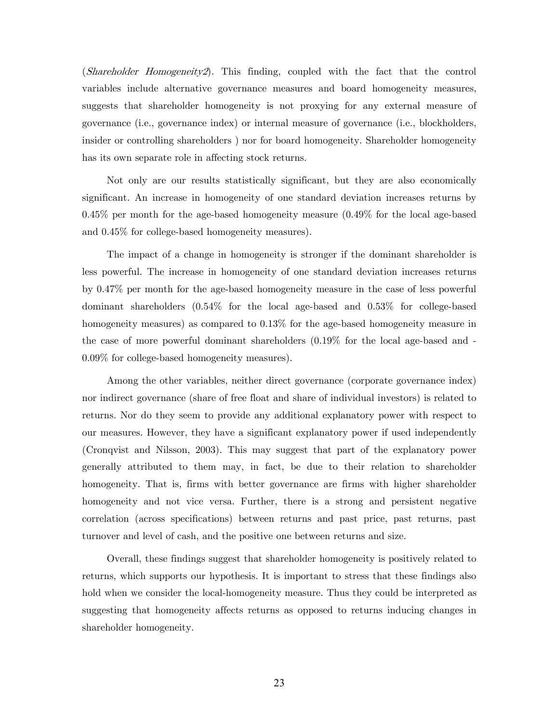(Shareholder Homogeneity2). This finding, coupled with the fact that the control variables include alternative governance measures and board homogeneity measures, suggests that shareholder homogeneity is not proxying for any external measure of governance (i.e., governance index) or internal measure of governance (i.e., blockholders, insider or controlling shareholders ) nor for board homogeneity. Shareholder homogeneity has its own separate role in affecting stock returns.

Not only are our results statistically significant, but they are also economically significant. An increase in homogeneity of one standard deviation increases returns by 0.45% per month for the age-based homogeneity measure (0.49% for the local age-based and 0.45% for college-based homogeneity measures).

The impact of a change in homogeneity is stronger if the dominant shareholder is less powerful. The increase in homogeneity of one standard deviation increases returns by 0.47% per month for the age-based homogeneity measure in the case of less powerful dominant shareholders (0.54% for the local age-based and 0.53% for college-based homogeneity measures) as compared to 0.13% for the age-based homogeneity measure in the case of more powerful dominant shareholders (0.19% for the local age-based and - 0.09% for college-based homogeneity measures).

Among the other variables, neither direct governance (corporate governance index) nor indirect governance (share of free float and share of individual investors) is related to returns. Nor do they seem to provide any additional explanatory power with respect to our measures. However, they have a significant explanatory power if used independently (Cronqvist and Nilsson, 2003). This may suggest that part of the explanatory power generally attributed to them may, in fact, be due to their relation to shareholder homogeneity. That is, firms with better governance are firms with higher shareholder homogeneity and not vice versa. Further, there is a strong and persistent negative correlation (across specifications) between returns and past price, past returns, past turnover and level of cash, and the positive one between returns and size.

Overall, these findings suggest that shareholder homogeneity is positively related to returns, which supports our hypothesis. It is important to stress that these findings also hold when we consider the local-homogeneity measure. Thus they could be interpreted as suggesting that homogeneity affects returns as opposed to returns inducing changes in shareholder homogeneity.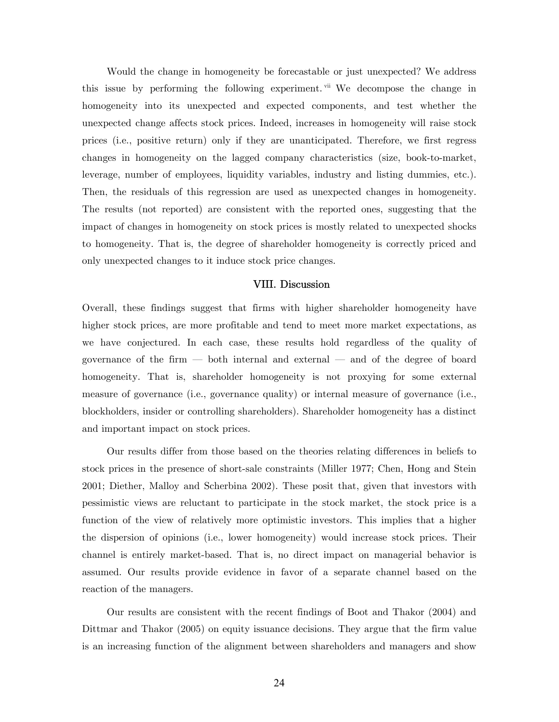Would the change in homogeneity be forecastable or just unexpected? We address this issue by performing the following experiment. v<sup>ii</sup> We decompose the change in homogeneity into its unexpected and expected components, and test whether the unexpected change affects stock prices. Indeed, increases in homogeneity will raise stock prices (i.e., positive return) only if they are unanticipated. Therefore, we first regress changes in homogeneity on the lagged company characteristics (size, book-to-market, leverage, number of employees, liquidity variables, industry and listing dummies, etc.). Then, the residuals of this regression are used as unexpected changes in homogeneity. The results (not reported) are consistent with the reported ones, suggesting that the impact of changes in homogeneity on stock prices is mostly related to unexpected shocks to homogeneity. That is, the degree of shareholder homogeneity is correctly priced and only unexpected changes to it induce stock price changes.

#### VIII. Discussion

Overall, these findings suggest that firms with higher shareholder homogeneity have higher stock prices, are more profitable and tend to meet more market expectations, as we have conjectured. In each case, these results hold regardless of the quality of governance of the firm – both internal and external – and of the degree of board homogeneity. That is, shareholder homogeneity is not proxying for some external measure of governance (i.e., governance quality) or internal measure of governance (i.e., blockholders, insider or controlling shareholders). Shareholder homogeneity has a distinct and important impact on stock prices.

Our results differ from those based on the theories relating differences in beliefs to stock prices in the presence of short-sale constraints (Miller 1977; Chen, Hong and Stein 2001; Diether, Malloy and Scherbina 2002). These posit that, given that investors with pessimistic views are reluctant to participate in the stock market, the stock price is a function of the view of relatively more optimistic investors. This implies that a higher the dispersion of opinions (i.e., lower homogeneity) would increase stock prices. Their channel is entirely market-based. That is, no direct impact on managerial behavior is assumed. Our results provide evidence in favor of a separate channel based on the reaction of the managers.

Our results are consistent with the recent findings of Boot and Thakor (2004) and Dittmar and Thakor (2005) on equity issuance decisions. They argue that the firm value is an increasing function of the alignment between shareholders and managers and show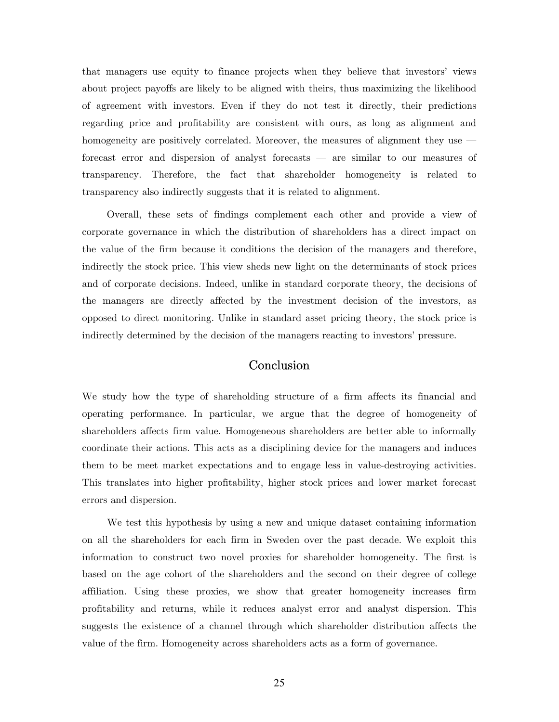that managers use equity to finance projects when they believe that investors' views about project payoffs are likely to be aligned with theirs, thus maximizing the likelihood of agreement with investors. Even if they do not test it directly, their predictions regarding price and profitability are consistent with ours, as long as alignment and homogeneity are positively correlated. Moreover, the measures of alignment they use  $$ forecast error and dispersion of analyst forecasts – are similar to our measures of transparency. Therefore, the fact that shareholder homogeneity is related to transparency also indirectly suggests that it is related to alignment.

Overall, these sets of findings complement each other and provide a view of corporate governance in which the distribution of shareholders has a direct impact on the value of the firm because it conditions the decision of the managers and therefore, indirectly the stock price. This view sheds new light on the determinants of stock prices and of corporate decisions. Indeed, unlike in standard corporate theory, the decisions of the managers are directly affected by the investment decision of the investors, as opposed to direct monitoring. Unlike in standard asset pricing theory, the stock price is indirectly determined by the decision of the managers reacting to investors' pressure.

## Conclusion

We study how the type of shareholding structure of a firm affects its financial and operating performance. In particular, we argue that the degree of homogeneity of shareholders affects firm value. Homogeneous shareholders are better able to informally coordinate their actions. This acts as a disciplining device for the managers and induces them to be meet market expectations and to engage less in value-destroying activities. This translates into higher profitability, higher stock prices and lower market forecast errors and dispersion.

We test this hypothesis by using a new and unique dataset containing information on all the shareholders for each firm in Sweden over the past decade. We exploit this information to construct two novel proxies for shareholder homogeneity. The first is based on the age cohort of the shareholders and the second on their degree of college affiliation. Using these proxies, we show that greater homogeneity increases firm profitability and returns, while it reduces analyst error and analyst dispersion. This suggests the existence of a channel through which shareholder distribution affects the value of the firm. Homogeneity across shareholders acts as a form of governance.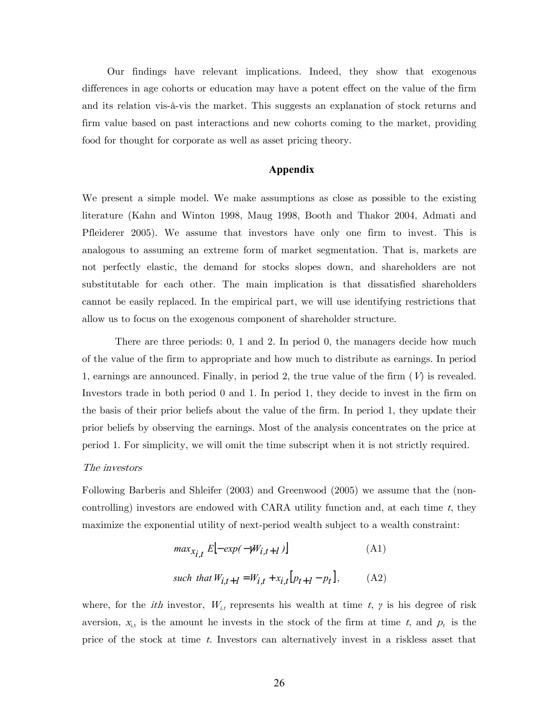Our findings have relevant implications. Indeed, they show that exogenous differences in age cohorts or education may have a potent effect on the value of the firm and its relation vis-à-vis the market. This suggests an explanation of stock returns and firm value based on past interactions and new cohorts coming to the market, providing food for thought for corporate as well as asset pricing theory.

## **Appendix**

We present a simple model. We make assumptions as close as possible to the existing literature (Kahn and Winton 1998, Maug 1998, Booth and Thakor 2004, Admati and Pfleiderer 2005). We assume that investors have only one firm to invest. This is analogous to assuming an extreme form of market segmentation. That is, markets are not perfectly elastic, the demand for stocks slopes down, and shareholders are not substitutable for each other. The main implication is that dissatisfied shareholders cannot be easily replaced. In the empirical part, we will use identifying restrictions that allow us to focus on the exogenous component of shareholder structure.

There are three periods: 0, 1 and 2. In period 0, the managers decide how much of the value of the firm to appropriate and how much to distribute as earnings. In period 1, earnings are announced. Finally, in period 2, the true value of the firm  $(V)$  is revealed. Investors trade in both period 0 and 1. In period 1, they decide to invest in the firm on the basis of their prior beliefs about the value of the firm. In period 1, they update their prior beliefs by observing the earnings. Most of the analysis concentrates on the price at period 1. For simplicity, we will omit the time subscript when it is not strictly required.

#### The investors

Following Barberis and Shleifer (2003) and Greenwood (2005) we assume that the (noncontrolling) investors are endowed with CARA utility function and, at each time  $t$ , they maximize the exponential utility of next-period wealth subject to a wealth constraint:

$$
max_{X_{i,t}} E[-exp(-W_{i,t+1})]
$$
\n(A1)

\nsuch that  $W_{i,t+1} = W_{i,t} + x_{i,t}[p_{t+1} - p_t],$ 

\n(A2)

where, for the *ith* investor,  $W_{i,t}$  represents his wealth at time t,  $\gamma$  is his degree of risk aversion,  $x_{i,t}$  is the amount he invests in the stock of the firm at time t, and  $p_t$  is the price of the stock at time t. Investors can alternatively invest in a riskless asset that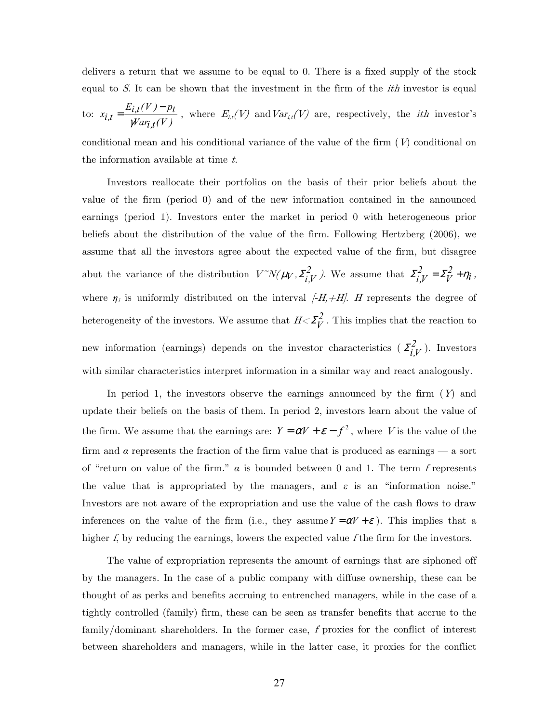delivers a return that we assume to be equal to 0. There is a fixed supply of the stock equal to S. It can be shown that the investment in the firm of the *ith* investor is equal

to: 
$$
x_{i,t} = \frac{E_{i,t}(V) - p_t}{\gamma Var_{i,t}(V)}
$$
, where  $E_{i,t}(V)$  and  $Var_{i,t}(V)$  are, respectively, the *ith* investor's

conditional mean and his conditional variance of the value of the firm  $(V)$  conditional on the information available at time  $t$ .

Investors reallocate their portfolios on the basis of their prior beliefs about the value of the firm (period 0) and of the new information contained in the announced earnings (period 1). Investors enter the market in period 0 with heterogeneous prior beliefs about the distribution of the value of the firm. Following Hertzberg (2006), we assume that all the investors agree about the expected value of the firm, but disagree abut the variance of the distribution  $V^{\sim}N(\mu_V, \Sigma_{i,V}^2)$ . We assume that  $\Sigma_{i,V}^2 = \Sigma_{i,V}^2 + \eta_i$ *V*  $\Sigma_{i,V}^2 = \Sigma_V^2 + \eta_i$ , where  $\eta_i$  is uniformly distributed on the interval  $[-H, +H]$ . H represents the degree of heterogeneity of the investors. We assume that  $H \ll \Sigma_V^2$ . This implies that the reaction to new information (earnings) depends on the investor characteristics  $(Z_{i,V}^2)$ . Investors with similar characteristics interpret information in a similar way and react analogously.

In period 1, the investors observe the earnings announced by the firm  $(Y)$  and update their beliefs on the basis of them. In period 2, investors learn about the value of the firm. We assume that the earnings are:  $Y = \alpha V + \varepsilon - f^2$ , where V is the value of the firm and *α* represents the fraction of the firm value that is produced as earnings – a sort of "return on value of the firm."  $\alpha$  is bounded between 0 and 1. The term f represents the value that is appropriated by the managers, and  $\varepsilon$  is an "information noise." Investors are not aware of the expropriation and use the value of the cash flows to draw inferences on the value of the firm (i.e., they assume  $Y = \alpha V + \varepsilon$ ). This implies that a higher f, by reducing the earnings, lowers the expected value f the firm for the investors.

The value of expropriation represents the amount of earnings that are siphoned off by the managers. In the case of a public company with diffuse ownership, these can be thought of as perks and benefits accruing to entrenched managers, while in the case of a tightly controlled (family) firm, these can be seen as transfer benefits that accrue to the family/dominant shareholders. In the former case, f proxies for the conflict of interest between shareholders and managers, while in the latter case, it proxies for the conflict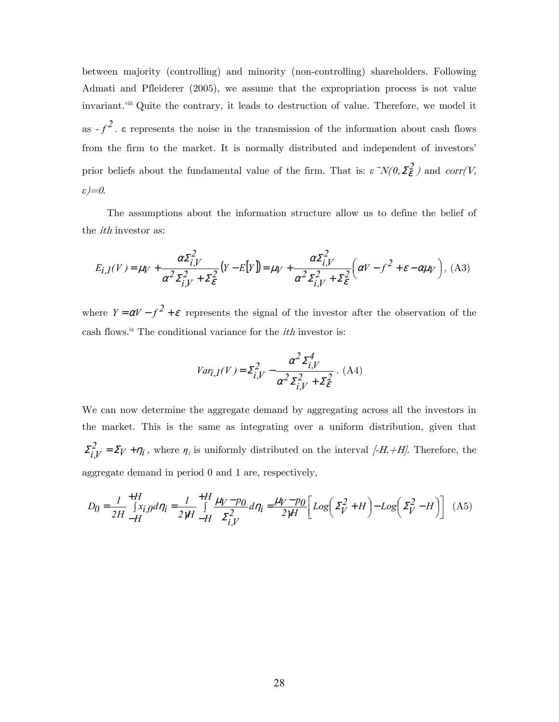between majority (controlling) and minority (non-controlling) shareholders. Following Admati and Pfleiderer (2005), we assume that the expropriation process is not value invariant.<sup>viii</sup> Quite the contrary, it leads to destruction of value. Therefore, we model it as  $-f^2$ .  $\varepsilon$  represents the noise in the transmission of the information about cash flows from the firm to the market. It is normally distributed and independent of investors' prior beliefs about the fundamental value of the firm. That is:  $\epsilon \gamma N(0, \Sigma_{\epsilon}^2)$  and corr(V, *ε*)=0.

The assumptions about the information structure allow us to define the belief of the *ith* investor as:

$$
E_{i,I}(V) = \mu_V + \frac{\alpha \Sigma_{i,V}^2}{\alpha^2 \Sigma_{i,V}^2 + \Sigma_{\epsilon}^2} (Y - E[Y]) = \mu_V + \frac{\alpha \Sigma_{i,V}^2}{\alpha^2 \Sigma_{i,V}^2 + \Sigma_{\epsilon}^2} \left(\alpha V - f^2 + \epsilon - \alpha \mu_V\right), \text{ (A3)}
$$

where  $Y = \alpha V - f^2 + \varepsilon$  represents the signal of the investor after the observation of the cash flows.<sup>ix</sup> The conditional variance for the *ith* investor is:

$$
Var_{i,I}(V) = \Sigma_{i,V}^{2} - \frac{\alpha^{2} \Sigma_{i,V}^{4}}{\alpha^{2} \Sigma_{i,V}^{2} + \Sigma_{\varepsilon}^{2}}.
$$
 (A4)

We can now determine the aggregate demand by aggregating across all the investors in the market. This is the same as integrating over a uniform distribution, given that  $\Sigma_{i,V}^2 = \Sigma_V + \eta_i$ , where  $\eta_i$  is uniformly distributed on the interval  $[-H,+H]$ . Therefore, the aggregate demand in period 0 and 1 are, respectively,

$$
D_0 = \frac{1}{2H} \int_{-H}^{+H} [x_{i,0} d\eta_i = \frac{1}{2\pi} \int_{-H}^{+H} \frac{\mu_V - p_0}{\Sigma_{i,V}^2} d\eta_i = \frac{\mu_V - p_0}{2\pi} \left[ Log \left( \Sigma_V^2 + H \right) - Log \left( \Sigma_V^2 - H \right) \right] \tag{A5}
$$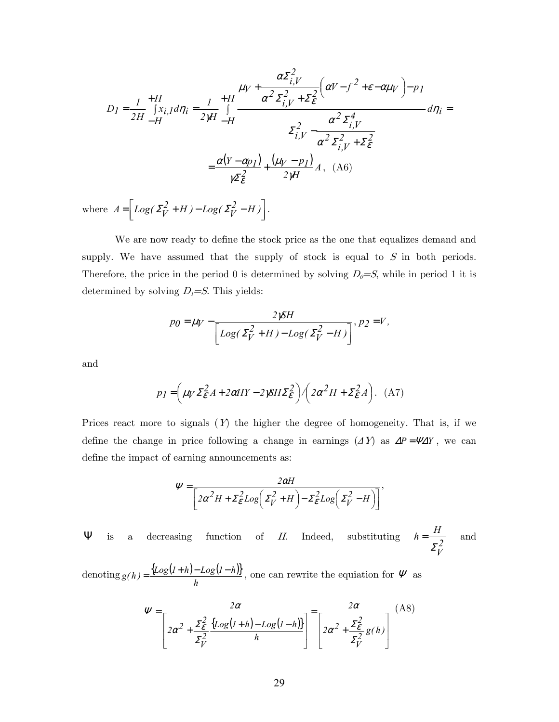$$
D_{I} = \frac{1}{2H} + \frac{H}{\int x_{i,I} d\eta_{i}} = \frac{1}{2\pi} + \frac{H}{\int x_{i,I} d\eta_{i}} = \frac{1}{2\pi} + \frac{H}{\int x_{i,I} d\eta_{i}} = \frac{1}{2\pi} + \frac{H}{\int x_{i,I} d\eta_{i}} = \frac{1}{2\pi} + \frac{H}{\int x_{i,I} d\eta_{i}} = \frac{1}{2\pi} + \frac{H}{\int x_{i,I} d\eta_{i}} = \frac{1}{2\pi} + \frac{1}{2\pi} + \frac{1}{2\pi} + \frac{1}{2\pi} + \frac{1}{2\pi} + \frac{1}{2\pi} + \frac{1}{2\pi} + \frac{1}{2\pi} + \frac{1}{2\pi} + \frac{1}{2\pi} + \frac{1}{2\pi} + \frac{1}{2\pi} + \frac{1}{2\pi} + \frac{1}{2\pi} + \frac{1}{2\pi} + \frac{1}{2\pi} + \frac{1}{2\pi} + \frac{1}{2\pi} + \frac{1}{2\pi} + \frac{1}{2\pi} + \frac{1}{2\pi} + \frac{1}{2\pi} + \frac{1}{2\pi} + \frac{1}{2\pi} + \frac{1}{2\pi} + \frac{1}{2\pi} + \frac{1}{2\pi} + \frac{1}{2\pi} + \frac{1}{2\pi} + \frac{1}{2\pi} + \frac{1}{2\pi} + \frac{1}{2\pi} + \frac{1}{2\pi} + \frac{1}{2\pi} + \frac{1}{2\pi} + \frac{1}{2\pi} + \frac{1}{2\pi} + \frac{1}{2\pi} + \frac{1}{2\pi} + \frac{1}{2\pi} + \frac{1}{2\pi} + \frac{1}{2\pi} + \frac{1}{2\pi} + \frac{1}{2\pi} + \frac{1}{2\pi} + \frac{1}{2\pi} + \frac{1}{2\pi} + \frac{1}{2\pi} + \frac{1}{2\pi} + \frac{1}{2\pi} + \frac{1}{2\pi} + \frac{1}{2\pi} + \frac{1}{2\pi} + \frac{1}{2\pi} + \frac{1}{2\pi} + \frac{1}{2\pi} + \frac{1}{2\pi} + \frac{1}{2\pi} + \
$$

where  $A = \left[ Log(\Sigma_V^2 + H) - Log(\Sigma_V^2 - H) \right]$ .

We are now ready to define the stock price as the one that equalizes demand and supply. We have assumed that the supply of stock is equal to  $S$  in both periods. Therefore, the price in the period 0 is determined by solving  $D_0 = S$ , while in period 1 it is determined by solving  $D<sub>I</sub>=S$ . This yields:

$$
p_0 = \mu_V - \frac{2\gamma S H}{\left[Log(\Sigma_V^2 + H) - Log(\Sigma_V^2 - H)\right]}, \, p_2 = V,
$$

and

$$
p_I = \left(\mu_V \Sigma_{\mathcal{E}}^2 A + 2\alpha HY - 2\gamma SH\Sigma_{\mathcal{E}}^2\right) / \left(2\alpha^2 H + \Sigma_{\mathcal{E}}^2 A\right). \quad (A7)
$$

Prices react more to signals  $(Y)$  the higher the degree of homogeneity. That is, if we define the change in price following a change in earnings  $(\Delta Y)$  as  $\Delta P = \Psi \Delta Y$ , we can define the impact of earning announcements as:

$$
\Psi = \frac{2\alpha H}{\left[2\alpha^2 H + \Sigma_{\epsilon}^2 Log\left(\Sigma_{V}^2 + H\right) - \Sigma_{\epsilon}^2 Log\left(\Sigma_{V}^2 - H\right)\right]},
$$

**Ψ** is a decreasing function of H. Indeed, substituting  $h = \frac{H}{r^2}$ *V*  $h = \frac{H}{A}$ Σ  $=\frac{11}{2}$  and

denoting  $g(h) = \frac{\{Log(I+h) - Log(I-h)\}}{E}$ *h*  $g(h) = \frac{\{Log(1+h) - Log(1-h)\}}{h}$ , one can rewrite the equiation for  $\Psi$  as

$$
\Psi = \frac{2\alpha}{\left[2\alpha^2 + \frac{\Sigma_e^2}{\Sigma_V^2} \frac{\left\{Log\left(l+h\right) - Log\left(l-h\right)\right\}}{h}\right]} = \frac{2\alpha}{\left[2\alpha^2 + \frac{\Sigma_e^2}{\Sigma_V^2} g(h)\right]} \tag{A8}
$$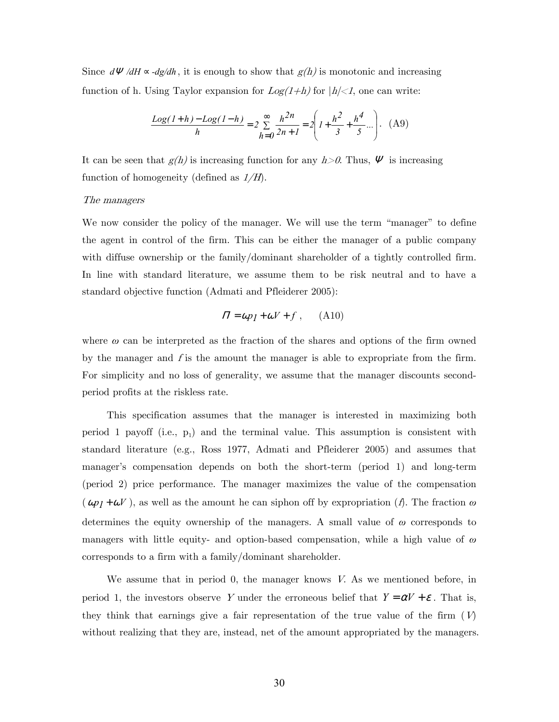Since  $d\Psi/dH \propto -d\chi/dh$ , it is enough to show that  $g(h)$  is monotonic and increasing function of h. Using Taylor expansion for  $Log(1+h)$  for  $|h|<1$ , one can write:

$$
\frac{Log(1+h) - Log(1-h)}{h} = 2 \sum_{h=0}^{\infty} \frac{h^{2h}}{2h + 1} = 2 \left( 1 + \frac{h^2}{3} + \frac{h^4}{5} \dots \right). \tag{A9}
$$

It can be seen that  $g(h)$  is increasing function for any  $h > 0$ . Thus,  $\Psi$  is increasing function of homogeneity (defined as  $1/H$ ).

#### The managers

We now consider the policy of the manager. We will use the term "manager" to define the agent in control of the firm. This can be either the manager of a public company with diffuse ownership or the family/dominant shareholder of a tightly controlled firm. In line with standard literature, we assume them to be risk neutral and to have a standard objective function (Admati and Pfleiderer 2005):

$$
\Pi = \omega p_I + \omega V + f \,, \qquad \text{(A10)}
$$

where *ω* can be interpreted as the fraction of the shares and options of the firm owned by the manager and  $f$  is the amount the manager is able to expropriate from the firm. For simplicity and no loss of generality, we assume that the manager discounts secondperiod profits at the riskless rate.

This specification assumes that the manager is interested in maximizing both period 1 payoff (i.e.,  $p_1$ ) and the terminal value. This assumption is consistent with standard literature (e.g., Ross 1977, Admati and Pfleiderer 2005) and assumes that manager's compensation depends on both the short-term (period 1) and long-term (period 2) price performance. The manager maximizes the value of the compensation  $(\omega p_1 + \omega V)$ , as well as the amount he can siphon off by expropriation (f). The fraction  $\omega$ determines the equity ownership of the managers. A small value of *ω* corresponds to managers with little equity- and option-based compensation, while a high value of *ω* corresponds to a firm with a family/dominant shareholder.

We assume that in period  $0$ , the manager knows V. As we mentioned before, in period 1, the investors observe Y under the erroneous belief that  $Y = \alpha V + \varepsilon$ . That is, they think that earnings give a fair representation of the true value of the firm  $(V)$ without realizing that they are, instead, net of the amount appropriated by the managers.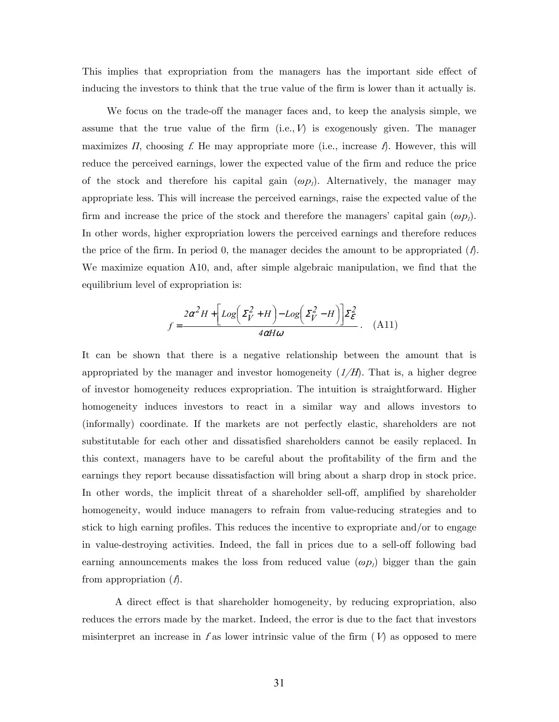This implies that expropriation from the managers has the important side effect of inducing the investors to think that the true value of the firm is lower than it actually is.

We focus on the trade-off the manager faces and, to keep the analysis simple, we assume that the true value of the firm  $(i.e., V)$  is exogenously given. The manager maximizes  $\Pi$ , choosing f. He may appropriate more (i.e., increase f). However, this will reduce the perceived earnings, lower the expected value of the firm and reduce the price of the stock and therefore his capital gain  $(\omega p_1)$ . Alternatively, the manager may appropriate less. This will increase the perceived earnings, raise the expected value of the firm and increase the price of the stock and therefore the managers' capital gain  $(\omega p_1)$ . In other words, higher expropriation lowers the perceived earnings and therefore reduces the price of the firm. In period 0, the manager decides the amount to be appropriated  $(f)$ . We maximize equation A10, and, after simple algebraic manipulation, we find that the equilibrium level of expropriation is:

$$
f = \frac{2\alpha^2 H + \left[Log\left(\Sigma_V^2 + H\right) - Log\left(\Sigma_V^2 - H\right)\right] \Sigma_E^2}{4\alpha H \omega}.
$$
 (A11)

It can be shown that there is a negative relationship between the amount that is appropriated by the manager and investor homogeneity  $(1/H)$ . That is, a higher degree of investor homogeneity reduces expropriation. The intuition is straightforward. Higher homogeneity induces investors to react in a similar way and allows investors to (informally) coordinate. If the markets are not perfectly elastic, shareholders are not substitutable for each other and dissatisfied shareholders cannot be easily replaced. In this context, managers have to be careful about the profitability of the firm and the earnings they report because dissatisfaction will bring about a sharp drop in stock price. In other words, the implicit threat of a shareholder sell-off, amplified by shareholder homogeneity, would induce managers to refrain from value-reducing strategies and to stick to high earning profiles. This reduces the incentive to expropriate and/or to engage in value-destroying activities. Indeed, the fall in prices due to a sell-off following bad earning announcements makes the loss from reduced value  $(\omega p_i)$  bigger than the gain from appropriation  $(\hat{f})$ .

A direct effect is that shareholder homogeneity, by reducing expropriation, also reduces the errors made by the market. Indeed, the error is due to the fact that investors misinterpret an increase in f as lower intrinsic value of the firm  $(V)$  as opposed to mere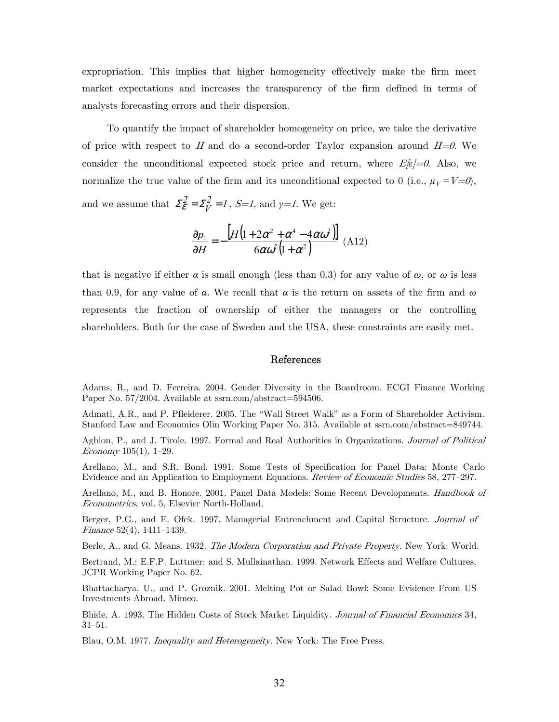expropriation. This implies that higher homogeneity effectively make the firm meet market expectations and increases the transparency of the firm defined in terms of analysts forecasting errors and their dispersion.

To quantify the impact of shareholder homogeneity on price, we take the derivative of price with respect to H and do a second-order Taylor expansion around  $H=0$ . We consider the unconditional expected stock price and return, where  $E[\epsilon]=0$ . Also, we normalize the true value of the firm and its unconditional expected to 0 (i.e.,  $\mu_V = V = 0$ ), and we assume that  $\mathcal{L}_{\varepsilon}^{2} = \mathcal{L}_{V}^{2} = I$ ,  $S=I$ , and  $\gamma=I$ . We get:

$$
\frac{\partial p_1}{\partial H} = -\frac{\left[H\left(1 + 2\alpha^2 + \alpha^4 - 4\alpha\omega^2\right)\right]}{6\alpha\omega^2\left(1 + \alpha^2\right)}\tag{A12}
$$

that is negative if either  $\alpha$  is small enough (less than 0.3) for any value of  $\omega$ , or  $\omega$  is less than 0.9, for any value of *α*. We recall that *α* is the return on assets of the firm and *ω* represents the fraction of ownership of either the managers or the controlling shareholders. Both for the case of Sweden and the USA, these constraints are easily met.

#### References

Adams, R., and D. Ferreira. 2004. Gender Diversity in the Boardroom. ECGI Finance Working Paper No. 57/2004. Available at ssrn.com/abstract=594506.

Admati, A.R., and P. Pfleiderer. 2005. The "Wall Street Walk" as a Form of Shareholder Activism. Stanford Law and Economics Olin Working Paper No. 315. Available at ssrn.com/abstract=849744.

Aghion, P., and J. Tirole. 1997. Formal and Real Authorities in Organizations. Journal of Political Economy 105(1), 1—29.

Arellano, M., and S.R. Bond. 1991. Some Tests of Specification for Panel Data: Monte Carlo Evidence and an Application to Employment Equations. Review of Economic Studies 58, 277—297.

Arellano, M., and B. Honore. 2001. Panel Data Models: Some Recent Developments. Handbook of Econometrics, vol. 5, Elsevier North-Holland.

Berger, P.G., and E. Ofek. 1997. Managerial Entrenchment and Capital Structure. Journal of Finance 52(4), 1411—1439.

Berle, A., and G. Means. 1932. The Modern Corporation and Private Property. New York: World.

Bertrand, M.; E.F.P. Luttmer; and S. Mullainathan. 1999. Network Effects and Welfare Cultures. JCPR Working Paper No. 62.

Bhattacharya, U., and P. Groznik. 2001. Melting Pot or Salad Bowl: Some Evidence From US Investments Abroad. Mimeo.

Bhide, A. 1993. The Hidden Costs of Stock Market Liquidity. Journal of Financial Economics 34, 31—51.

Blau, O.M. 1977. Inequality and Heterogeneity. New York: The Free Press.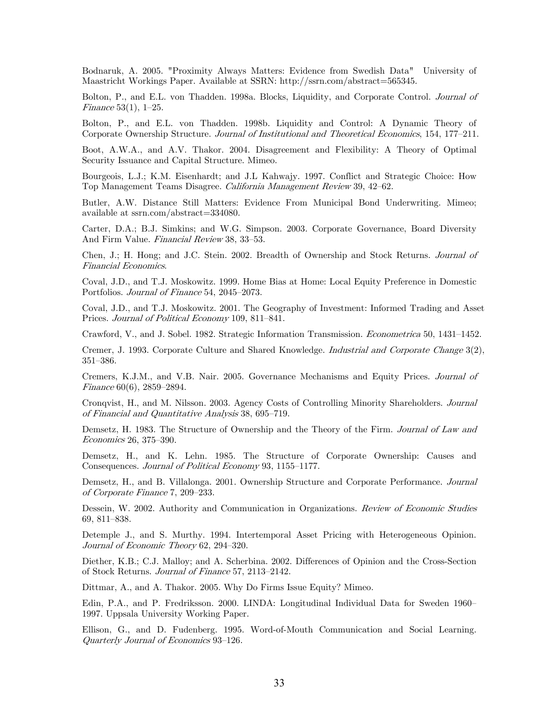Bodnaruk, A. 2005. "Proximity Always Matters: Evidence from Swedish Data" University of Maastricht Workings Paper. Available at SSRN: http://ssrn.com/abstract=565345.

Bolton, P., and E.L. von Thadden. 1998a. Blocks, Liquidity, and Corporate Control. Journal of Finance 53(1), 1—25.

Bolton, P., and E.L. von Thadden. 1998b. Liquidity and Control: A Dynamic Theory of Corporate Ownership Structure. Journal of Institutional and Theoretical Economics, 154, 177—211.

Boot, A.W.A., and A.V. Thakor. 2004. Disagreement and Flexibility: A Theory of Optimal Security Issuance and Capital Structure. Mimeo.

Bourgeois, L.J.; K.M. Eisenhardt; and J.L Kahwajy. 1997. Conflict and Strategic Choice: How Top Management Teams Disagree. California Management Review 39, 42—62.

Butler, A.W. Distance Still Matters: Evidence From Municipal Bond Underwriting. Mimeo; available at ssrn.com/abstract=334080.

Carter, D.A.; B.J. Simkins; and W.G. Simpson. 2003. Corporate Governance, Board Diversity And Firm Value. Financial Review 38, 33—53.

Chen, J.; H. Hong; and J.C. Stein. 2002. Breadth of Ownership and Stock Returns. Journal of Financial Economics.

Coval, J.D., and T.J. Moskowitz. 1999. Home Bias at Home: Local Equity Preference in Domestic Portfolios. Journal of Finance 54, 2045—2073.

Coval, J.D., and T.J. Moskowitz. 2001. The Geography of Investment: Informed Trading and Asset Prices. Journal of Political Economy 109, 811—841.

Crawford, V., and J. Sobel. 1982. Strategic Information Transmission. Econometrica 50, 1431—1452.

Cremer, J. 1993. Corporate Culture and Shared Knowledge. Industrial and Corporate Change 3(2), 351—386.

Cremers, K.J.M., and V.B. Nair. 2005. Governance Mechanisms and Equity Prices. Journal of Finance 60(6), 2859—2894.

Cronqvist, H., and M. Nilsson. 2003. Agency Costs of Controlling Minority Shareholders. Journal of Financial and Quantitative Analysis 38, 695—719.

Demsetz, H. 1983. The Structure of Ownership and the Theory of the Firm. Journal of Law and Economics 26, 375—390.

Demsetz, H., and K. Lehn. 1985. The Structure of Corporate Ownership: Causes and Consequences. Journal of Political Economy 93, 1155—1177.

Demsetz, H., and B. Villalonga. 2001. Ownership Structure and Corporate Performance. Journal of Corporate Finance 7, 209—233.

Dessein, W. 2002. Authority and Communication in Organizations. Review of Economic Studies 69, 811—838.

Detemple J., and S. Murthy. 1994. Intertemporal Asset Pricing with Heterogeneous Opinion. Journal of Economic Theory 62, 294—320.

Diether, K.B.; C.J. Malloy; and A. Scherbina. 2002. Differences of Opinion and the Cross-Section of Stock Returns. Journal of Finance 57, 2113—2142.

Dittmar, A., and A. Thakor. 2005. Why Do Firms Issue Equity? Mimeo.

Edin, P.A., and P. Fredriksson. 2000. LINDA: Longitudinal Individual Data for Sweden 1960— 1997. Uppsala University Working Paper.

Ellison, G., and D. Fudenberg. 1995. Word-of-Mouth Communication and Social Learning. Quarterly Journal of Economics 93—126.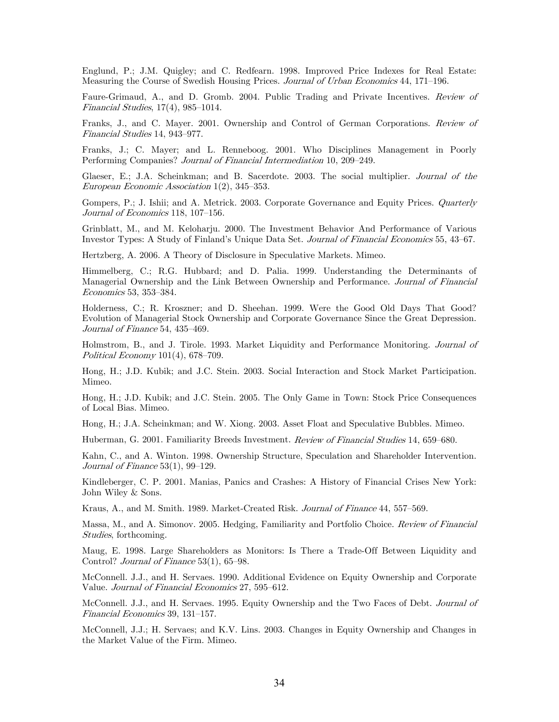Englund, P.; J.M. Quigley; and C. Redfearn. 1998. Improved Price Indexes for Real Estate: Measuring the Course of Swedish Housing Prices. Journal of Urban Economics 44, 171—196.

Faure-Grimaud, A., and D. Gromb. 2004. Public Trading and Private Incentives. Review of Financial Studies, 17(4), 985—1014.

Franks, J., and C. Mayer. 2001. Ownership and Control of German Corporations. Review of Financial Studies 14, 943—977.

Franks, J.; C. Mayer; and L. Renneboog. 2001. Who Disciplines Management in Poorly Performing Companies? Journal of Financial Intermediation 10, 209—249.

Glaeser, E.; J.A. Scheinkman; and B. Sacerdote. 2003. The social multiplier. Journal of the European Economic Association 1(2), 345—353.

Gompers, P.; J. Ishii; and A. Metrick. 2003. Corporate Governance and Equity Prices. Quarterly Journal of Economics 118, 107—156.

Grinblatt, M., and M. Keloharju. 2000. The Investment Behavior And Performance of Various Investor Types: A Study of Finland's Unique Data Set. Journal of Financial Economics 55, 43—67.

Hertzberg, A. 2006. A Theory of Disclosure in Speculative Markets. Mimeo.

Himmelberg, C.; R.G. Hubbard; and D. Palia. 1999. Understanding the Determinants of Managerial Ownership and the Link Between Ownership and Performance. Journal of Financial Economics 53, 353—384.

Holderness, C.; R. Kroszner; and D. Sheehan. 1999. Were the Good Old Days That Good? Evolution of Managerial Stock Ownership and Corporate Governance Since the Great Depression. Journal of Finance 54, 435—469.

Holmstrom, B., and J. Tirole. 1993. Market Liquidity and Performance Monitoring. Journal of Political Economy 101(4), 678—709.

Hong, H.; J.D. Kubik; and J.C. Stein. 2003. Social Interaction and Stock Market Participation. Mimeo.

Hong, H.; J.D. Kubik; and J.C. Stein. 2005. The Only Game in Town: Stock Price Consequences of Local Bias. Mimeo.

Hong, H.; J.A. Scheinkman; and W. Xiong. 2003. Asset Float and Speculative Bubbles. Mimeo.

Huberman, G. 2001. Familiarity Breeds Investment. Review of Financial Studies 14, 659–680.

Kahn, C., and A. Winton. 1998. Ownership Structure, Speculation and Shareholder Intervention. Journal of Finance 53(1), 99—129.

Kindleberger, C. P. 2001. Manias, Panics and Crashes: A History of Financial Crises New York: John Wiley & Sons.

Kraus, A., and M. Smith. 1989. Market-Created Risk. Journal of Finance 44, 557–569.

Massa, M., and A. Simonov. 2005. Hedging, Familiarity and Portfolio Choice. *Review of Financial* Studies, forthcoming.

Maug, E. 1998. Large Shareholders as Monitors: Is There a Trade-Off Between Liquidity and Control? *Journal of Finance* 53(1), 65-98.

McConnell. J.J., and H. Servaes. 1990. Additional Evidence on Equity Ownership and Corporate Value. Journal of Financial Economics 27, 595—612.

McConnell. J.J., and H. Servaes. 1995. Equity Ownership and the Two Faces of Debt. *Journal of* Financial Economics 39, 131—157.

McConnell, J.J.; H. Servaes; and K.V. Lins. 2003. Changes in Equity Ownership and Changes in the Market Value of the Firm. Mimeo.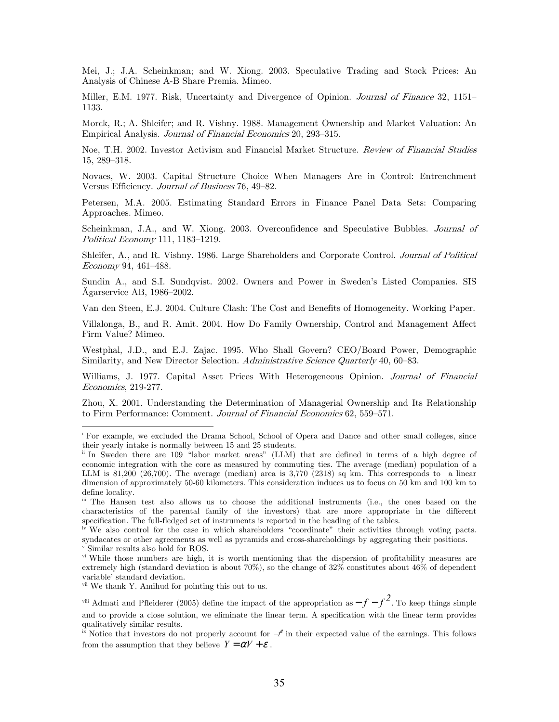Mei, J.; J.A. Scheinkman; and W. Xiong. 2003. Speculative Trading and Stock Prices: An Analysis of Chinese A-B Share Premia. Mimeo.

Miller, E.M. 1977. Risk, Uncertainty and Divergence of Opinion. *Journal of Finance* 32, 1151– 1133.

Morck, R.; A. Shleifer; and R. Vishny. 1988. Management Ownership and Market Valuation: An Empirical Analysis. Journal of Financial Economics 20, 293—315.

Noe, T.H. 2002. Investor Activism and Financial Market Structure. Review of Financial Studies 15, 289—318.

Novaes, W. 2003. Capital Structure Choice When Managers Are in Control: Entrenchment Versus Efficiency. Journal of Business 76, 49—82.

Petersen, M.A. 2005. Estimating Standard Errors in Finance Panel Data Sets: Comparing Approaches. Mimeo.

Scheinkman, J.A., and W. Xiong. 2003. Overconfidence and Speculative Bubbles. *Journal of* Political Economy 111, 1183—1219.

Shleifer, A., and R. Vishny. 1986. Large Shareholders and Corporate Control. Journal of Political Economy 94, 461—488.

Sundin A., and S.I. Sundqvist. 2002. Owners and Power in Sweden's Listed Companies. SIS Ägarservice AB, 1986—2002.

Van den Steen, E.J. 2004. Culture Clash: The Cost and Benefits of Homogeneity. Working Paper.

Villalonga, B., and R. Amit. 2004. How Do Family Ownership, Control and Management Affect Firm Value? Mimeo.

Westphal, J.D., and E.J. Zajac. 1995. Who Shall Govern? CEO/Board Power, Demographic Similarity, and New Director Selection. Administrative Science Quarterly 40, 60–83.

Williams, J. 1977. Capital Asset Prices With Heterogeneous Opinion. Journal of Financial Economics, 219-277.

Zhou, X. 2001. Understanding the Determination of Managerial Ownership and Its Relationship to Firm Performance: Comment. Journal of Financial Economics 62, 559—571.

 $\overline{a}$ 

i For example, we excluded the Drama School, School of Opera and Dance and other small colleges, since their yearly intake is normally between 15 and 25 students.

ii In Sweden there are 109 "labor market areas" (LLM) that are defined in terms of a high degree of economic integration with the core as measured by commuting ties. The average (median) population of a LLM is  $81,200$   $(26,700)$ . The average (median) area is  $3,770$   $(2318)$  sq km. This corresponds to a linear dimension of approximately 50-60 kilometers. This consideration induces us to focus on 50 km and 100 km to define locality.

iii The Hansen test also allows us to choose the additional instruments (i.e., the ones based on the characteristics of the parental family of the investors) that are more appropriate in the different specification. The full-fledged set of instruments is reported in the heading of the tables.

We also control for the case in which shareholders "coordinate" their activities through voting pacts. syndacates or other agreements as well as pyramids and cross-shareholdings by aggregating their positions. Similar results also hold for ROS.

vi While those numbers are high, it is worth mentioning that the dispersion of profitability measures are extremely high (standard deviation is about 70%), so the change of 32% constitutes about 46% of dependent variable' standard deviation.

vii We thank Y. Amihud for pointing this out to us.

<sup>&</sup>lt;sup>viii</sup> Admati and Pfleiderer (2005) define the impact of the appropriation as  $-f-f^2$ . To keep things simple and to provide a close solution, we eliminate the linear term. A specification with the linear term provides qualitatively similar results.

<sup>&</sup>lt;sup>ix</sup> Notice that investors do not properly account for  $-\ell$  in their expected value of the earnings. This follows from the assumption that they believe  $Y = \alpha V + \varepsilon$ .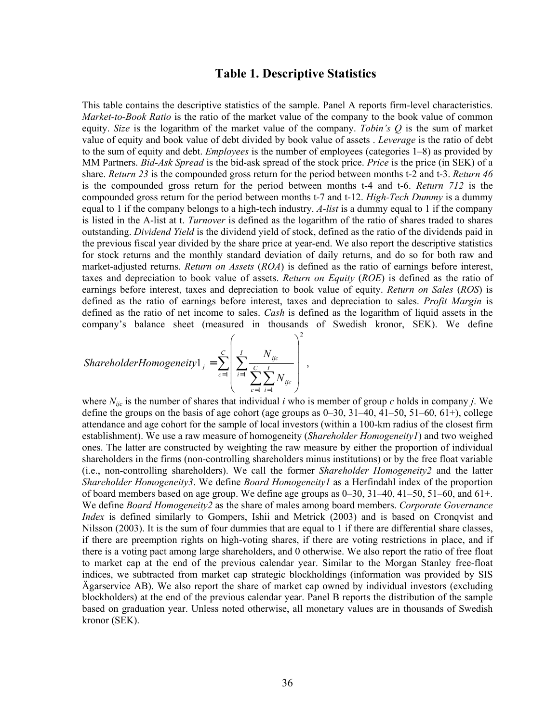## **Table 1. Descriptive Statistics**

This table contains the descriptive statistics of the sample. Panel A reports firm-level characteristics. *Market-to-Book Ratio* is the ratio of the market value of the company to the book value of common equity. *Size* is the logarithm of the market value of the company. *Tobin's Q* is the sum of market value of equity and book value of debt divided by book value of assets . *Leverage* is the ratio of debt to the sum of equity and debt. *Employees* is the number of employees (categories 1–8) as provided by MM Partners. *Bid-Ask Spread* is the bid-ask spread of the stock price. *Price* is the price (in SEK) of a share. *Return 23* is the compounded gross return for the period between months t-2 and t-3. *Return 46* is the compounded gross return for the period between months t-4 and t-6. *Return 712* is the compounded gross return for the period between months t-7 and t-12. *High-Tech Dummy* is a dummy equal to 1 if the company belongs to a high-tech industry. *A-list* is a dummy equal to 1 if the company is listed in the A-list at t. *Turnover* is defined as the logarithm of the ratio of shares traded to shares outstanding. *Dividend Yield* is the dividend yield of stock, defined as the ratio of the dividends paid in the previous fiscal year divided by the share price at year-end. We also report the descriptive statistics for stock returns and the monthly standard deviation of daily returns, and do so for both raw and market-adjusted returns. *Return on Assets* (*ROA*) is defined as the ratio of earnings before interest, taxes and depreciation to book value of assets. *Return on Equity* (*ROE*) is defined as the ratio of earnings before interest, taxes and depreciation to book value of equity. *Return on Sales* (*ROS*) is defined as the ratio of earnings before interest, taxes and depreciation to sales. *Profit Margin* is defined as the ratio of net income to sales. *Cash* is defined as the logarithm of liquid assets in the company's balance sheet (measured in thousands of Swedish kronor, SEK). We define

\n
$$
\text{ShareholderHomogeneity1}_{j} = \sum_{c=1}^{C} \left( \sum_{i=1}^{I} \frac{N_{ijc}}{\sum_{c=1}^{C} \sum_{i=1}^{I} N_{ijc}} \right)^{2},
$$
\n

where  $N_{ijc}$  is the number of shares that individual *i* who is member of group *c* holds in company *j*. We define the groups on the basis of age cohort (age groups as  $0-30$ ,  $31-40$ ,  $41-50$ ,  $51-60$ ,  $61+$ ), college attendance and age cohort for the sample of local investors (within a 100-km radius of the closest firm establishment). We use a raw measure of homogeneity (*Shareholder Homogeneity1*) and two weighed ones. The latter are constructed by weighting the raw measure by either the proportion of individual shareholders in the firms (non-controlling shareholders minus institutions) or by the free float variable (i.e., non-controlling shareholders). We call the former *Shareholder Homogeneity2* and the latter *Shareholder Homogeneity3*. We define *Board Homogeneity1* as a Herfindahl index of the proportion of board members based on age group. We define age groups as  $0-30$ ,  $31-40$ ,  $41-50$ ,  $51-60$ , and  $61+$ . We define *Board Homogeneity2* as the share of males among board members. *Corporate Governance Index* is defined similarly to Gompers, Ishii and Metrick (2003) and is based on Cronqvist and Nilsson (2003). It is the sum of four dummies that are equal to 1 if there are differential share classes, if there are preemption rights on high-voting shares, if there are voting restrictions in place, and if there is a voting pact among large shareholders, and 0 otherwise. We also report the ratio of free float to market cap at the end of the previous calendar year. Similar to the Morgan Stanley free-float indices, we subtracted from market cap strategic blockholdings (information was provided by SIS Ägarservice AB). We also report the share of market cap owned by individual investors (excluding blockholders) at the end of the previous calendar year. Panel B reports the distribution of the sample based on graduation year. Unless noted otherwise, all monetary values are in thousands of Swedish kronor (SEK).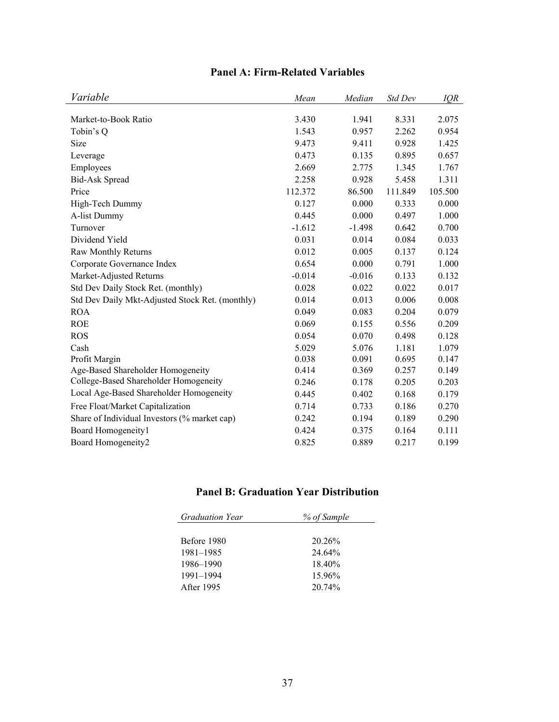| Variable                                        | Mean     | Median   | Std Dev | IQR     |
|-------------------------------------------------|----------|----------|---------|---------|
| Market-to-Book Ratio                            | 3.430    | 1.941    | 8.331   | 2.075   |
| Tobin's Q                                       | 1.543    | 0.957    | 2.262   | 0.954   |
| Size                                            | 9.473    | 9.411    | 0.928   | 1.425   |
| Leverage                                        | 0.473    | 0.135    | 0.895   | 0.657   |
| Employees                                       | 2.669    | 2.775    | 1.345   | 1.767   |
| <b>Bid-Ask Spread</b>                           | 2.258    | 0.928    | 5.458   | 1.311   |
| Price                                           | 112.372  | 86.500   | 111.849 | 105.500 |
| High-Tech Dummy                                 | 0.127    | 0.000    | 0.333   | 0.000   |
| A-list Dummy                                    | 0.445    | 0.000    | 0.497   | 1.000   |
| Turnover                                        | $-1.612$ | $-1.498$ | 0.642   | 0.700   |
| Dividend Yield                                  | 0.031    | 0.014    | 0.084   | 0.033   |
| Raw Monthly Returns                             | 0.012    | 0.005    | 0.137   | 0.124   |
| Corporate Governance Index                      | 0.654    | 0.000    | 0.791   | 1.000   |
| Market-Adjusted Returns                         | $-0.014$ | $-0.016$ | 0.133   | 0.132   |
| Std Dev Daily Stock Ret. (monthly)              | 0.028    | 0.022    | 0.022   | 0.017   |
| Std Dev Daily Mkt-Adjusted Stock Ret. (monthly) | 0.014    | 0.013    | 0.006   | 0.008   |
| <b>ROA</b>                                      | 0.049    | 0.083    | 0.204   | 0.079   |
| <b>ROE</b>                                      | 0.069    | 0.155    | 0.556   | 0.209   |
| <b>ROS</b>                                      | 0.054    | 0.070    | 0.498   | 0.128   |
| Cash                                            | 5.029    | 5.076    | 1.181   | 1.079   |
| Profit Margin                                   | 0.038    | 0.091    | 0.695   | 0.147   |
| Age-Based Shareholder Homogeneity               | 0.414    | 0.369    | 0.257   | 0.149   |
| College-Based Shareholder Homogeneity           | 0.246    | 0.178    | 0.205   | 0.203   |
| Local Age-Based Shareholder Homogeneity         | 0.445    | 0.402    | 0.168   | 0.179   |
| Free Float/Market Capitalization                | 0.714    | 0.733    | 0.186   | 0.270   |
| Share of Individual Investors (% market cap)    | 0.242    | 0.194    | 0.189   | 0.290   |
| Board Homogeneity1                              | 0.424    | 0.375    | 0.164   | 0.111   |
| Board Homogeneity2                              | 0.825    | 0.889    | 0.217   | 0.199   |

# **Panel A: Firm-Related Variables**

# **Panel B: Graduation Year Distribution**

| <b>Graduation Year</b> | % of Sample |
|------------------------|-------------|
|                        |             |
| Before 1980            | 20.26%      |
| 1981–1985              | 24 64%      |
| 1986–1990              | 18.40%      |
| 1991–1994              | 15.96%      |
| After 1995             | 20 74%      |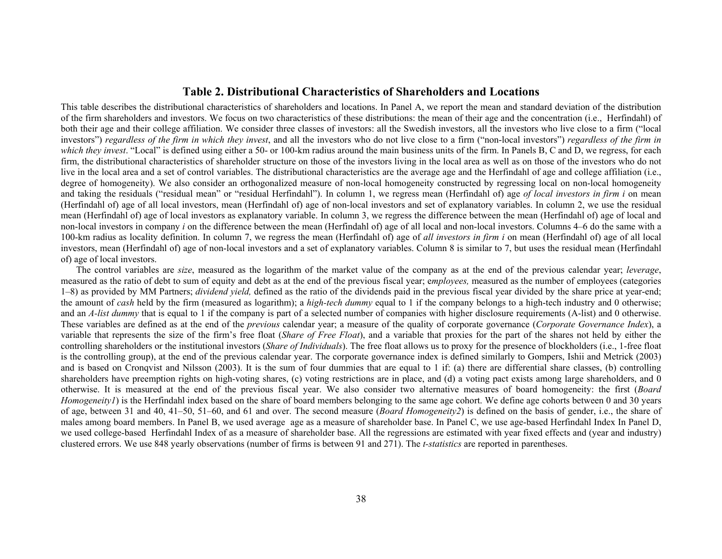## **Table 2. Distributional Characteristics of Shareholders and Locations**

This table describes the distributional characteristics of shareholders and locations. In Panel A, we report the mean and standard deviation of the distribution of the firm shareholders and investors. We focus on two characteristics of these distributions: the mean of their age and the concentration (i.e., Herfindahl) of both their age and their college affiliation. We consider three classes of investors: all the Swedish investors, all the investors who live close to a firm ("local investors") *regardless of the firm in which they invest*, and all the investors who do not live close to a firm ("non-local investors") *regardless of the firm in which they invest.* "Local" is defined using either a 50- or 100-km radius around the main business units of the firm. In Panels B, C and D, we regress, for each firm, the distributional characteristics of shareholder structure on those of the investors living in the local area as well as on those of the investors who do not live in the local area and a set of control variables. The distributional characteristics are the average age and the Herfindahl of age and college affiliation (i.e., degree of homogeneity). We also consider an orthogonalized measure of non-local homogeneity constructed by regressing local on non-local homogeneity and taking the residuals ("residual mean" or "residual Herfindahl"). In column 1, we regress mean (Herfindahl of) age *of local investors in firm i* on mean (Herfindahl of) age of all local investors, mean (Herfindahl of) age of non-local investors and set of explanatory variables. In column 2, we use the residual mean (Herfindahl of) age of local investors as explanatory variable. In column 3, we regress the difference between the mean (Herfindahl of) age of local and non-local investors in company *i* on the difference between the mean (Herfindahl of) age of all local and non-local investors. Columns 4–6 do the same with a 100-km radius as locality definition. In column 7, we regress the mean (Herfindahl of) age of *all investors in firm i* on mean (Herfindahl of) age of all local investors, mean (Herfindahl of) age of non-local investors and a set of explanatory variables. Column 8 is similar to 7, but uses the residual mean (Herfindahl of) age of local investors.

The control variables are *size*, measured as the logarithm of the market value of the company as at the end of the previous calendar year; *leverage*, measured as the ratio of debt to sum of equity and debt as at the end of the previous fiscal year; e*mployees,* measured as the number of employees (categories 1–8) as provided by MM Partners; *dividend yield,* defined as the ratio of the dividends paid in the previous fiscal year divided by the share price at year-end; the amount of *cash* held by the firm (measured as logarithm); a *high-tech dummy* equal to 1 if the company belongs to a high-tech industry and 0 otherwise; and an *A-list dummy* that is equal to 1 if the company is part of a selected number of companies with higher disclosure requirements (A-list) and 0 otherwise. These variables are defined as at the end of the *previous* calendar year; a measure of the quality of corporate governance (*Corporate Governance Index*), a variable that represents the size of the firm's free float (*Share of Free Float*), and a variable that proxies for the part of the shares not held by either the controlling shareholders or the institutional investors (*Share of Individuals*). The free float allows us to proxy for the presence of blockholders (i.e., 1-free float is the controlling group), at the end of the previous calendar year. The corporate governance index is defined similarly to Gompers, Ishii and Metrick (2003) and is based on Cronqvist and Nilsson (2003). It is the sum of four dummies that are equal to 1 if: (a) there are differential share classes, (b) controlling shareholders have preemption rights on high-voting shares, (c) voting restrictions are in place, and (d) a voting pact exists among large shareholders, and 0 otherwise. It is measured at the end of the previous fiscal year. We also consider two alternative measures of board homogeneity: the first (*Board Homogeneity1*) is the Herfindahl index based on the share of board members belonging to the same age cohort. We define age cohorts between 0 and 30 years of age, between 31 and 40, 41–50, 51–60, and 61 and over. The second measure (*Board Homogeneity2*) is defined on the basis of gender, i.e., the share of males among board members. In Panel B, we used average age as a measure of shareholder base. In Panel C, we use age-based Herfindahl Index In Panel D, we used college-based Herfindahl Index of as a measure of shareholder base. All the regressions are estimated with year fixed effects and (year and industry) clustered errors. We use 848 yearly observations (number of firms is between 91 and 271). The *t-statistics* are reported in parentheses.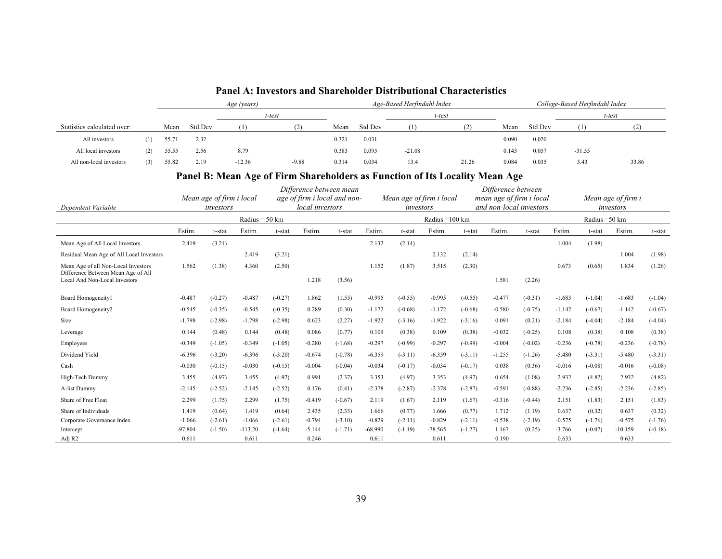|                             |     |       |         | Age (years) |         |       |         | Age-Based Herfindahl Index |        |       |         | College-Based Herfindahl Index |        |  |  |
|-----------------------------|-----|-------|---------|-------------|---------|-------|---------|----------------------------|--------|-------|---------|--------------------------------|--------|--|--|
|                             |     |       |         |             | t-test  |       |         |                            | t-test |       |         |                                | t-test |  |  |
| Statistics calculated over: |     | Mean  | Std.Dev |             |         | Mean  | Std Dev |                            |        | Mean  | Std Dev |                                |        |  |  |
| All investors               | (1) | 55.71 | 2.32    |             |         | 0.321 | 0.031   |                            |        | 0.090 | 0.020   |                                |        |  |  |
| All local investors         | (2) | 55.55 | 2.56    | 8.79        |         | 0.383 | 0.095   | $-21.08$                   |        | 0.143 | 0.057   | $-31.55$                       |        |  |  |
| All non-local investors     | (3) | 55.82 | 2.19    | $-12.36$    | $-9.88$ | 0.314 | 0.034   | 13.4                       | 21.26  | 0.084 | 0.035   | 3.43                           | 33.86  |  |  |

#### **Panel A: Investors and Shareholder Distributional Characteristics**

# **Panel B: Mean Age of Firm Shareholders as Function of Its Locality Mean Age**

|                                                                           |           | Mean age of firm i local |                          |           | Difference between mean<br>local investors | age of firm i local and non- |           |           | Mean age of firm i local |           | Difference between | mean age of firm i local<br>and non-local investors |          |                | Mean age of firm i |           |
|---------------------------------------------------------------------------|-----------|--------------------------|--------------------------|-----------|--------------------------------------------|------------------------------|-----------|-----------|--------------------------|-----------|--------------------|-----------------------------------------------------|----------|----------------|--------------------|-----------|
| Dependent Variable                                                        |           | investors                |                          |           |                                            |                              |           | investors |                          |           |                    |                                                     |          |                | investors          |           |
|                                                                           |           |                          | Radius = $50 \text{ km}$ |           |                                            |                              |           |           | Radius = 100 km          |           |                    |                                                     |          | Radius = 50 km |                    |           |
|                                                                           | Estim.    | t-stat                   | Estim.                   | t-stat    | Estim.                                     | t-stat                       | Estim.    | t-stat    | Estim.                   | t-stat    | Estim.             | t-stat                                              | Estim.   | t-stat         | Estim.             | t-stat    |
| Mean Age of All Local Investors                                           | 2.419     | (3.21)                   |                          |           |                                            |                              | 2.132     | (2.14)    |                          |           |                    |                                                     | 1.004    | (1.98)         |                    |           |
| Residual Mean Age of All Local Investors                                  |           |                          | 2.419                    | (3.21)    |                                            |                              |           |           | 2.132                    | (2.14)    |                    |                                                     |          |                | 1.004              | (1.98)    |
| Mean Age of all Non-Local Investors<br>Difference Between Mean Age of All | 1.562     | (1.38)                   | 4.360                    | (2.50)    |                                            |                              | 1.152     | (1.87)    | 3.515                    | (2.30)    |                    |                                                     | 0.673    | (0.65)         | 1.834              | (1.26)    |
| Local And Non-Local Investors                                             |           |                          |                          |           | 1.218                                      | (3.56)                       |           |           |                          |           | 1.581              | (2.26)                                              |          |                |                    |           |
| Board Homogeneityl                                                        | $-0.487$  | $(-0.27)$                | $-0.487$                 | $(-0.27)$ | 1.862                                      | (1.55)                       | $-0.995$  | $(-0.55)$ | $-0.995$                 | $(-0.55)$ | $-0.477$           | $(-0.31)$                                           | $-1.683$ | $(-1.04)$      | $-1.683$           | $(-1.04)$ |
| Board Homogeneity2                                                        | $-0.545$  | $(-0.35)$                | $-0.545$                 | $(-0.35)$ | 0.289                                      | (0.30)                       | $-1.172$  | $(-0.68)$ | $-1.172$                 | $(-0.68)$ | $-0.580$           | $(-0.75)$                                           | $-1.142$ | $(-0.67)$      | $-1.142$           | $(-0.67)$ |
| Size                                                                      | $-1.798$  | $(-2.98)$                | $-1.798$                 | $(-2.98)$ | 0.623                                      | (2.27)                       | $-1.922$  | $(-3.16)$ | $-1.922$                 | $(-3.16)$ | 0.091              | (0.21)                                              | $-2.184$ | $(-4.04)$      | $-2.184$           | $(-4.04)$ |
| Leverage                                                                  | 0.144     | (0.48)                   | 0.144                    | (0.48)    | 0.086                                      | (0.77)                       | 0.109     | (0.38)    | 0.109                    | (0.38)    | $-0.032$           | $(-0.25)$                                           | 0.108    | (0.38)         | 0.108              | (0.38)    |
| Employees                                                                 | $-0.349$  | $(-1.05)$                | $-0.349$                 | $(-1.05)$ | $-0.280$                                   | $(-1.68)$                    | $-0.297$  | $(-0.99)$ | $-0.297$                 | $(-0.99)$ | $-0.004$           | $(-0.02)$                                           | $-0.236$ | $(-0.78)$      | $-0.236$           | $(-0.78)$ |
| Dividend Yield                                                            | $-6.396$  | $(-3.20)$                | $-6.396$                 | $(-3.20)$ | $-0.674$                                   | $(-0.78)$                    | $-6.359$  | $(-3.11)$ | $-6.359$                 | $(-3.11)$ | $-1.255$           | $(-1.26)$                                           | $-5.480$ | $(-3.31)$      | $-5.480$           | $(-3.31)$ |
| Cash                                                                      | $-0.030$  | $(-0.15)$                | $-0.030$                 | $(-0.15)$ | $-0.004$                                   | $(-0.04)$                    | $-0.034$  | $(-0.17)$ | $-0.034$                 | $(-0.17)$ | 0.038              | (0.36)                                              | $-0.016$ | $(-0.08)$      | $-0.016$           | $(-0.08)$ |
| High-Tech Dummy                                                           | 3.455     | (4.97)                   | 3.455                    | (4.97)    | 0.991                                      | (2.37)                       | 3.353     | (4.97)    | 3.353                    | (4.97)    | 0.654              | (1.08)                                              | 2.932    | (4.82)         | 2.932              | (4.82)    |
| A-list Dummy                                                              | $-2.145$  | $(-2.52)$                | $-2.145$                 | $(-2.52)$ | 0.176                                      | (0.41)                       | $-2.378$  | $(-2.87)$ | $-2.378$                 | $(-2.87)$ | $-0.591$           | $(-0.88)$                                           | $-2.236$ | $(-2.85)$      | $-2.236$           | $(-2.85)$ |
| Share of Free Float                                                       | 2.299     | (1.75)                   | 2.299                    | (1.75)    | $-0.419$                                   | $(-0.67)$                    | 2.119     | (1.67)    | 2.119                    | (1.67)    | $-0.316$           | $(-0.44)$                                           | 2.151    | (1.83)         | 2.151              | (1.83)    |
| Share of Individuals                                                      | 1.419     | (0.64)                   | 1.419                    | (0.64)    | 2.435                                      | (2.33)                       | 1.666     | (0.77)    | 1.666                    | (0.77)    | 1.712              | (1.19)                                              | 0.637    | (0.32)         | 0.637              | (0.32)    |
| Corporate Governance Index                                                | $-1.066$  | $(-2.61)$                | $-1.066$                 | $(-2.61)$ | $-0.794$                                   | $(-3.10)$                    | $-0.829$  | $(-2.11)$ | $-0.829$                 | $(-2.11)$ | $-0.538$           | $(-2.19)$                                           | $-0.575$ | $(-1.76)$      | $-0.575$           | $(-1.76)$ |
| Intercept                                                                 | $-97.804$ | $(-1.50)$                | $-113.20$                | $(-1.64)$ | $-5.144$                                   | $(-1.71)$                    | $-68.990$ | $(-1.19)$ | $-78.565$                | $(-1.27)$ | 1.167              | (0.25)                                              | $-3.766$ | $(-0.07)$      | $-10.159$          | $(-0.18)$ |
| Adj R <sub>2</sub>                                                        | 0.611     |                          | 0.611                    |           | 0.246                                      |                              | 0.611     |           | 0.611                    |           | 0.190              |                                                     | 0.633    |                | 0.633              |           |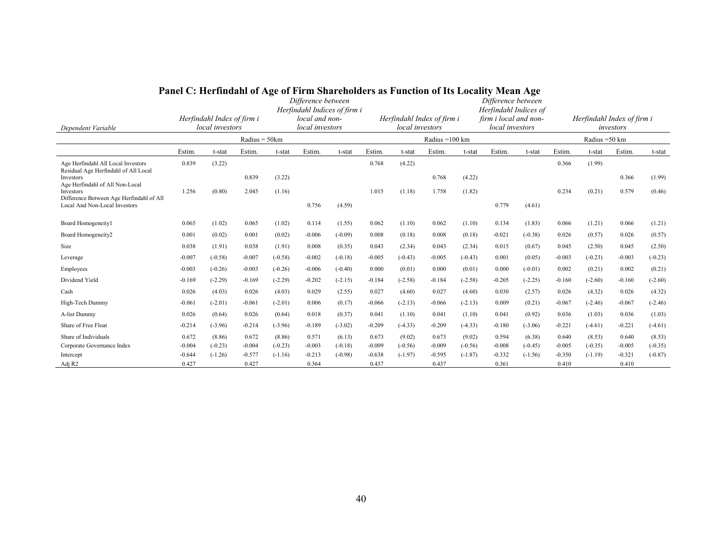| Dependent Variable                                                        | $\mathbf{v}$ , which is a set of $\mathbf{u}$<br>c of f in in state enorgers as I anchon of the moca<br>Difference between<br>Herfindahl Indices of firm i<br>local and non-<br>Herfindahl Index of firm i<br>local investors<br>local investors |           |                   |           |                   | local investors | Herfindahl Index of firm i |           | <br>Difference between<br>Herfindahl Indices of<br>firm i local and non-<br>local investors |           |                   |           | Herfindahl Index of firm i<br>investors |                |                   |           |
|---------------------------------------------------------------------------|--------------------------------------------------------------------------------------------------------------------------------------------------------------------------------------------------------------------------------------------------|-----------|-------------------|-----------|-------------------|-----------------|----------------------------|-----------|---------------------------------------------------------------------------------------------|-----------|-------------------|-----------|-----------------------------------------|----------------|-------------------|-----------|
|                                                                           |                                                                                                                                                                                                                                                  |           | Radius = $50km$   |           |                   |                 |                            |           | Radius = $100 \text{ km}$                                                                   |           |                   |           |                                         | Radius = 50 km |                   |           |
|                                                                           | Estim                                                                                                                                                                                                                                            | t-stat    | Estim.            | t-stat    | Estim.            | t-stat          | Estim.                     | t-stat    | Estim.                                                                                      | t-stat    | Estim.            | t-stat    | Estim.                                  | t-stat         | Estim.            | t-stat    |
| Age Herfindahl All Local Investors                                        | 0.839                                                                                                                                                                                                                                            | (3.22)    |                   |           |                   |                 | 0.768                      | (4.22)    |                                                                                             |           |                   |           | 0.366                                   | (1.99)         |                   |           |
| Residual Age Herfindahl of All Local<br>Investors                         |                                                                                                                                                                                                                                                  |           | 0.839             | (3.22)    |                   |                 |                            |           | 0.768                                                                                       | (4.22)    |                   |           |                                         |                | 0.366             | (1.99)    |
| Age Herfindahl of All Non-Local<br>Investors                              | 1.256                                                                                                                                                                                                                                            | (0.80)    | 2.045             | (1.16)    |                   |                 | 1.015                      | (1.18)    | 1.758                                                                                       | (1.82)    |                   |           | 0.234                                   | (0.21)         | 0.579             | (0.46)    |
| Difference Between Age Herfindahl of All<br>Local And Non-Local Investors |                                                                                                                                                                                                                                                  |           |                   |           | 0.756             | (4.59)          |                            |           |                                                                                             |           | 0.779             | (4.61)    |                                         |                |                   |           |
|                                                                           |                                                                                                                                                                                                                                                  |           |                   |           |                   |                 |                            |           |                                                                                             |           |                   |           |                                         |                |                   |           |
| Board Homogeneity1                                                        | 0.065                                                                                                                                                                                                                                            | (1.02)    | 0.065             | (1.02)    | 0.114             | (1.55)          | 0.062                      | (1.10)    | 0.062                                                                                       | (1.10)    | 0.134             | (1.83)    | 0.066                                   | (1.21)         | 0.066             | (1.21)    |
| Board Homogeneity2                                                        | 0.001                                                                                                                                                                                                                                            | (0.02)    | 0.001             | (0.02)    | $-0.006$          | $(-0.09)$       | 0.008                      | (0.18)    | 0.008                                                                                       | (0.18)    | $-0.021$          | $(-0.38)$ | 0.026                                   | (0.57)         | 0.026             | (0.57)    |
| Size                                                                      | 0.038                                                                                                                                                                                                                                            | (1.91)    | 0.038             | (1.91)    | 0.008             | (0.35)          | 0.043                      | (2.34)    | 0.043                                                                                       | (2.34)    | 0.015             | (0.67)    | 0.045                                   | (2.50)         | 0.045             | (2.50)    |
| Leverage                                                                  | $-0.007$                                                                                                                                                                                                                                         | $(-0.58)$ | $-0.007$          | $(-0.58)$ | $-0.002$          | $(-0.18)$       | $-0.005$                   | $(-0.43)$ | $-0.005$                                                                                    | $(-0.43)$ | 0.001             | (0.05)    | $-0.003$                                | $(-0.23)$      | $-0.003$          | $(-0.23)$ |
| Employees                                                                 | $-0.003$                                                                                                                                                                                                                                         | $(-0.26)$ | $-0.003$          | $(-0.26)$ | $-0.006$          | $(-0.40)$       | 0.000                      | (0.01)    | 0.000                                                                                       | (0.01)    | 0.000             | $(-0.01)$ | 0.002                                   | (0.21)         | 0.002             | (0.21)    |
| Dividend Yield                                                            | $-0.169$                                                                                                                                                                                                                                         | $(-2.29)$ | $-0.169$          | $(-2.29)$ | $-0.202$          | $(-2.15)$       | $-0.184$                   | $(-2.58)$ | $-0.184$                                                                                    | $(-2.58)$ | $-0.205$          | $(-2.25)$ | $-0.160$                                | $(-2.60)$      | $-0.160$          | $(-2.60)$ |
| Cash                                                                      | 0.026                                                                                                                                                                                                                                            | (4.03)    | 0.026             | (4.03)    | 0.029             | (2.55)          | 0.027                      | (4.60)    | 0.027                                                                                       | (4.60)    | 0.030             | (2.57)    | 0.026                                   | (4.32)         | 0.026             | (4.32)    |
| High-Tech Dummy                                                           | $-0.061$                                                                                                                                                                                                                                         | $(-2.01)$ | $-0.061$          | $(-2.01)$ | 0.006             | (0.17)          | $-0.066$                   | $(-2.13)$ | $-0.066$                                                                                    | $(-2.13)$ | 0.009             | (0.21)    | $-0.067$                                | $(-2.46)$      | $-0.067$          | $(-2.46)$ |
| A-list Dummy                                                              | 0.026                                                                                                                                                                                                                                            | (0.64)    | 0.026             | (0.64)    | 0.018             | (0.37)          | 0.041                      | (1.10)    | 0.041                                                                                       | (1.10)    | 0.041             | (0.92)    | 0.036                                   | (1.03)         | 0.036             | (1.03)    |
| Share of Free Float                                                       | $-0.214$                                                                                                                                                                                                                                         | $(-3.96)$ | $-0.214$          | $(-3.96)$ | $-0.189$          | $(-3.02)$       | $-0.209$                   | $(-4.33)$ | $-0.209$                                                                                    | $(-4.33)$ | $-0.180$          | $(-3.06)$ | $-0.221$                                | $(-4.61)$      | $-0.221$          | $(-4.61)$ |
| Share of Individuals                                                      | 0.672                                                                                                                                                                                                                                            | (8.86)    | 0.672             | (8.86)    | 0.571             | (6.13)          | 0.673                      | (9.02)    | 0.673                                                                                       | (9.02)    | 0.594             | (6.38)    | 0.640                                   | (8.53)         | 0.640             | (8.53)    |
| Corporate Governance Index                                                | $-0.004$                                                                                                                                                                                                                                         | $(-0.23)$ | $-0.004$          | $(-0.23)$ | $-0.003$          | $(-0.18)$       | $-0.009$                   | $(-0.56)$ | $-0.009$                                                                                    | $(-0.56)$ | $-0.008$          | $(-0.45)$ | $-0.005$                                | $(-0.35)$      | $-0.005$          | $(-0.35)$ |
| Intercept<br>Adj R <sub>2</sub>                                           | $-0.644$<br>0.427                                                                                                                                                                                                                                | $(-1.26)$ | $-0.577$<br>0.427 | $(-1.16)$ | $-0.213$<br>0.364 | $(-0.98)$       | $-0.638$<br>0.437          | $(-1.97)$ | $-0.595$<br>0.437                                                                           | $(-1.87)$ | $-0.332$<br>0.361 | $(-1.56)$ | $-0.350$<br>0.410                       | $(-1.19)$      | $-0.321$<br>0.410 | $(-0.87)$ |

### **Panel C: Herfindahl of Age of Firm Shareholders as Function of Its Locality Mean Age**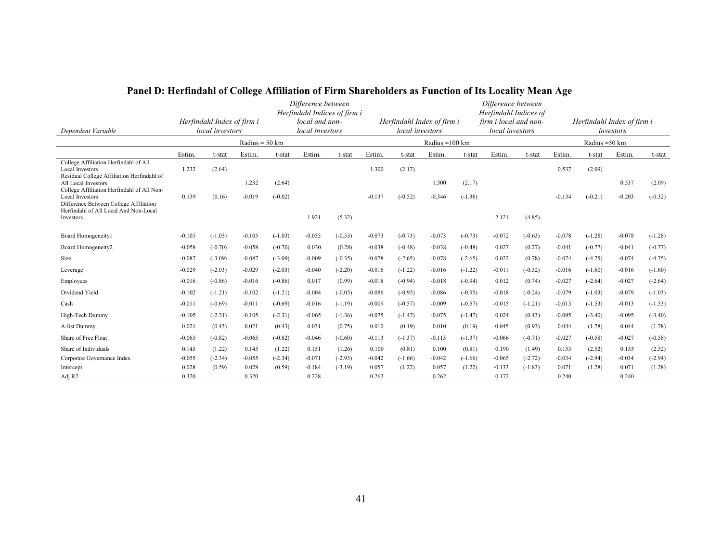|                                                                                                               |          |                                               |                          |           | Difference between                             |           |          |                 |                            |           | Difference between                             |           |          |                |                                         |           |
|---------------------------------------------------------------------------------------------------------------|----------|-----------------------------------------------|--------------------------|-----------|------------------------------------------------|-----------|----------|-----------------|----------------------------|-----------|------------------------------------------------|-----------|----------|----------------|-----------------------------------------|-----------|
|                                                                                                               |          |                                               |                          |           | Herfindahl Indices of firm i<br>local and non- |           |          |                 | Herfindahl Index of firm i |           | Herfindahl Indices of<br>firm i local and non- |           |          |                |                                         |           |
| Dependent Variable                                                                                            |          | Herfindahl Index of firm i<br>local investors |                          |           | local investors                                |           |          | local investors |                            |           | local investors                                |           |          |                | Herfindahl Index of firm i<br>investors |           |
|                                                                                                               |          |                                               | Radius = $50 \text{ km}$ |           |                                                |           |          |                 | Radius = 100 km            |           |                                                |           |          | Radius = 50 km |                                         |           |
|                                                                                                               | Estim.   | t-stat                                        | Estim.                   | t-stat    | Estim.                                         | t-stat    | Estim.   | t-stat          | Estim.                     | t-stat    | Estim                                          | t-stat    | Estim.   | t-stat         | Estim.                                  | t-stat    |
| College Affiliation Herfindahl of All<br><b>Local Investors</b><br>Residual College Affiliation Herfindahl of | 1.232    | (2.64)                                        |                          |           |                                                |           | 1.300    | (2.17)          |                            |           |                                                |           | 0.537    | (2.09)         |                                         |           |
| All Local Investors<br>College Affiliation Herfindahl of All Non-                                             |          |                                               | 1.232                    | (2.64)    |                                                |           |          |                 | 1.300                      | (2.17)    |                                                |           |          |                | 0.537                                   | (2.09)    |
| <b>Local Investors</b><br>Difference Between College Affiliation                                              | 0.139    | (0.16)                                        | $-0.019$                 | $(-0.02)$ |                                                |           | $-0.137$ | $(-0.52)$       | $-0.346$                   | $(-1.36)$ |                                                |           | $-0.134$ | $(-0.21)$      | $-0.203$                                | $(-0.32)$ |
| Herfindahl of All Local And Non-Local<br>Investors                                                            |          |                                               |                          |           | 1.921                                          | (5.32)    |          |                 |                            |           | 2.121                                          | (4.85)    |          |                |                                         |           |
| Board Homogeneity1                                                                                            | $-0.105$ | $(-1.03)$                                     | $-0.105$                 | $(-1.03)$ | $-0.055$                                       | $(-0.53)$ | $-0.073$ | $(-0.73)$       | $-0.073$                   | $(-0.73)$ | $-0.072$                                       | $(-0.63)$ | $-0.078$ | $(-1.28)$      | $-0.078$                                | $(-1.28)$ |
| Board Homogeneity2                                                                                            | $-0.058$ | $(-0.70)$                                     | $-0.058$                 | $(-0.70)$ | 0.030                                          | (0.28)    | $-0.038$ | $(-0.48)$       | $-0.038$                   | $(-0.48)$ | 0.027                                          | (0.27)    | $-0.041$ | $(-0.77)$      | $-0.041$                                | $(-0.77)$ |
| Size                                                                                                          | $-0.087$ | $(-3.09)$                                     | $-0.087$                 | $(-3.09)$ | $-0.009$                                       | $(-0.35)$ | $-0.078$ | $(-2.65)$       | $-0.078$                   | $(-2.65)$ | 0.022                                          | (0.78)    | $-0.074$ | $(-4.75)$      | $-0.074$                                | $(-4.75)$ |
| Leverage                                                                                                      | $-0.029$ | $(-2.03)$                                     | $-0.029$                 | $(-2.03)$ | $-0.040$                                       | $(-2.20)$ | $-0.016$ | $(-1.22)$       | $-0.016$                   | $(-1.22)$ | $-0.011$                                       | $(-0.52)$ | $-0.016$ | $(-1.60)$      | $-0.016$                                | $(-1.60)$ |
| Employees                                                                                                     | $-0.016$ | $(-0.86)$                                     | $-0.016$                 | $(-0.86)$ | 0.017                                          | (0.99)    | $-0.018$ | $(-0.94)$       | $-0.018$                   | $(-0.94)$ | 0.012                                          | (0.74)    | $-0.027$ | $(-2.64)$      | $-0.027$                                | $(-2.64)$ |
| Dividend Yield                                                                                                | $-0.102$ | $(-1.21)$                                     | $-0.102$                 | $(-1.21)$ | $-0.004$                                       | $(-0.05)$ | $-0.086$ | $(-0.95)$       | $-0.086$                   | $(-0.95)$ | $-0.018$                                       | $(-0.24)$ | $-0.079$ | $(-1.03)$      | $-0.079$                                | $(-1.03)$ |
| Cash                                                                                                          | $-0.011$ | $(-0.69)$                                     | $-0.011$                 | $(-0.69)$ | $-0.016$                                       | $(-1.19)$ | $-0.009$ | $(-0.57)$       | $-0.009$                   | $(-0.57)$ | $-0.015$                                       | $(-1.21)$ | $-0.013$ | $(-1.53)$      | $-0.013$                                | $(-1.53)$ |
| High-Tech Dummy                                                                                               | $-0.105$ | $(-2.31)$                                     | $-0.105$                 | $(-2.31)$ | $-0.065$                                       | $(-1.36)$ | $-0.075$ | $(-1.47)$       | $-0.075$                   | $(-1.47)$ | 0.024                                          | (0.43)    | $-0.095$ | $(-3.40)$      | $-0.095$                                | $(-3.40)$ |
| A-list Dummy                                                                                                  | 0.021    | (0.43)                                        | 0.021                    | (0.43)    | 0.031                                          | (0.75)    | 0.010    | (0.19)          | 0.010                      | (0.19)    | 0.045                                          | (0.93)    | 0.044    | (1.78)         | 0.044                                   | (1.78)    |
| Share of Free Float                                                                                           | $-0.065$ | $(-0.82)$                                     | $-0.065$                 | $(-0.82)$ | $-0.046$                                       | $(-0.60)$ | $-0.113$ | $(-1.37)$       | $-0.113$                   | $(-1.37)$ | $-0.066$                                       | $(-0.71)$ | $-0.027$ | $(-0.58)$      | $-0.027$                                | $(-0.58)$ |
| Share of Individuals                                                                                          | 0.145    | (1.22)                                        | 0.145                    | (1.22)    | 0.151                                          | (1.26)    | 0.100    | (0.81)          | 0.100                      | (0.81)    | 0.190                                          | (1.49)    | 0.153    | (2.52)         | 0.153                                   | (2.52)    |
| Corporate Governance Index                                                                                    | $-0.055$ | $(-2.34)$                                     | $-0.055$                 | $(-2.34)$ | $-0.071$                                       | $(-2.93)$ | $-0.042$ | $(-1.66)$       | $-0.042$                   | $(-1.66)$ | $-0.065$                                       | $(-2.72)$ | $-0.034$ | $(-2.94)$      | $-0.034$                                | $(-2.94)$ |
| Intercept                                                                                                     | 0.028    | (0.59)                                        | 0.028                    | (0.59)    | $-0.184$                                       | $(-3.19)$ | 0.057    | (1.22)          | 0.057                      | (1.22)    | $-0.133$                                       | $(-1.83)$ | 0.071    | (1.28)         | 0.071                                   | (1.28)    |
| Adj R <sub>2</sub>                                                                                            | 0.320    |                                               | 0.320                    |           | 0.228                                          |           | 0.262    |                 | 0.262                      |           | 0.172                                          |           | 0.240    |                | 0.240                                   |           |

# **Panel D: Herfindahl of College Affiliation of Firm Shareholders as Function of Its Locality Mean Age**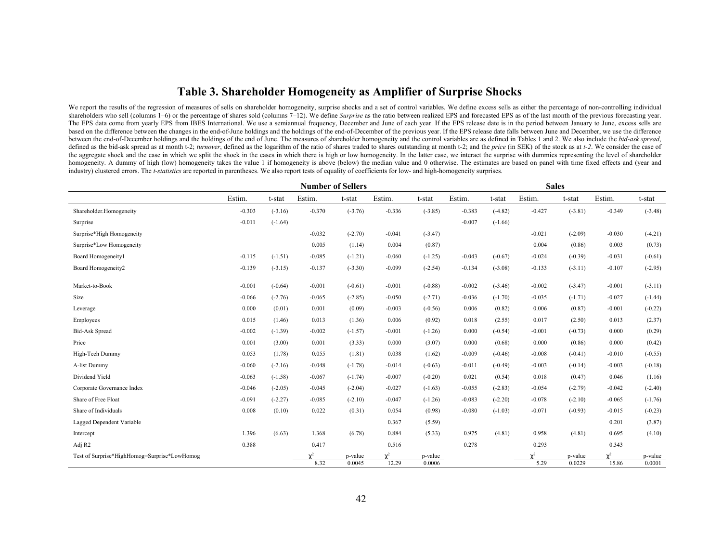## **Table 3. Shareholder Homogeneity as Amplifier of Surprise Shocks**

We report the results of the regression of measures of sells on shareholder homogeneity, surprise shocks and a set of control variables. We define excess sells as either the percentage of non-controlling individual shareholders who sell (columns 1–6) or the percentage of shares sold (columns 7–12). We define *Surprise* as the ratio between realized EPS and forecasted EPS as of the last month of the previous forecasting year. The EPS data come from yearly EPS from IBES International. We use a semiannual frequency, December and June of each year. If the EPS release date is in the period between January to June, excess sells are based on the difference between the changes in the end-of-June holdings and the holdings of the end-of-December of the previous year. If the EPS release date falls between June and December, we use the difference between the end-of-December holdings and the holdings of the end of June. The measures of shareholder homogeneity and the control variables are as defined in Tables 1 and 2. We also include the *bid-ask spread*, defined as the bid-ask spread as at month t-2; turnover, defined as the logarithm of the ratio of shares traded to shares outstanding at month t-2; and the price (in SEK) of the stock as at t-2. We consider the case of the aggregate shock and the case in which we split the shock in the cases in which there is high or low homogeneity. In the latter case, we interact the surprise with dummies representing the level of shareholder homogeneity. A dummy of high (low) homogeneity takes the value 1 if homogeneity is above (below) the median value and 0 otherwise. The estimates are based on panel with time fixed effects and (year and industry) clustered errors. The *t-statistics* are reported in parentheses. We also report tests of equality of coefficients for low- and high-homogeneity surprises*.*

|                                              |          |           |          | <b>Number of Sellers</b> |          |                   |        | <b>Sales</b><br>Estim.<br>Estim.<br>t-stat<br>t-stat<br>$-0.383$<br>$(-4.82)$<br>$-0.427$<br>$(-3.81)$<br>$-0.349$<br>$-0.007$<br>$(-1.66)$<br>$-0.021$<br>$(-2.09)$<br>$-0.030$<br>0.004<br>(0.86)<br>0.003<br>$-0.043$<br>$(-0.67)$<br>$-0.024$<br>$(-0.39)$<br>$-0.031$<br>$-0.134$<br>$-0.133$<br>$-0.107$<br>$(-3.08)$<br>$(-3.11)$<br>$-0.002$<br>$-0.002$<br>$(-3.46)$<br>$(-3.47)$<br>$-0.001$<br>$-0.036$<br>$(-1.70)$<br>$-0.035$<br>$(-1.71)$<br>$-0.027$<br>0.006<br>0.006<br>(0.82)<br>(0.87)<br>$-0.001$<br>0.018<br>0.017<br>(2.55)<br>(2.50)<br>0.013<br>0.000<br>$(-0.54)$<br>$-0.001$<br>$(-0.73)$<br>0.000<br>0.000<br>0.000<br>(0.68)<br>(0.86)<br>0.000<br>$-0.009$<br>$-0.008$<br>$(-0.41)$<br>$-0.010$<br>$(-0.46)$<br>$-0.011$<br>$-0.003$<br>$(-0.49)$<br>$(-0.14)$<br>$-0.003$<br>0.021<br>(0.54)<br>0.018<br>(0.47)<br>0.046<br>$-0.055$<br>$-0.054$<br>$(-2.79)$<br>$-0.042$<br>$(-2.83)$<br>$-0.083$<br>$(-2.20)$<br>$-0.078$<br>$(-2.10)$<br>$-0.065$<br>$-0.080$<br>$-0.071$<br>$(-1.03)$<br>$(-0.93)$<br>$-0.015$<br>0.201<br>0.975<br>(4.81)<br>0.958<br>(4.81)<br>0.695 |                        |                   |                     |                   |
|----------------------------------------------|----------|-----------|----------|--------------------------|----------|-------------------|--------|-----------------------------------------------------------------------------------------------------------------------------------------------------------------------------------------------------------------------------------------------------------------------------------------------------------------------------------------------------------------------------------------------------------------------------------------------------------------------------------------------------------------------------------------------------------------------------------------------------------------------------------------------------------------------------------------------------------------------------------------------------------------------------------------------------------------------------------------------------------------------------------------------------------------------------------------------------------------------------------------------------------------------------------------------------------------------------------------------------------|------------------------|-------------------|---------------------|-------------------|
|                                              | Estim.   | t-stat    | Estim.   | t-stat                   | Estim.   | t-stat            | Estim. |                                                                                                                                                                                                                                                                                                                                                                                                                                                                                                                                                                                                                                                                                                                                                                                                                                                                                                                                                                                                                                                                                                           |                        |                   |                     | t-stat            |
| Shareholder.Homogeneity                      | $-0.303$ | $(-3.16)$ | $-0.370$ | $(-3.76)$                | $-0.336$ | $(-3.85)$         |        |                                                                                                                                                                                                                                                                                                                                                                                                                                                                                                                                                                                                                                                                                                                                                                                                                                                                                                                                                                                                                                                                                                           |                        |                   |                     | $(-3.48)$         |
| Surprise                                     | $-0.011$ | $(-1.64)$ |          |                          |          |                   |        |                                                                                                                                                                                                                                                                                                                                                                                                                                                                                                                                                                                                                                                                                                                                                                                                                                                                                                                                                                                                                                                                                                           |                        |                   |                     |                   |
| Surprise*High Homogeneity                    |          |           | $-0.032$ | $(-2.70)$                | $-0.041$ | $(-3.47)$         |        |                                                                                                                                                                                                                                                                                                                                                                                                                                                                                                                                                                                                                                                                                                                                                                                                                                                                                                                                                                                                                                                                                                           |                        |                   |                     | $(-4.21)$         |
| Surprise*Low Homogeneity                     |          |           | 0.005    | (1.14)                   | 0.004    | (0.87)            |        |                                                                                                                                                                                                                                                                                                                                                                                                                                                                                                                                                                                                                                                                                                                                                                                                                                                                                                                                                                                                                                                                                                           |                        |                   |                     | (0.73)            |
| Board Homogeneity1                           | $-0.115$ | $(-1.51)$ | $-0.085$ | $(-1.21)$                | $-0.060$ | $(-1.25)$         |        |                                                                                                                                                                                                                                                                                                                                                                                                                                                                                                                                                                                                                                                                                                                                                                                                                                                                                                                                                                                                                                                                                                           |                        |                   |                     | $(-0.61)$         |
| Board Homogeneity2                           | $-0.139$ | $(-3.15)$ | $-0.137$ | $(-3.30)$                | $-0.099$ | $(-2.54)$         |        |                                                                                                                                                                                                                                                                                                                                                                                                                                                                                                                                                                                                                                                                                                                                                                                                                                                                                                                                                                                                                                                                                                           |                        |                   |                     | $(-2.95)$         |
| Market-to-Book                               | $-0.001$ | $(-0.64)$ | $-0.001$ | $(-0.61)$                | $-0.001$ | $(-0.88)$         |        |                                                                                                                                                                                                                                                                                                                                                                                                                                                                                                                                                                                                                                                                                                                                                                                                                                                                                                                                                                                                                                                                                                           |                        |                   |                     | $(-3.11)$         |
| Size                                         | $-0.066$ | $(-2.76)$ | $-0.065$ | $(-2.85)$                | $-0.050$ | $(-2.71)$         |        |                                                                                                                                                                                                                                                                                                                                                                                                                                                                                                                                                                                                                                                                                                                                                                                                                                                                                                                                                                                                                                                                                                           |                        |                   |                     | $(-1.44)$         |
| Leverage                                     | 0.000    | (0.01)    | 0.001    | (0.09)                   | $-0.003$ | $(-0.56)$         |        |                                                                                                                                                                                                                                                                                                                                                                                                                                                                                                                                                                                                                                                                                                                                                                                                                                                                                                                                                                                                                                                                                                           |                        |                   |                     | $(-0.22)$         |
| Employees                                    | 0.015    | (1.46)    | 0.013    | (1.36)                   | 0.006    | (0.92)            |        |                                                                                                                                                                                                                                                                                                                                                                                                                                                                                                                                                                                                                                                                                                                                                                                                                                                                                                                                                                                                                                                                                                           |                        |                   |                     | (2.37)            |
| <b>Bid-Ask Spread</b>                        | $-0.002$ | $(-1.39)$ | $-0.002$ | $(-1.57)$                | $-0.001$ | $(-1.26)$         |        |                                                                                                                                                                                                                                                                                                                                                                                                                                                                                                                                                                                                                                                                                                                                                                                                                                                                                                                                                                                                                                                                                                           |                        |                   |                     | (0.29)            |
| Price                                        | 0.001    | (3.00)    | 0.001    | (3.33)                   | 0.000    | (3.07)            |        |                                                                                                                                                                                                                                                                                                                                                                                                                                                                                                                                                                                                                                                                                                                                                                                                                                                                                                                                                                                                                                                                                                           |                        |                   |                     | (0.42)            |
| High-Tech Dummy                              | 0.053    | (1.78)    | 0.055    | (1.81)                   | 0.038    | (1.62)            |        |                                                                                                                                                                                                                                                                                                                                                                                                                                                                                                                                                                                                                                                                                                                                                                                                                                                                                                                                                                                                                                                                                                           |                        |                   |                     | $(-0.55)$         |
| A-list Dummy                                 | $-0.060$ | $(-2.16)$ | $-0.048$ | $(-1.78)$                | $-0.014$ | $(-0.63)$         |        |                                                                                                                                                                                                                                                                                                                                                                                                                                                                                                                                                                                                                                                                                                                                                                                                                                                                                                                                                                                                                                                                                                           |                        |                   |                     | $(-0.18)$         |
| Dividend Yield                               | $-0.063$ | $(-1.58)$ | $-0.067$ | $(-1.74)$                | $-0.007$ | $(-0.20)$         |        |                                                                                                                                                                                                                                                                                                                                                                                                                                                                                                                                                                                                                                                                                                                                                                                                                                                                                                                                                                                                                                                                                                           |                        |                   |                     | (1.16)            |
| Corporate Governance Index                   | $-0.046$ | $(-2.05)$ | $-0.045$ | $(-2.04)$                | $-0.027$ | $(-1.63)$         |        |                                                                                                                                                                                                                                                                                                                                                                                                                                                                                                                                                                                                                                                                                                                                                                                                                                                                                                                                                                                                                                                                                                           |                        |                   |                     | $(-2.40)$         |
| Share of Free Float                          | $-0.091$ | $(-2.27)$ | $-0.085$ | $(-2.10)$                | $-0.047$ | $(-1.26)$         |        |                                                                                                                                                                                                                                                                                                                                                                                                                                                                                                                                                                                                                                                                                                                                                                                                                                                                                                                                                                                                                                                                                                           |                        |                   |                     | $(-1.76)$         |
| Share of Individuals                         | 0.008    | (0.10)    | 0.022    | (0.31)                   | 0.054    | (0.98)            |        |                                                                                                                                                                                                                                                                                                                                                                                                                                                                                                                                                                                                                                                                                                                                                                                                                                                                                                                                                                                                                                                                                                           |                        |                   |                     | $(-0.23)$         |
| Lagged Dependent Variable                    |          |           |          |                          | 0.367    | (5.59)            |        |                                                                                                                                                                                                                                                                                                                                                                                                                                                                                                                                                                                                                                                                                                                                                                                                                                                                                                                                                                                                                                                                                                           |                        |                   |                     | (3.87)            |
| Intercept                                    | 1.396    | (6.63)    | 1.368    | (6.78)                   | 0.884    | (5.33)            |        |                                                                                                                                                                                                                                                                                                                                                                                                                                                                                                                                                                                                                                                                                                                                                                                                                                                                                                                                                                                                                                                                                                           |                        |                   |                     | (4.10)            |
| Adj R <sub>2</sub>                           | 0.388    |           | 0.417    |                          | 0.516    |                   | 0.278  |                                                                                                                                                                                                                                                                                                                                                                                                                                                                                                                                                                                                                                                                                                                                                                                                                                                                                                                                                                                                                                                                                                           | 0.293                  |                   | 0.343               |                   |
| Test of Surprise*HighHomog=Surprise*LowHomog |          |           | 8.32     | p-value<br>0.0045        | 12.29    | p-value<br>0.0006 |        |                                                                                                                                                                                                                                                                                                                                                                                                                                                                                                                                                                                                                                                                                                                                                                                                                                                                                                                                                                                                                                                                                                           | $\mathbf{v}^2$<br>5.29 | p-value<br>0.0229 | $\gamma^2$<br>15.86 | p-value<br>0.0001 |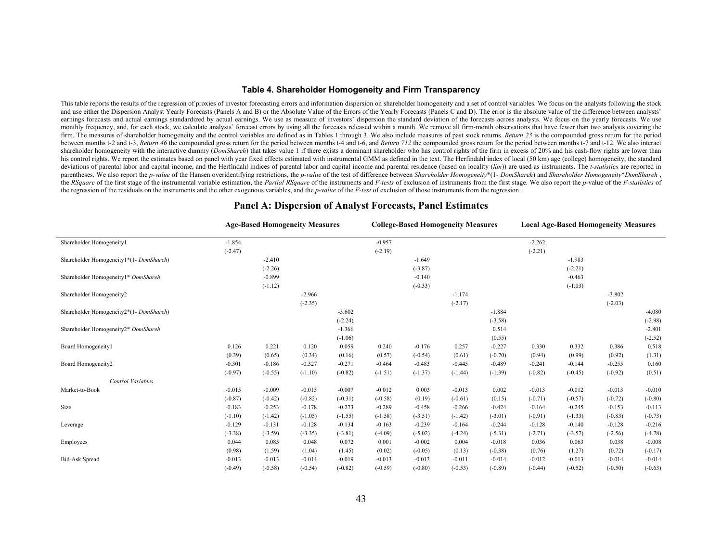#### **Table 4. Shareholder Homogeneity and Firm Transparency**

This table reports the results of the regression of proxies of investor forecasting errors and information dispersion on shareholder homogeneity and a set of control variables. We focus on the analysts following the stock and use either the Dispersion Analyst Yearly Forecasts (Panels A and B) or the Absolute Value of the Errors of the Yearly Forecasts (Panels C and D). The error is the absolute value of the difference between analysts' earnings forecasts and actual earnings standardized by actual earnings. We use as measure of investors' dispersion the standard deviation of the forecasts across analysts. We focus on the vearly forecasts. We use monthly frequency, and, for each stock, we calculate analysts' forecast errors by using all the forecasts released within a month. We remove all firm-month observations that have fewer than two analysts covering the firm. The measures of shareholder homogeneity and the control variables are defined as in Tables 1 through 3. We also include measures of past stock returns. *Return 23* is the compounded gross return for the period between months t-2 and t-3, Return 46 the compounded gross return for the period between months t-4 and t-6, and Return 712 the compounded gross return for the period between months t-7 and t-12. We also interact shareholder homogeneity with the interactive dummy (*DomShareh*) that takes value 1 if there exists a dominant shareholder who has control rights of the firm in excess of 20% and his cash-flow rights are lower than his control rights. We report the estimates based on panel with year fixed effects estimated with instrumental GMM as defined in the text. The Herfindahl index of local (50 km) age (college) homogeneity, the standard deviations of parental labor and capital income, and the Herfindahl indices of parental labor and capital income and parental residence (based on locality (län)) are used as instruments. The *t-statistics* are reported in parentheses. We also report the p-value of the Hansen overidentifying restrictions, the p-value of the test of difference between Shareholder Homogeneity\*(1- DomShareh) and Shareholder Homogeneity\*DomShareh the RSquare of the first stage of the instrumental variable estimation, the Partial RSquare of the instruments and F-tests of exclusion of instruments from the first stage. We also report the p-value of the F-statistics of the regression of the residuals on the instruments and the other exogenous variables, and the *p-value* of the *F-test* of exclusion of those instruments from the regression.

|                                        |           |           | <b>Age-Based Homogeneity Measures</b> |           |           | <b>College-Based Homogeneity Measures</b> |           |           |           |           | <b>Local Age-Based Homogeneity Measures</b> |           |
|----------------------------------------|-----------|-----------|---------------------------------------|-----------|-----------|-------------------------------------------|-----------|-----------|-----------|-----------|---------------------------------------------|-----------|
| Shareholder.Homogeneity1               | $-1.854$  |           |                                       |           | $-0.957$  |                                           |           |           | $-2.262$  |           |                                             |           |
|                                        | $(-2.47)$ |           |                                       |           | $(-2.19)$ |                                           |           |           | $(-2.21)$ |           |                                             |           |
| Shareholder Homogeneity1*(1-DomShareh) |           | $-2.410$  |                                       |           |           | $-1.649$                                  |           |           |           | $-1.983$  |                                             |           |
|                                        |           | $(-2.26)$ |                                       |           |           | $(-3.87)$                                 |           |           |           | $(-2.21)$ |                                             |           |
| Shareholder Homogeneity1* DomShareh    |           | $-0.899$  |                                       |           |           | $-0.140$                                  |           |           |           | $-0.463$  |                                             |           |
|                                        |           | $(-1.12)$ |                                       |           |           | $(-0.33)$                                 |           |           |           | $(-1.03)$ |                                             |           |
| Shareholder Homogeneity2               |           |           | $-2.966$                              |           |           |                                           | $-1.174$  |           |           |           | $-3.802$                                    |           |
|                                        |           |           | $(-2.35)$                             |           |           |                                           | $(-2.17)$ |           |           |           | $(-2.03)$                                   |           |
| Shareholder Homogeneity2*(1-DomShareh) |           |           |                                       | $-3.602$  |           |                                           |           | $-1.884$  |           |           |                                             | $-4.080$  |
|                                        |           |           |                                       | $(-2.24)$ |           |                                           |           | $(-3.58)$ |           |           |                                             | $(-2.98)$ |
| Shareholder Homogeneity2* DomShareh    |           |           |                                       | $-1.366$  |           |                                           |           | 0.514     |           |           |                                             | $-2.801$  |
|                                        |           |           |                                       | $(-1.06)$ |           |                                           |           | (0.55)    |           |           |                                             | $(-2.52)$ |
| Board Homogeneity1                     | 0.126     | 0.221     | 0.120                                 | 0.059     | 0.240     | $-0.176$                                  | 0.257     | $-0.227$  | 0.330     | 0.332     | 0.386                                       | 0.518     |
|                                        | (0.39)    | (0.65)    | (0.34)                                | (0.16)    | (0.57)    | $(-0.54)$                                 | (0.61)    | $(-0.70)$ | (0.94)    | (0.99)    | (0.92)                                      | (1.31)    |
| Board Homogeneity2                     | $-0.301$  | $-0.186$  | $-0.327$                              | $-0.271$  | $-0.464$  | $-0.483$                                  | $-0.445$  | $-0.489$  | $-0.241$  | $-0.144$  | $-0.255$                                    | 0.160     |
|                                        | $(-0.97)$ | $(-0.55)$ | $(-1.10)$                             | $(-0.82)$ | $(-1.51)$ | $(-1.37)$                                 | $(-1.44)$ | $(-1.39)$ | $(-0.82)$ | $(-0.45)$ | $(-0.92)$                                   | (0.51)    |
| Control Variables                      |           |           |                                       |           |           |                                           |           |           |           |           |                                             |           |
| Market-to-Book                         | $-0.015$  | $-0.009$  | $-0.015$                              | $-0.007$  | $-0.012$  | 0.003                                     | $-0.013$  | 0.002     | $-0.013$  | $-0.012$  | $-0.013$                                    | $-0.010$  |
|                                        | $(-0.87)$ | $(-0.42)$ | $(-0.82)$                             | $(-0.31)$ | $(-0.58)$ | (0.19)                                    | $(-0.61)$ | (0.15)    | $(-0.71)$ | $(-0.57)$ | $(-0.72)$                                   | $(-0.80)$ |
| Size                                   | $-0.183$  | $-0.253$  | $-0.178$                              | $-0.273$  | $-0.289$  | $-0.458$                                  | $-0.266$  | $-0.424$  | $-0.164$  | $-0.245$  | $-0.153$                                    | $-0.113$  |
|                                        | $(-1.10)$ | $(-1.42)$ | $(-1.05)$                             | $(-1.55)$ | $(-1.58)$ | $(-3.51)$                                 | $(-1.42)$ | $(-3.01)$ | $(-0.91)$ | $(-1.33)$ | $(-0.83)$                                   | $(-0.73)$ |
| Leverage                               | $-0.129$  | $-0.131$  | $-0.128$                              | $-0.134$  | $-0.163$  | $-0.239$                                  | $-0.164$  | $-0.244$  | $-0.128$  | $-0.140$  | $-0.128$                                    | $-0.216$  |
|                                        | $(-3.38)$ | $(-3.59)$ | $(-3.35)$                             | $(-3.81)$ | $(-4.09)$ | $(-5.02)$                                 | $(-4.24)$ | $(-5.31)$ | $(-2.71)$ | $(-3.57)$ | $(-2.56)$                                   | $(-4.78)$ |
| Employees                              | 0.044     | 0.085     | 0.048                                 | 0.072     | 0.001     | $-0.002$                                  | 0.004     | $-0.018$  | 0.036     | 0.063     | 0.038                                       | $-0.008$  |
|                                        | (0.98)    | (1.59)    | (1.04)                                | (1.45)    | (0.02)    | $(-0.05)$                                 | (0.13)    | $(-0.38)$ | (0.76)    | (1.27)    | (0.72)                                      | $(-0.17)$ |
| <b>Bid-Ask Spread</b>                  | $-0.013$  | $-0.013$  | $-0.014$                              | $-0.019$  | $-0.013$  | $-0.013$                                  | $-0.011$  | $-0.014$  | $-0.012$  | $-0.013$  | $-0.014$                                    | $-0.014$  |
|                                        | $(-0.49)$ | $(-0.58)$ | $(-0.54)$                             | $(-0.82)$ | $(-0.59)$ | $(-0.80)$                                 | $(-0.53)$ | $(-0.89)$ | $(-0.44)$ | $(-0.52)$ | $(-0.50)$                                   | $(-0.63)$ |

#### **Panel A: Dispersion of Analyst Forecasts, Panel Estimates**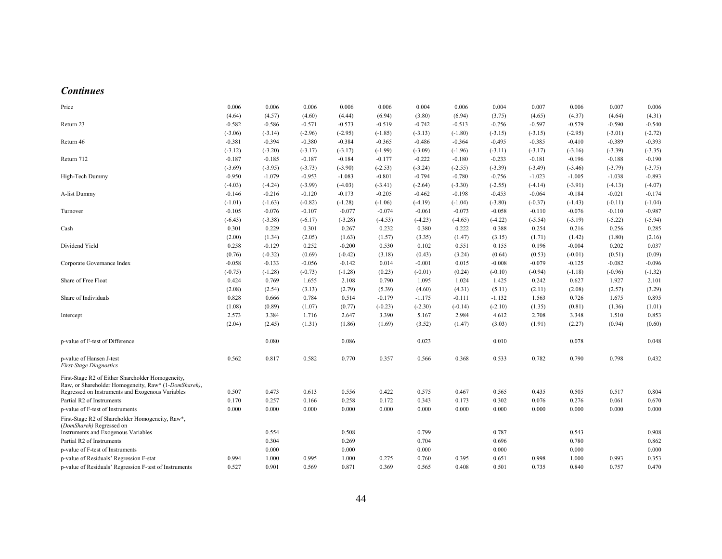#### *Continues*

| Price                                                                                                     | 0.006     | 0.006     | 0.006     | 0.006     | 0.006     | 0.004     | 0.006     | 0.004     | 0.007     | 0.006     | 0.007     | 0.006     |
|-----------------------------------------------------------------------------------------------------------|-----------|-----------|-----------|-----------|-----------|-----------|-----------|-----------|-----------|-----------|-----------|-----------|
|                                                                                                           | (4.64)    | (4.57)    | (4.60)    | (4.44)    | (6.94)    | (3.80)    | (6.94)    | (3.75)    | (4.65)    | (4.37)    | (4.64)    | (4.31)    |
| Return 23                                                                                                 | $-0.582$  | $-0.586$  | $-0.571$  | $-0.573$  | $-0.519$  | $-0.742$  | $-0.513$  | $-0.756$  | $-0.597$  | $-0.579$  | $-0.590$  | $-0.540$  |
|                                                                                                           | $(-3.06)$ | $(-3.14)$ | $(-2.96)$ | $(-2.95)$ | $(-1.85)$ | $(-3.13)$ | $(-1.80)$ | $(-3.15)$ | $(-3.15)$ | $(-2.95)$ | $(-3.01)$ | $(-2.72)$ |
| Return 46                                                                                                 | $-0.381$  | $-0.394$  | $-0.380$  | $-0.384$  | $-0.365$  | $-0.486$  | $-0.364$  | $-0.495$  | $-0.385$  | $-0.410$  | $-0.389$  | $-0.393$  |
|                                                                                                           | $(-3.12)$ | $(-3.20)$ | $(-3.17)$ | $(-3.17)$ | $(-1.99)$ | $(-3.09)$ | $(-1.96)$ | $(-3.11)$ | $(-3.17)$ | $(-3.16)$ | $(-3.39)$ | $(-3.35)$ |
| Return 712                                                                                                | $-0.187$  | $-0.185$  | $-0.187$  | $-0.184$  | $-0.177$  | $-0.222$  | $-0.180$  | $-0.233$  | $-0.181$  | $-0.196$  | $-0.188$  | $-0.190$  |
|                                                                                                           | $(-3.69)$ | $(-3.95)$ | $(-3.73)$ | $(-3.90)$ | $(-2.53)$ | $(-3.24)$ | $(-2.55)$ | $(-3.39)$ | $(-3.49)$ | $(-3.46)$ | $(-3.79)$ | $(-3.75)$ |
| High-Tech Dummy                                                                                           | $-0.950$  | $-1.079$  | $-0.953$  | $-1.083$  | $-0.801$  | $-0.794$  | $-0.780$  | $-0.756$  | $-1.023$  | $-1.005$  | $-1.038$  | $-0.893$  |
|                                                                                                           | $(-4.03)$ | $(-4.24)$ | $(-3.99)$ | $(-4.03)$ | $(-3.41)$ | $(-2.64)$ | $(-3.30)$ | $(-2.55)$ | $(-4.14)$ | $(-3.91)$ | $(-4.13)$ | $(-4.07)$ |
| A-list Dummy                                                                                              | $-0.146$  | $-0.216$  | $-0.120$  | $-0.173$  | $-0.205$  | $-0.462$  | $-0.198$  | $-0.453$  | $-0.064$  | $-0.184$  | $-0.021$  | $-0.174$  |
|                                                                                                           | $(-1.01)$ | $(-1.63)$ | $(-0.82)$ | $(-1.28)$ | $(-1.06)$ | $(-4.19)$ | $(-1.04)$ | $(-3.80)$ | $(-0.37)$ | $(-1.43)$ | $(-0.11)$ | $(-1.04)$ |
| Turnover                                                                                                  | $-0.105$  | $-0.076$  | $-0.107$  | $-0.077$  | $-0.074$  | $-0.061$  | $-0.073$  | $-0.058$  | $-0.110$  | $-0.076$  | $-0.110$  | $-0.987$  |
|                                                                                                           | $(-6.43)$ | $(-3.38)$ | $(-6.17)$ | $(-3.28)$ | $(-4.53)$ | $(-4.23)$ | $(-4.65)$ | $(-4.22)$ | $(-5.54)$ | $(-3.19)$ | $(-5.22)$ | $(-5.94)$ |
| Cash                                                                                                      | 0.301     | 0.229     | 0.301     | 0.267     | 0.232     | 0.380     | 0.222     | 0.388     | 0.254     | 0.216     | 0.256     | 0.285     |
|                                                                                                           | (2.00)    | (1.34)    | (2.05)    | (1.63)    | (1.57)    | (3.35)    | (1.47)    | (3.15)    | (1.71)    | (1.42)    | (1.80)    | (2.16)    |
| Dividend Yield                                                                                            | 0.258     | $-0.129$  | 0.252     | $-0.200$  | 0.530     | 0.102     | 0.551     | 0.155     | 0.196     | $-0.004$  | 0.202     | 0.037     |
|                                                                                                           | (0.76)    | $(-0.32)$ | (0.69)    | $(-0.42)$ | (3.18)    | (0.43)    | (3.24)    | (0.64)    | (0.53)    | $(-0.01)$ | (0.51)    | (0.09)    |
| Corporate Governance Index                                                                                | $-0.058$  | $-0.133$  | $-0.056$  | $-0.142$  | 0.014     | $-0.001$  | 0.015     | $-0.008$  | $-0.079$  | $-0.125$  | $-0.082$  | $-0.096$  |
|                                                                                                           | $(-0.75)$ | $(-1.28)$ | $(-0.73)$ | $(-1.28)$ | (0.23)    | $(-0.01)$ | (0.24)    | $(-0.10)$ | $(-0.94)$ | $(-1.18)$ | $(-0.96)$ | $(-1.32)$ |
| Share of Free Float                                                                                       | 0.424     | 0.769     | 1.655     | 2.108     | 0.790     | 1.095     | 1.024     | 1.425     | 0.242     | 0.627     | 1.927     | 2.101     |
|                                                                                                           | (2.08)    | (2.54)    | (3.13)    | (2.79)    | (5.39)    | (4.60)    | (4.31)    | (5.11)    | (2.11)    | (2.08)    | (2.57)    | (3.29)    |
| Share of Individuals                                                                                      | 0.828     | 0.666     | 0.784     | 0.514     | $-0.179$  | $-1.175$  | $-0.111$  | $-1.132$  | 1.563     | 0.726     | 1.675     | 0.895     |
|                                                                                                           | (1.08)    | (0.89)    | (1.07)    | (0.77)    | $(-0.23)$ | $(-2.30)$ | $(-0.14)$ | $(-2.10)$ | (1.35)    | (0.81)    | (1.36)    | (1.01)    |
| Intercept                                                                                                 | 2.573     | 3.384     | 1.716     | 2.647     | 3.390     | 5.167     | 2.984     | 4.612     | 2.708     | 3.348     | 1.510     | 0.853     |
|                                                                                                           | (2.04)    | (2.45)    | (1.31)    | (1.86)    | (1.69)    | (3.52)    | (1.47)    | (3.03)    | (1.91)    | (2.27)    | (0.94)    | (0.60)    |
| p-value of F-test of Difference                                                                           |           | 0.080     |           | 0.086     |           | 0.023     |           | 0.010     |           | 0.078     |           | 0.048     |
| p-value of Hansen J-test<br><b>First-Stage Diagnostics</b>                                                | 0.562     | 0.817     | 0.582     | 0.770     | 0.357     | 0.566     | 0.368     | 0.533     | 0.782     | 0.790     | 0.798     | 0.432     |
| First-Stage R2 of Either Shareholder Homogeneity,<br>Raw, or Shareholder Homogeneity, Raw* (1-DomShareh), |           |           |           |           |           |           |           |           |           |           |           |           |
| Regressed on Instruments and Exogenous Variables                                                          | 0.507     | 0.473     | 0.613     | 0.556     | 0.422     | 0.575     | 0.467     | 0.565     | 0.435     | 0.505     | 0.517     | 0.804     |
| Partial R2 of Instruments                                                                                 | 0.170     | 0.257     | 0.166     | 0.258     | 0.172     | 0.343     | 0.173     | 0.302     | 0.076     | 0.276     | 0.061     | 0.670     |
| p-value of F-test of Instruments                                                                          | 0.000     | 0.000     | 0.000     | 0.000     | 0.000     | 0.000     | 0.000     | 0.000     | 0.000     | 0.000     | 0.000     | 0.000     |
| First-Stage R2 of Shareholder Homogeneity, Raw*,<br>(DomShareh) Regressed on                              |           |           |           |           |           |           |           |           |           |           |           |           |
| Instruments and Exogenous Variables                                                                       |           | 0.554     |           | 0.508     |           | 0.799     |           | 0.787     |           | 0.543     |           | 0.908     |
| Partial R2 of Instruments                                                                                 |           | 0.304     |           | 0.269     |           | 0.704     |           | 0.696     |           | 0.780     |           | 0.862     |
| p-value of F-test of Instruments                                                                          |           | 0.000     |           | 0.000     |           | 0.000     |           | 0.000     |           | 0.000     |           | 0.000     |
| p-value of Residuals' Regression F-stat                                                                   | 0.994     | 1.000     | 0.995     | 1.000     | 0.275     | 0.760     | 0.395     | 0.651     | 0.998     | 1.000     | 0.993     | 0.353     |
| p-value of Residuals' Regression F-test of Instruments                                                    | 0.527     | 0.901     | 0.569     | 0.871     | 0.369     | 0.565     | 0.408     | 0.501     | 0.735     | 0.840     | 0.757     | 0.470     |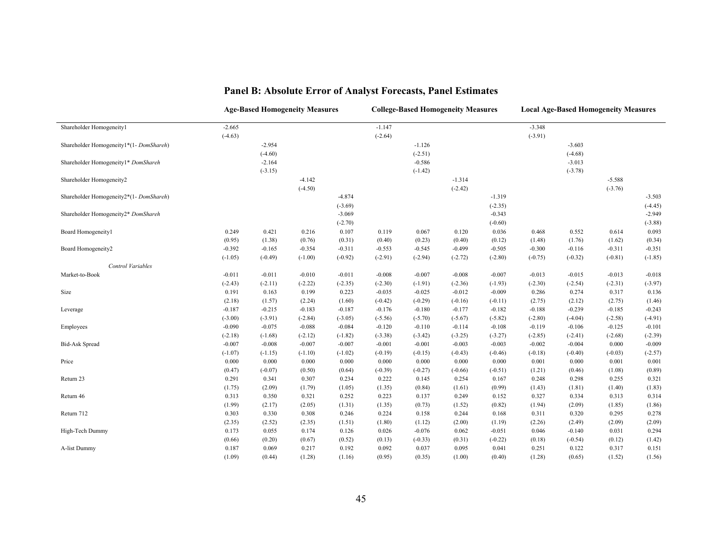|                                        | <b>Age-Based Homogeneity Measures</b> |           |           |           |           | <b>College-Based Homogeneity Measures</b> |           |           |           | <b>Local Age-Based Homogeneity Measures</b> |           |           |
|----------------------------------------|---------------------------------------|-----------|-----------|-----------|-----------|-------------------------------------------|-----------|-----------|-----------|---------------------------------------------|-----------|-----------|
| Shareholder Homogeneity1               | $-2.665$                              |           |           |           | $-1.147$  |                                           |           |           | $-3.348$  |                                             |           |           |
|                                        | $(-4.63)$                             |           |           |           | $(-2.64)$ |                                           |           |           | $(-3.91)$ |                                             |           |           |
| Shareholder Homogeneity1*(1-DomShareh) |                                       | $-2.954$  |           |           |           | $-1.126$                                  |           |           |           | $-3.603$                                    |           |           |
|                                        |                                       | $(-4.60)$ |           |           |           | $(-2.51)$                                 |           |           |           | $(-4.68)$                                   |           |           |
| Shareholder Homogeneity1* DomShareh    |                                       | $-2.164$  |           |           |           | $-0.586$                                  |           |           |           | $-3.013$                                    |           |           |
|                                        |                                       | $(-3.15)$ |           |           |           | $(-1.42)$                                 |           |           |           | $(-3.78)$                                   |           |           |
| Shareholder Homogeneity2               |                                       |           | $-4.142$  |           |           |                                           | $-1.314$  |           |           |                                             | $-5.588$  |           |
|                                        |                                       |           | $(-4.50)$ |           |           |                                           | $(-2.42)$ |           |           |                                             | $(-3.76)$ |           |
| Shareholder Homogeneity2*(1-DomShareh) |                                       |           |           | $-4.874$  |           |                                           |           | $-1.319$  |           |                                             |           | $-3.503$  |
|                                        |                                       |           |           | $(-3.69)$ |           |                                           |           | $(-2.35)$ |           |                                             |           | $(-4.45)$ |
| Shareholder Homogeneity2* DomShareh    |                                       |           |           | $-3.069$  |           |                                           |           | $-0.343$  |           |                                             |           | $-2.949$  |
|                                        |                                       |           |           | $(-2.70)$ |           |                                           |           | $(-0.60)$ |           |                                             |           | $(-3.88)$ |
| Board Homogeneity1                     | 0.249                                 | 0.421     | 0.216     | 0.107     | 0.119     | 0.067                                     | 0.120     | 0.036     | 0.468     | 0.552                                       | 0.614     | 0.093     |
|                                        | (0.95)                                | (1.38)    | (0.76)    | (0.31)    | (0.40)    | (0.23)                                    | (0.40)    | (0.12)    | (1.48)    | (1.76)                                      | (1.62)    | (0.34)    |
| Board Homogeneity2                     | $-0.392$                              | $-0.165$  | $-0.354$  | $-0.311$  | $-0.553$  | $-0.545$                                  | $-0.499$  | $-0.505$  | $-0.300$  | $-0.116$                                    | $-0.311$  | $-0.351$  |
|                                        | $(-1.05)$                             | $(-0.49)$ | $(-1.00)$ | $(-0.92)$ | $(-2.91)$ | $(-2.94)$                                 | $(-2.72)$ | $(-2.80)$ | $(-0.75)$ | $(-0.32)$                                   | $(-0.81)$ | $(-1.85)$ |
| Control Variables                      |                                       |           |           |           |           |                                           |           |           |           |                                             |           |           |
| Market-to-Book                         | $-0.011$                              | $-0.011$  | $-0.010$  | $-0.011$  | $-0.008$  | $-0.007$                                  | $-0.008$  | $-0.007$  | $-0.013$  | $-0.015$                                    | $-0.013$  | $-0.018$  |
|                                        | $(-2.43)$                             | $(-2.11)$ | $(-2.22)$ | $(-2.35)$ | $(-2.30)$ | $(-1.91)$                                 | $(-2.36)$ | $(-1.93)$ | $(-2.30)$ | $(-2.54)$                                   | $(-2.31)$ | $(-3.97)$ |
| Size                                   | 0.191                                 | 0.163     | 0.199     | 0.223     | $-0.035$  | $-0.025$                                  | $-0.012$  | $-0.009$  | 0.286     | 0.274                                       | 0.317     | 0.136     |
|                                        | (2.18)                                | (1.57)    | (2.24)    | (1.60)    | $(-0.42)$ | $(-0.29)$                                 | $(-0.16)$ | $(-0.11)$ | (2.75)    | (2.12)                                      | (2.75)    | (1.46)    |
| Leverage                               | $-0.187$                              | $-0.215$  | $-0.183$  | $-0.187$  | $-0.176$  | $-0.180$                                  | $-0.177$  | $-0.182$  | $-0.188$  | $-0.239$                                    | $-0.185$  | $-0.243$  |
|                                        | $(-3.00)$                             | $(-3.91)$ | $(-2.84)$ | $(-3.05)$ | $(-5.56)$ | $(-5.70)$                                 | $(-5.67)$ | $(-5.82)$ | $(-2.80)$ | $(-4.04)$                                   | $(-2.58)$ | $(-4.91)$ |
| Employees                              | $-0.090$                              | $-0.075$  | $-0.088$  | $-0.084$  | $-0.120$  | $-0.110$                                  | $-0.114$  | $-0.108$  | $-0.119$  | $-0.106$                                    | $-0.125$  | $-0.101$  |
|                                        | $(-2.18)$                             | $(-1.68)$ | $(-2.12)$ | $(-1.82)$ | $(-3.38)$ | $(-3.42)$                                 | $(-3.25)$ | $(-3.27)$ | $(-2.85)$ | $(-2.41)$                                   | $(-2.68)$ | $(-2.39)$ |
| <b>Bid-Ask Spread</b>                  | $-0.007$                              | $-0.008$  | $-0.007$  | $-0.007$  | $-0.001$  | $-0.001$                                  | $-0.003$  | $-0.003$  | $-0.002$  | $-0.004$                                    | 0.000     | $-0.009$  |
|                                        | $(-1.07)$                             | $(-1.15)$ | $(-1.10)$ | $(-1.02)$ | $(-0.19)$ | $(-0.15)$                                 | $(-0.43)$ | $(-0.46)$ | $(-0.18)$ | $(-0.40)$                                   | $(-0.03)$ | $(-2.57)$ |
| Price                                  | 0.000                                 | 0.000     | 0.000     | 0.000     | 0.000     | 0.000                                     | 0.000     | 0.000     | 0.001     | 0.000                                       | 0.001     | 0.001     |
|                                        | (0.47)                                | $(-0.07)$ | (0.50)    | (0.64)    | $(-0.39)$ | $(-0.27)$                                 | $(-0.66)$ | $(-0.51)$ | (1.21)    | (0.46)                                      | (1.08)    | (0.89)    |
| Return 23                              | 0.291                                 | 0.341     | 0.307     | 0.234     | 0.222     | 0.145                                     | 0.254     | 0.167     | 0.248     | 0.298                                       | 0.255     | 0.321     |
|                                        | (1.75)                                | (2.09)    | (1.79)    | (1.05)    | (1.35)    | (0.84)                                    | (1.61)    | (0.99)    | (1.43)    | (1.81)                                      | (1.40)    | (1.83)    |
| Return 46                              | 0.313                                 | 0.350     | 0.321     | 0.252     | 0.223     | 0.137                                     | 0.249     | 0.152     | 0.327     | 0.334                                       | 0.313     | 0.314     |
|                                        | (1.99)                                | (2.17)    | (2.05)    | (1.31)    | (1.35)    | (0.73)                                    | (1.52)    | (0.82)    | (1.94)    | (2.09)                                      | (1.85)    | (1.86)    |
| Return 712                             | 0.303                                 | 0.330     | 0.308     | 0.246     | 0.224     | 0.158                                     | 0.244     | 0.168     | 0.311     | 0.320                                       | 0.295     | 0.278     |
|                                        | (2.35)                                | (2.52)    | (2.35)    | (1.51)    | (1.80)    | (1.12)                                    | (2.00)    | (1.19)    | (2.26)    | (2.49)                                      | (2.09)    | (2.09)    |
| High-Tech Dummy                        | 0.173                                 | 0.055     | 0.174     | 0.126     | 0.026     | $-0.076$                                  | 0.062     | $-0.051$  | 0.046     | $-0.140$                                    | 0.031     | 0.294     |
|                                        | (0.66)                                | (0.20)    | (0.67)    | (0.52)    | (0.13)    | $(-0.33)$                                 | (0.31)    | $(-0.22)$ | (0.18)    | $(-0.54)$                                   | (0.12)    | (1.42)    |
| A-list Dummy                           | 0.187                                 | 0.069     | 0.217     | 0.192     | 0.092     | 0.037                                     | 0.095     | 0.041     | 0.251     | 0.122                                       | 0.317     | 0.151     |
|                                        | (1.09)                                | (0.44)    | (1.28)    | (1.16)    | (0.95)    | (0.35)                                    | (1.00)    | (0.40)    | (1.28)    | (0.65)                                      | (1.52)    | (1.56)    |

# **Panel B: Absolute Error of Analyst Forecasts, Panel Estimates**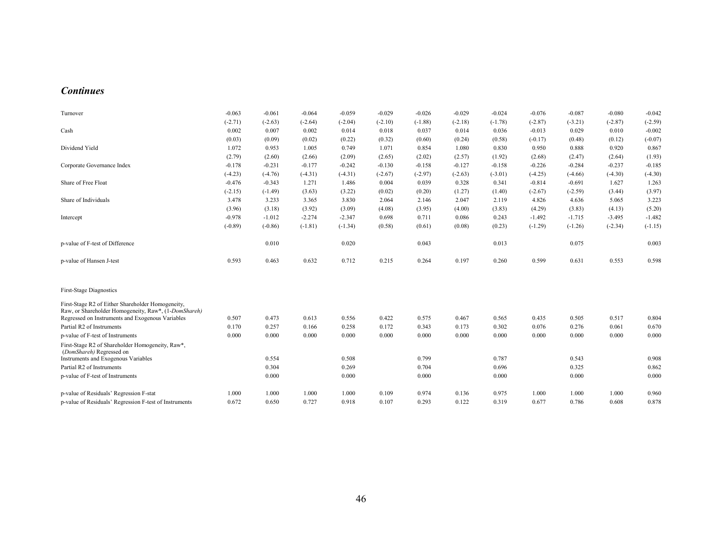#### *Continues*

| Turnover                                                                                                  | $-0.063$  | $-0.061$  | $-0.064$  | $-0.059$  | $-0.029$  | $-0.026$  | $-0.029$  | $-0.024$  | $-0.076$  | $-0.087$  | $-0.080$  | $-0.042$  |
|-----------------------------------------------------------------------------------------------------------|-----------|-----------|-----------|-----------|-----------|-----------|-----------|-----------|-----------|-----------|-----------|-----------|
|                                                                                                           | $(-2.71)$ | $(-2.63)$ | $(-2.64)$ | $(-2.04)$ | $(-2.10)$ | $(-1.88)$ | $(-2.18)$ | $(-1.78)$ | $(-2.87)$ | $(-3.21)$ | $(-2.87)$ | $(-2.59)$ |
| Cash                                                                                                      | 0.002     | 0.007     | 0.002     | 0.014     | 0.018     | 0.037     | 0.014     | 0.036     | $-0.013$  | 0.029     | 0.010     | $-0.002$  |
|                                                                                                           | (0.03)    | (0.09)    | (0.02)    | (0.22)    | (0.32)    | (0.60)    | (0.24)    | (0.58)    | $(-0.17)$ | (0.48)    | (0.12)    | $(-0.07)$ |
| Dividend Yield                                                                                            | 1.072     | 0.953     | 1.005     | 0.749     | 1.071     | 0.854     | 1.080     | 0.830     | 0.950     | 0.888     | 0.920     | 0.867     |
|                                                                                                           | (2.79)    | (2.60)    | (2.66)    | (2.09)    | (2.65)    | (2.02)    | (2.57)    | (1.92)    | (2.68)    | (2.47)    | (2.64)    | (1.93)    |
| Corporate Governance Index                                                                                | $-0.178$  | $-0.231$  | $-0.177$  | $-0.242$  | $-0.130$  | $-0.158$  | $-0.127$  | $-0.158$  | $-0.226$  | $-0.284$  | $-0.237$  | $-0.185$  |
|                                                                                                           | $(-4.23)$ | $(-4.76)$ | $(-4.31)$ | $(-4.31)$ | $(-2.67)$ | $(-2.97)$ | $(-2.63)$ | $(-3.01)$ | $(-4.25)$ | $(-4.66)$ | $(-4.30)$ | $(-4.30)$ |
| Share of Free Float                                                                                       | $-0.476$  | $-0.343$  | 1.271     | 1.486     | 0.004     | 0.039     | 0.328     | 0.341     | $-0.814$  | $-0.691$  | 1.627     | 1.263     |
|                                                                                                           | $(-2.15)$ | $(-1.49)$ | (3.63)    | (3.22)    | (0.02)    | (0.20)    | (1.27)    | (1.40)    | $(-2.67)$ | $(-2.59)$ | (3.44)    | (3.97)    |
| Share of Individuals                                                                                      | 3.478     | 3.233     | 3.365     | 3.830     | 2.064     | 2.146     | 2.047     | 2.119     | 4.826     | 4.636     | 5.065     | 3.223     |
|                                                                                                           | (3.96)    | (3.18)    | (3.92)    | (3.09)    | (4.08)    | (3.95)    | (4.00)    | (3.83)    | (4.29)    | (3.83)    | (4.13)    | (5.20)    |
| Intercept                                                                                                 | $-0.978$  | $-1.012$  | $-2.274$  | $-2.347$  | 0.698     | 0.711     | 0.086     | 0.243     | $-1.492$  | $-1.715$  | $-3.495$  | $-1.482$  |
|                                                                                                           | $(-0.89)$ | $(-0.86)$ | $(-1.81)$ | $(-1.34)$ | (0.58)    | (0.61)    | (0.08)    | (0.23)    | $(-1.29)$ | $(-1.26)$ | $(-2.34)$ | $(-1.15)$ |
| p-value of F-test of Difference                                                                           |           | 0.010     |           | 0.020     |           | 0.043     |           | 0.013     |           | 0.075     |           | 0.003     |
| p-value of Hansen J-test                                                                                  | 0.593     | 0.463     | 0.632     | 0.712     | 0.215     | 0.264     | 0.197     | 0.260     | 0.599     | 0.631     | 0.553     | 0.598     |
| First-Stage Diagnostics                                                                                   |           |           |           |           |           |           |           |           |           |           |           |           |
| First-Stage R2 of Either Shareholder Homogeneity,<br>Raw, or Shareholder Homogeneity, Raw*, (1-DomShareh) |           |           |           |           |           |           |           |           |           |           |           |           |
| Regressed on Instruments and Exogenous Variables                                                          | 0.507     | 0.473     | 0.613     | 0.556     | 0.422     | 0.575     | 0.467     | 0.565     | 0.435     | 0.505     | 0.517     | 0.804     |
| Partial R2 of Instruments                                                                                 | 0.170     | 0.257     | 0.166     | 0.258     | 0.172     | 0.343     | 0.173     | 0.302     | 0.076     | 0.276     | 0.061     | 0.670     |
| p-value of F-test of Instruments                                                                          | 0.000     | 0.000     | 0.000     | 0.000     | 0.000     | 0.000     | 0.000     | 0.000     | 0.000     | 0.000     | 0.000     | 0.000     |
| First-Stage R2 of Shareholder Homogeneity, Raw*,<br>(DomShareh) Regressed on                              |           |           |           |           |           |           |           |           |           |           |           |           |
| Instruments and Exogenous Variables                                                                       |           | 0.554     |           | 0.508     |           | 0.799     |           | 0.787     |           | 0.543     |           | 0.908     |
| Partial R2 of Instruments                                                                                 |           | 0.304     |           | 0.269     |           | 0.704     |           | 0.696     |           | 0.325     |           | 0.862     |
| p-value of F-test of Instruments                                                                          |           | 0.000     |           | 0.000     |           | 0.000     |           | 0.000     |           | 0.000     |           | 0.000     |
| p-value of Residuals' Regression F-stat                                                                   | 1.000     | 1.000     | 1.000     | 1.000     | 0.109     | 0.974     | 0.136     | 0.975     | 1.000     | 1.000     | 1.000     | 0.960     |
| p-value of Residuals' Regression F-test of Instruments                                                    | 0.672     | 0.650     | 0.727     | 0.918     | 0.107     | 0.293     | 0.122     | 0.319     | 0.677     | 0.786     | 0.608     | 0.878     |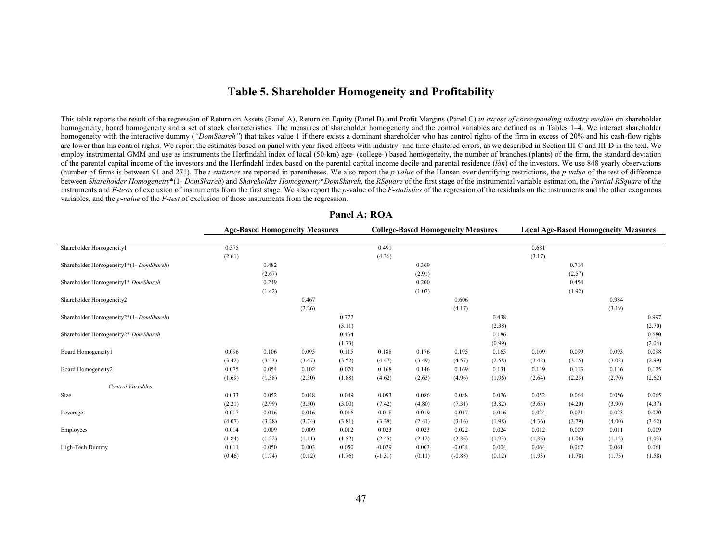## **Table 5. Shareholder Homogeneity and Profitability**

This table reports the result of the regression of Return on Assets (Panel A), Return on Equity (Panel B) and Profit Margins (Panel C) *in excess of corresponding industry median* on shareholder homogeneity, board homogeneity and a set of stock characteristics. The measures of shareholder homogeneity and the control variables are defined as in Tables 1–4. We interact shareholder homogeneity with the interactive dummy (*"DomShareh"*) that takes value 1 if there exists a dominant shareholder who has control rights of the firm in excess of 20% and his cash-flow rights are lower than his control rights. We report the estimates based on panel with year fixed effects with industry- and time-clustered errors, as we described in Section III-C and III-D in the text. We employ instrumental GMM and use as instruments the Herfindahl index of local (50-km) age- (college-) based homogeneity, the number of branches (plants) of the firm, the standard deviation of the parental capital income of the investors and the Herfindahl index based on the parental capital income decile and parental residence (*län*) of the investors. We use 848 yearly observations (number of firms is between 91 and 271). The *t-statistics* are reported in parentheses. We also report the *p-value* of the Hansen overidentifying restrictions, the *p-value* of the test of difference between Shareholder Homogeneity\*(1- DomShareh) and Shareholder Homogeneity\*DomShareh, the RSquare of the first stage of the instrumental variable estimation, the Partial RSquare of the instruments and *F-tests* of exclusion of instruments from the first stage. We also report the *p*-value of the *F-statistics* of the regression of the residuals on the instruments and the other exogenous variables, and the *p-value* of the *F-test* of exclusion of those instruments from the regression.

|                                         |        | <b>Age-Based Homogeneity Measures</b> |        |        |           |        | <b>College-Based Homogeneity Measures</b> |        |        |        | <b>Local Age-Based Homogeneity Measures</b> |        |
|-----------------------------------------|--------|---------------------------------------|--------|--------|-----------|--------|-------------------------------------------|--------|--------|--------|---------------------------------------------|--------|
| Shareholder Homogeneity1                | 0.375  |                                       |        |        | 0.491     |        |                                           |        | 0.681  |        |                                             |        |
|                                         | (2.61) |                                       |        |        | (4.36)    |        |                                           |        | (3.17) |        |                                             |        |
| Shareholder Homogeneity1*(1-DomShareh)  |        | 0.482                                 |        |        |           | 0.369  |                                           |        |        | 0.714  |                                             |        |
|                                         |        | (2.67)                                |        |        |           | (2.91) |                                           |        |        | (2.57) |                                             |        |
| Shareholder Homogeneity1* DomShareh     |        | 0.249                                 |        |        |           | 0.200  |                                           |        |        | 0.454  |                                             |        |
|                                         |        | (1.42)                                |        |        |           | (1.07) |                                           |        |        | (1.92) |                                             |        |
| Shareholder Homogeneity2                |        |                                       | 0.467  |        |           |        | 0.606                                     |        |        |        | 0.984                                       |        |
|                                         |        |                                       | (2.26) |        |           |        | (4.17)                                    |        |        |        | (3.19)                                      |        |
| Shareholder Homogeneity2*(1- DomShareh) |        |                                       |        | 0.772  |           |        |                                           | 0.438  |        |        |                                             | 0.997  |
|                                         |        |                                       |        | (3.11) |           |        |                                           | (2.38) |        |        |                                             | (2.70) |
| Shareholder Homogeneity2* DomShareh     |        |                                       |        | 0.434  |           |        |                                           | 0.186  |        |        |                                             | 0.680  |
|                                         |        |                                       |        | (1.73) |           |        |                                           | (0.99) |        |        |                                             | (2.04) |
| Board Homogeneity1                      | 0.096  | 0.106                                 | 0.095  | 0.115  | 0.188     | 0.176  | 0.195                                     | 0.165  | 0.109  | 0.099  | 0.093                                       | 0.098  |
|                                         | (3.42) | (3.33)                                | (3.47) | (3.52) | (4.47)    | (3.49) | (4.57)                                    | (2.58) | (3.42) | (3.15) | (3.02)                                      | (2.99) |
| Board Homogeneity2                      | 0.075  | 0.054                                 | 0.102  | 0.070  | 0.168     | 0.146  | 0.169                                     | 0.131  | 0.139  | 0.113  | 0.136                                       | 0.125  |
|                                         | (1.69) | (1.38)                                | (2.30) | (1.88) | (4.62)    | (2.63) | (4.96)                                    | (1.96) | (2.64) | (2.23) | (2.70)                                      | (2.62) |
| <b>Control Variables</b>                |        |                                       |        |        |           |        |                                           |        |        |        |                                             |        |
| Size                                    | 0.033  | 0.052                                 | 0.048  | 0.049  | 0.093     | 0.086  | 0.088                                     | 0.076  | 0.052  | 0.064  | 0.056                                       | 0.065  |
|                                         | (2.21) | (2.99)                                | (3.50) | (3.00) | (7.42)    | (4.80) | (7.31)                                    | (3.82) | (3.65) | (4.20) | (3.90)                                      | (4.37) |
| Leverage                                | 0.017  | 0.016                                 | 0.016  | 0.016  | 0.018     | 0.019  | 0.017                                     | 0.016  | 0.024  | 0.021  | 0.023                                       | 0.020  |
|                                         | (4.07) | (3.28)                                | (3.74) | (3.81) | (3.38)    | (2.41) | (3.16)                                    | (1.98) | (4.36) | (3.79) | (4.00)                                      | (3.62) |
| Employees                               | 0.014  | 0.009                                 | 0.009  | 0.012  | 0.023     | 0.023  | 0.022                                     | 0.024  | 0.012  | 0.009  | 0.011                                       | 0.009  |
|                                         | (1.84) | (1.22)                                | (1.11) | (1.52) | (2.45)    | (2.12) | (2.36)                                    | (1.93) | (1.36) | (1.06) | (1.12)                                      | (1.03) |
| High-Tech Dummy                         | 0.011  | 0.050                                 | 0.003  | 0.050  | $-0.029$  | 0.003  | $-0.024$                                  | 0.004  | 0.064  | 0.067  | 0.061                                       | 0.061  |
|                                         | (0.46) | (1.74)                                | (0.12) | (1.76) | $(-1.31)$ | (0.11) | $(-0.88)$                                 | (0.12) | (1.93) | (1.78) | (1.75)                                      | (1.58) |

#### **Panel A: ROA**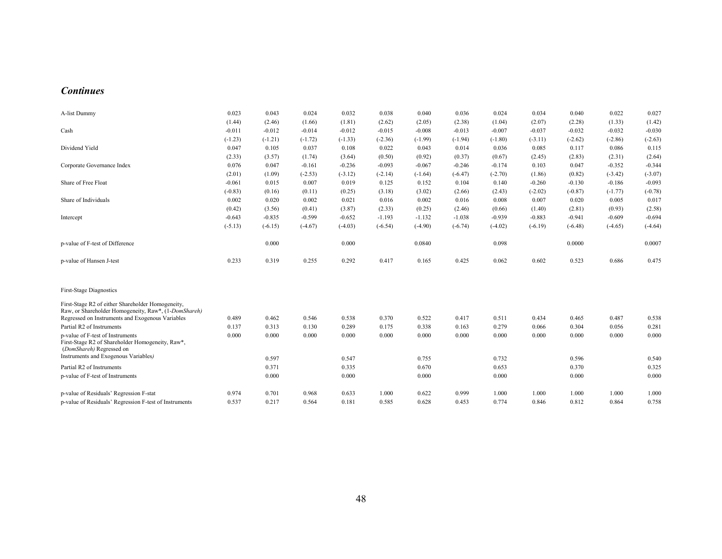#### *Continues*

| A-list Dummy                                                                                                     | 0.023     | 0.043     | 0.024     | 0.032     | 0.038     | 0.040     | 0.036     | 0.024     | 0.034     | 0.040     | 0.022     | 0.027     |
|------------------------------------------------------------------------------------------------------------------|-----------|-----------|-----------|-----------|-----------|-----------|-----------|-----------|-----------|-----------|-----------|-----------|
|                                                                                                                  | (1.44)    | (2.46)    | (1.66)    | (1.81)    | (2.62)    | (2.05)    | (2.38)    | (1.04)    | (2.07)    | (2.28)    | (1.33)    | (1.42)    |
| Cash                                                                                                             | $-0.011$  | $-0.012$  | $-0.014$  | $-0.012$  | $-0.015$  | $-0.008$  | $-0.013$  | $-0.007$  | $-0.037$  | $-0.032$  | $-0.032$  | $-0.030$  |
|                                                                                                                  | $(-1.23)$ | $(-1.21)$ | $(-1.72)$ | $(-1.33)$ | $(-2.36)$ | $(-1.99)$ | $(-1.94)$ | $(-1.80)$ | $(-3.11)$ | $(-2.62)$ | $(-2.86)$ | $(-2.63)$ |
| Dividend Yield                                                                                                   | 0.047     | 0.105     | 0.037     | 0.108     | 0.022     | 0.043     | 0.014     | 0.036     | 0.085     | 0.117     | 0.086     | 0.115     |
|                                                                                                                  | (2.33)    | (3.57)    | (1.74)    | (3.64)    | (0.50)    | (0.92)    | (0.37)    | (0.67)    | (2.45)    | (2.83)    | (2.31)    | (2.64)    |
| Corporate Governance Index                                                                                       | 0.076     | 0.047     | $-0.161$  | $-0.236$  | $-0.093$  | $-0.067$  | $-0.246$  | $-0.174$  | 0.103     | 0.047     | $-0.352$  | $-0.344$  |
|                                                                                                                  | (2.01)    | (1.09)    | $(-2.53)$ | $(-3.12)$ | $(-2.14)$ | $(-1.64)$ | $(-6.47)$ | $(-2.70)$ | (1.86)    | (0.82)    | $(-3.42)$ | $(-3.07)$ |
| Share of Free Float                                                                                              | $-0.061$  | 0.015     | 0.007     | 0.019     | 0.125     | 0.152     | 0.104     | 0.140     | $-0.260$  | $-0.130$  | $-0.186$  | $-0.093$  |
|                                                                                                                  | $(-0.83)$ | (0.16)    | (0.11)    | (0.25)    | (3.18)    | (3.02)    | (2.66)    | (2.43)    | $(-2.02)$ | $(-0.87)$ | $(-1.77)$ | $(-0.78)$ |
| Share of Individuals                                                                                             | 0.002     | 0.020     | 0.002     | 0.021     | 0.016     | 0.002     | 0.016     | 0.008     | 0.007     | 0.020     | 0.005     | 0.017     |
|                                                                                                                  | (0.42)    | (3.56)    | (0.41)    | (3.87)    | (2.33)    | (0.25)    | (2.46)    | (0.66)    | (1.40)    | (2.81)    | (0.93)    | (2.58)    |
| Intercept                                                                                                        | $-0.643$  | $-0.835$  | $-0.599$  | $-0.652$  | $-1.193$  | $-1.132$  | $-1.038$  | $-0.939$  | $-0.883$  | $-0.941$  | $-0.609$  | $-0.694$  |
|                                                                                                                  | $(-5.13)$ | $(-6.15)$ | $(-4.67)$ | $(-4.03)$ | $(-6.54)$ | $(-4.90)$ | $(-6.74)$ | $(-4.02)$ | $(-6.19)$ | $(-6.48)$ | $(-4.65)$ | $(-4.64)$ |
| p-value of F-test of Difference                                                                                  |           | 0.000     |           | 0.000     |           | 0.0840    |           | 0.098     |           | 0.0000    |           | 0.0007    |
| p-value of Hansen J-test                                                                                         | 0.233     | 0.319     | 0.255     | 0.292     | 0.417     | 0.165     | 0.425     | 0.062     | 0.602     | 0.523     | 0.686     | 0.475     |
| <b>First-Stage Diagnostics</b>                                                                                   |           |           |           |           |           |           |           |           |           |           |           |           |
| First-Stage R2 of either Shareholder Homogeneity,<br>Raw, or Shareholder Homogeneity, Raw*, (1-DomShareh)        |           |           |           |           |           |           |           |           |           |           |           |           |
| Regressed on Instruments and Exogenous Variables                                                                 | 0.489     | 0.462     | 0.546     | 0.538     | 0.370     | 0.522     | 0.417     | 0.511     | 0.434     | 0.465     | 0.487     | 0.538     |
| Partial R2 of Instruments                                                                                        | 0.137     | 0.313     | 0.130     | 0.289     | 0.175     | 0.338     | 0.163     | 0.279     | 0.066     | 0.304     | 0.056     | 0.281     |
| p-value of F-test of Instruments<br>First-Stage R2 of Shareholder Homogeneity, Raw*,<br>(DomShareh) Regressed on | 0.000     | 0.000     | 0.000     | 0.000     | 0.000     | 0.000     | 0.000     | 0.000     | 0.000     | 0.000     | 0.000     | 0.000     |
| Instruments and Exogenous Variables)                                                                             |           | 0.597     |           | 0.547     |           | 0.755     |           | 0.732     |           | 0.596     |           | 0.540     |
| Partial R2 of Instruments                                                                                        |           | 0.371     |           | 0.335     |           | 0.670     |           | 0.653     |           | 0.370     |           | 0.325     |
| p-value of F-test of Instruments                                                                                 |           | 0.000     |           | 0.000     |           | 0.000     |           | 0.000     |           | 0.000     |           | 0.000     |
| p-value of Residuals' Regression F-stat                                                                          | 0.974     | 0.701     | 0.968     | 0.633     | 1.000     | 0.622     | 0.999     | 1.000     | 1.000     | 1.000     | 1.000     | 1.000     |
| p-value of Residuals' Regression F-test of Instruments                                                           | 0.537     | 0.217     | 0.564     | 0.181     | 0.585     | 0.628     | 0.453     | 0.774     | 0.846     | 0.812     | 0.864     | 0.758     |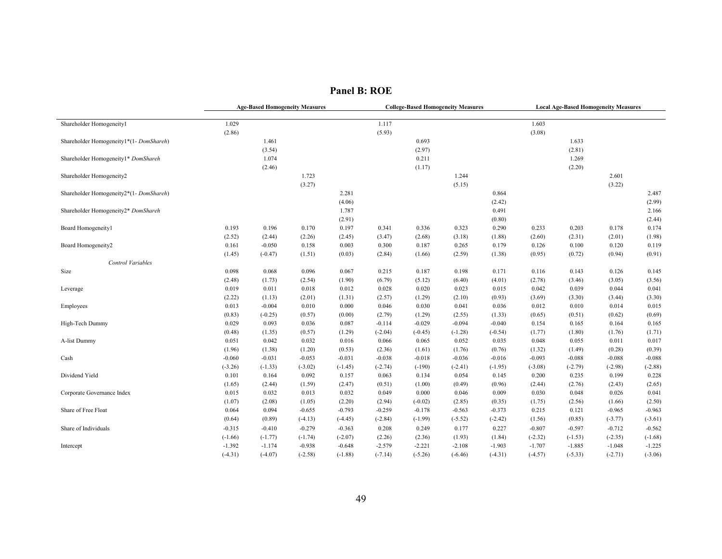|                                        |           | <b>Age-Based Homogeneity Measures</b> |                       |           |           |           | <b>College-Based Homogeneity Measures</b> |           |           |           | <b>Local Age-Based Homogeneity Measures</b> |           |
|----------------------------------------|-----------|---------------------------------------|-----------------------|-----------|-----------|-----------|-------------------------------------------|-----------|-----------|-----------|---------------------------------------------|-----------|
| Shareholder Homogeneity1               | 1.029     |                                       |                       |           | 1.117     |           |                                           |           | 1.603     |           |                                             |           |
|                                        | (2.86)    |                                       |                       |           | (5.93)    |           |                                           |           | (3.08)    |           |                                             |           |
| Shareholder Homogeneity1*(1-DomShareh) |           | 1.461                                 |                       |           |           | 0.693     |                                           |           |           | 1.633     |                                             |           |
|                                        |           | (3.54)                                |                       |           |           | (2.97)    |                                           |           |           | (2.81)    |                                             |           |
| Shareholder Homogeneity1* DomShareh    |           | 1.074                                 |                       |           |           | 0.211     |                                           |           |           | 1.269     |                                             |           |
|                                        |           | (2.46)                                |                       |           |           | (1.17)    |                                           |           |           | (2.20)    |                                             |           |
| Shareholder Homogeneity2               |           |                                       | 1.723                 |           |           |           | 1.244                                     |           |           |           | 2.601                                       |           |
|                                        |           |                                       | (3.27)                |           |           |           | (5.15)                                    |           |           |           | (3.22)                                      |           |
| Shareholder Homogeneity2*(1-DomShareh) |           |                                       |                       | 2.281     |           |           |                                           | 0.864     |           |           |                                             | 2.487     |
|                                        |           |                                       |                       | (4.06)    |           |           |                                           | (2.42)    |           |           |                                             | (2.99)    |
| Shareholder Homogeneity2* DomShareh    |           |                                       |                       | 1.787     |           |           |                                           | 0.491     |           |           |                                             | 2.166     |
|                                        |           |                                       |                       | (2.91)    |           |           |                                           | (0.80)    |           |           |                                             | (2.44)    |
| Board Homogeneity1                     | 0.193     | 0.196                                 | 0.170                 | 0.197     | 0.341     | 0.336     | 0.323                                     | 0.290     | 0.233     | 0.203     | 0.178                                       | 0.174     |
|                                        | (2.52)    | (2.44)                                | (2.26)                | (2.45)    | (3.47)    | (2.68)    | (3.18)                                    | (1.88)    | (2.60)    | (2.31)    | (2.01)                                      | (1.98)    |
| Board Homogeneity2                     | 0.161     | $-0.050$                              | 0.158                 | 0.003     | 0.300     | 0.187     | 0.265                                     | 0.179     | 0.126     | 0.100     | 0.120                                       | 0.119     |
|                                        | (1.45)    | $(-0.47)$                             | (1.51)                | (0.03)    | (2.84)    | (1.66)    | (2.59)                                    | (1.38)    | (0.95)    | (0.72)    | (0.94)                                      | (0.91)    |
| Control Variables                      |           |                                       |                       |           |           |           |                                           |           |           |           |                                             |           |
| Size                                   | 0.098     | 0.068                                 | 0.096                 | 0.067     | 0.215     | 0.187     | 0.198                                     | 0.171     | 0.116     | 0.143     | 0.126                                       | 0.145     |
|                                        | (2.48)    | (1.73)                                | (2.54)                | (1.90)    | (6.79)    | (5.12)    | (6.40)                                    | (4.01)    | (2.78)    | (3.46)    | (3.05)                                      | (3.56)    |
| Leverage                               | 0.019     | 0.011                                 | 0.018                 | 0.012     | 0.028     | 0.020     | 0.023                                     | 0.015     | 0.042     | 0.039     | 0.044                                       | 0.041     |
|                                        | (2.22)    | (1.13)                                | (2.01)                | (1.31)    | (2.57)    | (1.29)    | (2.10)                                    | (0.93)    | (3.69)    | (3.30)    | (3.44)                                      | (3.30)    |
| Employees                              | 0.013     | $-0.004$                              | 0.010                 | 0.000     | 0.046     | 0.030     | 0.041                                     | 0.036     | 0.012     | 0.010     | 0.014                                       | 0.015     |
|                                        | (0.83)    | $(-0.25)$                             | (0.57)                | (0.00)    | (2.79)    | (1.29)    | (2.55)                                    | (1.33)    | (0.65)    | (0.51)    | (0.62)                                      | (0.69)    |
| High-Tech Dummy                        | 0.029     | 0.093                                 | 0.036                 | 0.087     | $-0.114$  | $-0.029$  | $-0.094$                                  | $-0.040$  | 0.154     | 0.165     | 0.164                                       | 0.165     |
|                                        | (0.48)    | (1.35)                                | (0.57)                | (1.29)    | $(-2.04)$ | $(-0.45)$ | $(-1.28)$                                 | $(-0.54)$ | (1.77)    | (1.80)    | (1.76)                                      | (1.71)    |
| A-list Dummy                           | 0.051     | 0.042                                 | 0.032                 | 0.016     | 0.066     | 0.065     | 0.052                                     | 0.035     | 0.048     | 0.055     | 0.011                                       | 0.017     |
|                                        | (1.96)    | (1.38)                                | (1.20)                | (0.53)    | (2.36)    | (1.61)    | (1.76)                                    | (0.76)    | (1.32)    | (1.49)    | (0.28)                                      | (0.39)    |
| Cash                                   | $-0.060$  | $-0.031$                              | $-0.053$              | $-0.031$  | $-0.038$  | $-0.018$  | $-0.036$                                  | $-0.016$  | $-0.093$  | $-0.088$  | $-0.088$                                    | $-0.088$  |
|                                        | $(-3.26)$ | $(-1.33)$                             | $(-3.02)$             | $(-1.45)$ | $(-2.74)$ | $(-190)$  | $(-2.41)$                                 | $(-1.95)$ | $(-3.08)$ | $(-2.79)$ | $(-2.98)$                                   | $(-2.88)$ |
| Dividend Yield                         | 0.101     | 0.164                                 | 0.092                 | 0.157     | 0.063     | 0.134     | 0.054                                     | 0.145     | 0.200     | 0.235     | 0.199                                       | 0.228     |
|                                        | (1.65)    | (2.44)                                | (1.59)                | (2.47)    | (0.51)    | (1.00)    | (0.49)                                    | (0.96)    | (2.44)    | (2.76)    | (2.43)                                      | (2.65)    |
| Corporate Governance Index             | 0.015     | 0.032                                 | 0.013                 | 0.032     | 0.049     | 0.000     | 0.046                                     | 0.009     | 0.030     | 0.048     | 0.026                                       | 0.041     |
|                                        | (1.07)    | (2.08)                                | (1.05)                | (2.20)    | (2.94)    | $(-0.02)$ | (2.85)                                    | (0.35)    | (1.75)    | (2.56)    | (1.66)                                      | (2.50)    |
| Share of Free Float                    | 0.064     | 0.094                                 | $-0.655$              | $-0.793$  | $-0.259$  | $-0.178$  | $-0.563$                                  | $-0.373$  | 0.215     | 0.121     | $-0.965$                                    | $-0.963$  |
|                                        | (0.64)    | (0.89)                                | $(-4.13)$             | $(-4.45)$ | $(-2.84)$ | $(-1.99)$ | $(-5.52)$                                 | $(-2.42)$ | (1.56)    | (0.85)    | $(-3.77)$                                   | $(-3.61)$ |
| Share of Individuals                   | $-0.315$  | $-0.410$                              | $-0.279$              | $-0.363$  | 0.208     | 0.249     | 0.177                                     | 0.227     | $-0.807$  | $-0.597$  | $-0.712$                                    | $-0.562$  |
|                                        | $(-1.66)$ | $(-1.77)$                             |                       | $(-2.07)$ | (2.26)    | (2.36)    | (1.93)                                    | (1.84)    | $(-2.32)$ | $(-1.53)$ | $(-2.35)$                                   | $(-1.68)$ |
|                                        | $-1.392$  | $-1.174$                              | $(-1.74)$<br>$-0.938$ | $-0.648$  | $-2.579$  | $-2.221$  | $-2.108$                                  | $-1.903$  | $-1.707$  | $-1.885$  | $-1.048$                                    | $-1.225$  |
| Intercept                              |           |                                       |                       |           |           |           |                                           |           |           |           |                                             | $(-3.06)$ |
|                                        | $(-4.31)$ | $(-4.07)$                             | $(-2.58)$             | $(-1.88)$ | $(-7.14)$ | $(-5.26)$ | $(-6.46)$                                 | $(-4.31)$ | $(-4.57)$ | $(-5.33)$ | $(-2.71)$                                   |           |

**Panel B: ROE**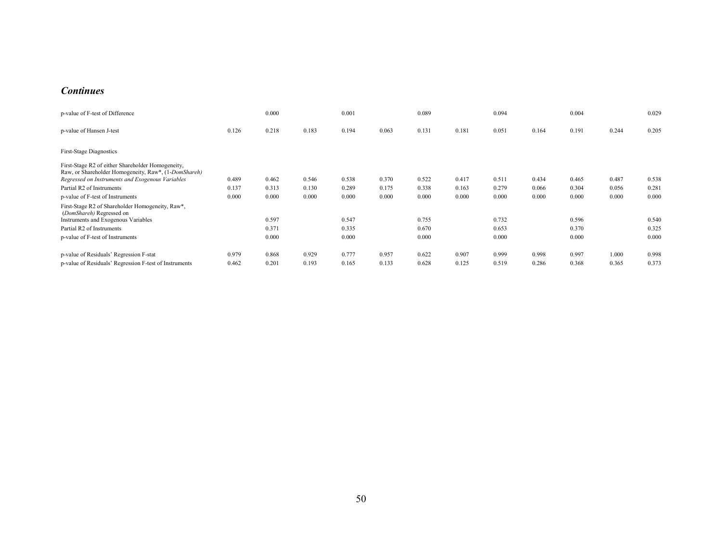#### *Continues*

| p-value of F-test of Difference                                                                                                                               |       | 0.000 |       | 0.001 |       | 0.089 |       | 0.094 |       | 0.004 |       | 0.029 |
|---------------------------------------------------------------------------------------------------------------------------------------------------------------|-------|-------|-------|-------|-------|-------|-------|-------|-------|-------|-------|-------|
| p-value of Hansen J-test                                                                                                                                      | 0.126 | 0.218 | 0.183 | 0.194 | 0.063 | 0.131 | 0.181 | 0.051 | 0.164 | 0.191 | 0.244 | 0.205 |
| <b>First-Stage Diagnostics</b>                                                                                                                                |       |       |       |       |       |       |       |       |       |       |       |       |
| First-Stage R2 of either Shareholder Homogeneity,<br>Raw, or Shareholder Homogeneity, Raw*, (1-DomShareh)<br>Regressed on Instruments and Exogenous Variables | 0.489 | 0.462 | 0.546 | 0.538 | 0.370 | 0.522 | 0.417 | 0.511 | 0.434 | 0.465 | 0.487 | 0.538 |
| Partial R2 of Instruments                                                                                                                                     | 0.137 | 0.313 | 0.130 | 0.289 | 0.175 | 0.338 | 0.163 | 0.279 | 0.066 | 0.304 | 0.056 | 0.281 |
| p-value of F-test of Instruments                                                                                                                              | 0.000 | 0.000 | 0.000 | 0.000 | 0.000 | 0.000 | 0.000 | 0.000 | 0.000 | 0.000 | 0.000 | 0.000 |
| First-Stage R2 of Shareholder Homogeneity, Raw*,<br>(DomShareh) Regressed on<br>Instruments and Exogenous Variables                                           |       | 0.597 |       | 0.547 |       | 0.755 |       | 0.732 |       | 0.596 |       | 0.540 |
| Partial R2 of Instruments                                                                                                                                     |       | 0.371 |       | 0.335 |       | 0.670 |       | 0.653 |       | 0.370 |       | 0.325 |
| p-value of F-test of Instruments                                                                                                                              |       | 0.000 |       | 0.000 |       | 0.000 |       | 0.000 |       | 0.000 |       | 0.000 |
| p-value of Residuals' Regression F-stat                                                                                                                       | 0.979 | 0.868 | 0.929 | 0.777 | 0.957 | 0.622 | 0.907 | 0.999 | 0.998 | 0.997 | 1.000 | 0.998 |
| p-value of Residuals' Regression F-test of Instruments                                                                                                        | 0.462 | 0.201 | 0.193 | 0.165 | 0.133 | 0.628 | 0.125 | 0.519 | 0.286 | 0.368 | 0.365 | 0.373 |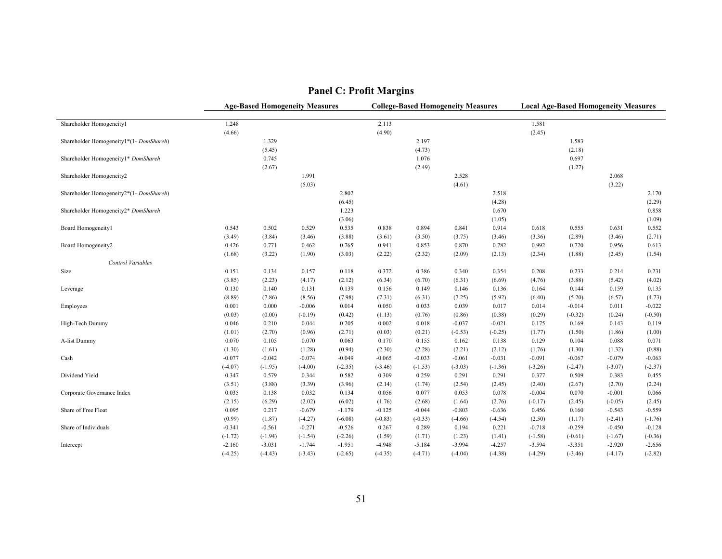|                                        |           |           | <b>Age-Based Homogeneity Measures</b> |           |           | <b>College-Based Homogeneity Measures</b> |           |           |           |           | <b>Local Age-Based Homogeneity Measures</b> |           |
|----------------------------------------|-----------|-----------|---------------------------------------|-----------|-----------|-------------------------------------------|-----------|-----------|-----------|-----------|---------------------------------------------|-----------|
| Shareholder Homogeneityl               | 1.248     |           |                                       |           | 2.113     |                                           |           |           | 1.581     |           |                                             |           |
|                                        | (4.66)    |           |                                       |           | (4.90)    |                                           |           |           | (2.45)    |           |                                             |           |
| Shareholder Homogeneity1*(1-DomShareh) |           | 1.329     |                                       |           |           | 2.197                                     |           |           |           | 1.583     |                                             |           |
|                                        |           | (5.45)    |                                       |           |           | (4.73)                                    |           |           |           | (2.18)    |                                             |           |
| Shareholder Homogeneity1* DomShareh    |           | 0.745     |                                       |           |           | 1.076                                     |           |           |           | 0.697     |                                             |           |
|                                        |           | (2.67)    |                                       |           |           | (2.49)                                    |           |           |           | (1.27)    |                                             |           |
| Shareholder Homogeneity2               |           |           | 1.991                                 |           |           |                                           | 2.528     |           |           |           | 2.068                                       |           |
|                                        |           |           | (5.03)                                |           |           |                                           | (4.61)    |           |           |           | (3.22)                                      |           |
| Shareholder Homogeneity2*(1-DomShareh) |           |           |                                       | 2.802     |           |                                           |           | 2.518     |           |           |                                             | 2.170     |
|                                        |           |           |                                       | (6.45)    |           |                                           |           | (4.28)    |           |           |                                             | (2.29)    |
| Shareholder Homogeneity2* DomShareh    |           |           |                                       | 1.223     |           |                                           |           | 0.670     |           |           |                                             | 0.858     |
|                                        |           |           |                                       | (3.06)    |           |                                           |           | (1.05)    |           |           |                                             | (1.09)    |
| Board Homogeneity1                     | 0.543     | 0.502     | 0.529                                 | 0.535     | 0.838     | 0.894                                     | 0.841     | 0.914     | 0.618     | 0.555     | 0.631                                       | 0.552     |
|                                        | (3.49)    | (3.84)    | (3.46)                                | (3.88)    | (3.61)    | (3.50)                                    | (3.75)    | (3.46)    | (3.36)    | (2.89)    | (3.46)                                      | (2.71)    |
| Board Homogeneity2                     | 0.426     | 0.771     | 0.462                                 | 0.765     | 0.941     | 0.853                                     | 0.870     | 0.782     | 0.992     | 0.720     | 0.956                                       | 0.613     |
|                                        | (1.68)    | (3.22)    | (1.90)                                | (3.03)    | (2.22)    | (2.32)                                    | (2.09)    | (2.13)    | (2.34)    | (1.88)    | (2.45)                                      | (1.54)    |
| Control Variables                      |           |           |                                       |           |           |                                           |           |           |           |           |                                             |           |
| Size                                   | 0.151     | 0.134     | 0.157                                 | 0.118     | 0.372     | 0.386                                     | 0.340     | 0.354     | 0.208     | 0.233     | 0.214                                       | 0.231     |
|                                        | (3.85)    | (2.23)    | (4.17)                                | (2.12)    | (6.34)    | (6.70)                                    | (6.31)    | (6.69)    | (4.76)    | (3.88)    | (5.42)                                      | (4.02)    |
| Leverage                               | 0.130     | 0.140     | 0.131                                 | 0.139     | 0.156     | 0.149                                     | 0.146     | 0.136     | 0.164     | 0.144     | 0.159                                       | 0.135     |
|                                        | (8.89)    | (7.86)    | (8.56)                                | (7.98)    | (7.31)    | (6.31)                                    | (7.25)    | (5.92)    | (6.40)    | (5.20)    | (6.57)                                      | (4.73)    |
| Employees                              | 0.001     | 0.000     | $-0.006$                              | 0.014     | 0.050     | 0.033                                     | 0.039     | 0.017     | 0.014     | $-0.014$  | 0.011                                       | $-0.022$  |
|                                        | (0.03)    | (0.00)    | $(-0.19)$                             | (0.42)    | (1.13)    | (0.76)                                    | (0.86)    | (0.38)    | (0.29)    | $(-0.32)$ | (0.24)                                      | $(-0.50)$ |
| High-Tech Dummy                        | 0.046     | 0.210     | 0.044                                 | 0.205     | 0.002     | 0.018                                     | $-0.037$  | $-0.021$  | 0.175     | 0.169     | 0.143                                       | 0.119     |
|                                        | (1.01)    | (2.70)    | (0.96)                                | (2.71)    | (0.03)    | (0.21)                                    | $(-0.53)$ | $(-0.25)$ | (1.77)    | (1.50)    | (1.86)                                      | (1.00)    |
| A-list Dummy                           | 0.070     | 0.105     | 0.070                                 | 0.063     | 0.170     | 0.155                                     | 0.162     | 0.138     | 0.129     | 0.104     | 0.088                                       | 0.071     |
|                                        | (1.30)    | (1.61)    | (1.28)                                | (0.94)    | (2.30)    | (2.28)                                    | (2.21)    | (2.12)    | (1.76)    | (1.30)    | (1.32)                                      | (0.88)    |
| Cash                                   | $-0.077$  | $-0.042$  | $-0.074$                              | $-0.049$  | $-0.065$  | $-0.033$                                  | $-0.061$  | $-0.031$  | $-0.091$  | $-0.067$  | $-0.079$                                    | $-0.063$  |
|                                        | $(-4.07)$ | $(-1.95)$ | $(-4.00)$                             | $(-2.35)$ | $(-3.46)$ | $(-1.53)$                                 | $(-3.03)$ | $(-1.36)$ | $(-3.26)$ | $(-2.47)$ | $(-3.07)$                                   | $(-2.37)$ |
| Dividend Yield                         | 0.347     | 0.579     | 0.344                                 | 0.582     | 0.309     | 0.259                                     | 0.291     | 0.291     | 0.377     | 0.509     | 0.383                                       | 0.455     |
|                                        | (3.51)    | (3.88)    | (3.39)                                | (3.96)    | (2.14)    | (1.74)                                    | (2.54)    | (2.45)    | (2.40)    | (2.67)    | (2.70)                                      | (2.24)    |
| Corporate Governance Index             | 0.035     | 0.138     | 0.032                                 | 0.134     | 0.056     | 0.077                                     | 0.053     | 0.078     | $-0.004$  | 0.070     | $-0.001$                                    | 0.066     |
|                                        | (2.15)    | (6.29)    | (2.02)                                | (6.02)    | (1.76)    | (2.68)                                    | (1.64)    | (2.76)    | $(-0.17)$ | (2.45)    | $(-0.05)$                                   | (2.45)    |
| Share of Free Float                    | 0.095     | 0.217     | $-0.679$                              | $-1.179$  | $-0.125$  | $-0.044$                                  | $-0.803$  | $-0.636$  | 0.456     | 0.160     | $-0.543$                                    | $-0.559$  |
|                                        | (0.99)    | (1.87)    | $(-4.27)$                             | $(-6.08)$ | $(-0.83)$ | $(-0.33)$                                 | $(-4.66)$ | $(-4.54)$ | (2.50)    | (1.17)    | $(-2.41)$                                   | $(-1.76)$ |
| Share of Individuals                   | $-0.341$  | $-0.561$  | $-0.271$                              | $-0.526$  | 0.267     | 0.289                                     | 0.194     | 0.221     | $-0.718$  | $-0.259$  | $-0.450$                                    | $-0.128$  |
|                                        | $(-1.72)$ | $(-1.94)$ | $(-1.54)$                             | $(-2.26)$ | (1.59)    | (1.71)                                    | (1.23)    | (1.41)    | $(-1.58)$ | $(-0.61)$ | $(-1.67)$                                   | $(-0.36)$ |
| Intercept                              | $-2.160$  | $-3.031$  | $-1.744$                              | $-1.951$  | $-4.948$  | $-5.184$                                  | $-3.994$  | $-4.257$  | $-3.594$  | $-3.351$  | $-2.920$                                    | $-2.656$  |
|                                        | $(-4.25)$ | $(-4.43)$ | $(-3.43)$                             | $(-2.65)$ | $(-4.35)$ | $(-4.71)$                                 | $(-4.04)$ | $(-4.38)$ | $(-4.29)$ | $(-3.46)$ | $(-4.17)$                                   | $(-2.82)$ |

# **Panel C: Profit Margins**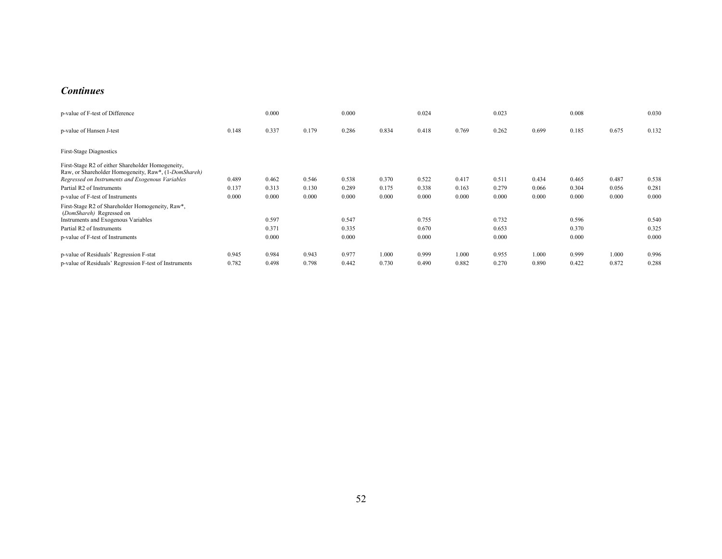#### *Continues*

| p-value of F-test of Difference                                                                                                                               |       | 0.000 |       | 0.000 |       | 0.024 |       | 0.023 |       | 0.008 |       | 0.030 |
|---------------------------------------------------------------------------------------------------------------------------------------------------------------|-------|-------|-------|-------|-------|-------|-------|-------|-------|-------|-------|-------|
| p-value of Hansen J-test                                                                                                                                      | 0.148 | 0.337 | 0.179 | 0.286 | 0.834 | 0.418 | 0.769 | 0.262 | 0.699 | 0.185 | 0.675 | 0.132 |
| <b>First-Stage Diagnostics</b>                                                                                                                                |       |       |       |       |       |       |       |       |       |       |       |       |
| First-Stage R2 of either Shareholder Homogeneity,<br>Raw, or Shareholder Homogeneity, Raw*, (1-DomShareh)<br>Regressed on Instruments and Exogenous Variables | 0.489 | 0.462 | 0.546 | 0.538 | 0.370 | 0.522 | 0.417 | 0.511 | 0.434 | 0.465 | 0.487 | 0.538 |
| Partial R2 of Instruments                                                                                                                                     | 0.137 | 0.313 | 0.130 | 0.289 | 0.175 | 0.338 | 0.163 | 0.279 | 0.066 | 0.304 | 0.056 | 0.281 |
| p-value of F-test of Instruments                                                                                                                              | 0.000 | 0.000 | 0.000 | 0.000 | 0.000 | 0.000 | 0.000 | 0.000 | 0.000 | 0.000 | 0.000 | 0.000 |
| First-Stage R2 of Shareholder Homogeneity, Raw*,<br>(DomShareh) Regressed on<br>Instruments and Exogenous Variables                                           |       | 0.597 |       | 0.547 |       | 0.755 |       | 0.732 |       | 0.596 |       | 0.540 |
| Partial R2 of Instruments                                                                                                                                     |       | 0.371 |       | 0.335 |       | 0.670 |       | 0.653 |       | 0.370 |       | 0.325 |
| p-value of F-test of Instruments                                                                                                                              |       | 0.000 |       | 0.000 |       | 0.000 |       | 0.000 |       | 0.000 |       | 0.000 |
| p-value of Residuals' Regression F-stat                                                                                                                       | 0.945 | 0.984 | 0.943 | 0.977 | 1.000 | 0.999 | 1.000 | 0.955 | 1.000 | 0.999 | 1.000 | 0.996 |
| p-value of Residuals' Regression F-test of Instruments                                                                                                        | 0.782 | 0.498 | 0.798 | 0.442 | 0.730 | 0.490 | 0.882 | 0.270 | 0.890 | 0.422 | 0.872 | 0.288 |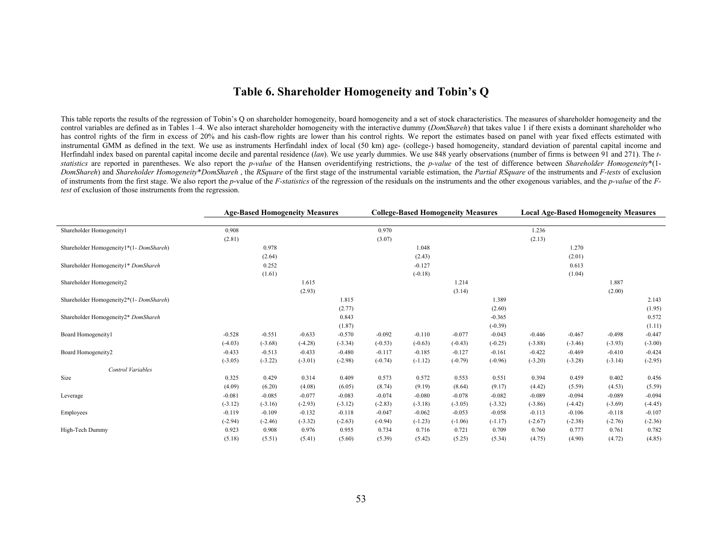## **Table 6. Shareholder Homogeneity and Tobin's Q**

This table reports the results of the regression of Tobin's Q on shareholder homogeneity, board homogeneity and a set of stock characteristics. The measures of shareholder homogeneity and the control variables are defined as in Tables 1–4. We also interact shareholder homogeneity with the interactive dummy (*DomShareh*) that takes value 1 if there exists a dominant shareholder who has control rights of the firm in excess of 20% and his cash-flow rights are lower than his control rights. We report the estimates based on panel with year fixed effects estimated with instrumental GMM as defined in the text. We use as instruments Herfindahl index of local (50 km) age- (college-) based homogeneity, standard deviation of parental capital income and Herfindahl index based on parental capital income decile and parental residence (*lan*). We use yearly dummies. We use 848 yearly observations (number of firms is between 91 and 271). The *t*statistics are reported in parentheses. We also report the *p-value* of the Hansen overidentifying restrictions, the *p-value* of the test of difference between *Shareholder Homogeneity\** (1-DomShareh) and Shareholder Homogeneity\*DomShareh, the RSquare of the first stage of the instrumental variable estimation, the Partial RSquare of the instruments and F-tests of exclusion of instruments from the first stage. We also report the p-value of the F-statistics of the regression of the residuals on the instruments and the other exogenous variables, and the p-value of the F*test* of exclusion of those instruments from the regression.

|                                         |           |           | <b>Age-Based Homogeneity Measures</b> |           |           | <b>College-Based Homogeneity Measures</b> |           |           |           |           | <b>Local Age-Based Homogeneity Measures</b> |           |
|-----------------------------------------|-----------|-----------|---------------------------------------|-----------|-----------|-------------------------------------------|-----------|-----------|-----------|-----------|---------------------------------------------|-----------|
|                                         |           |           |                                       |           |           |                                           |           |           |           |           |                                             |           |
| Shareholder Homogeneity1                | 0.908     |           |                                       |           | 0.970     |                                           |           |           | 1.236     |           |                                             |           |
|                                         | (2.81)    |           |                                       |           | (3.07)    |                                           |           |           | (2.13)    |           |                                             |           |
| Shareholder Homogeneity1*(1-DomShareh)  |           | 0.978     |                                       |           |           | 1.048                                     |           |           |           | 1.270     |                                             |           |
|                                         |           | (2.64)    |                                       |           |           | (2.43)                                    |           |           |           | (2.01)    |                                             |           |
| Shareholder Homogeneity1* DomShareh     |           | 0.252     |                                       |           |           | $-0.127$                                  |           |           |           | 0.613     |                                             |           |
|                                         |           | (1.61)    |                                       |           |           | $(-0.18)$                                 |           |           |           | (1.04)    |                                             |           |
| Shareholder Homogeneity2                |           |           | 1.615                                 |           |           |                                           | 1.214     |           |           |           | 1.887                                       |           |
|                                         |           |           | (2.93)                                |           |           |                                           | (3.14)    |           |           |           | (2.00)                                      |           |
| Shareholder Homogeneity2*(1- DomShareh) |           |           |                                       | 1.815     |           |                                           |           | 1.389     |           |           |                                             | 2.143     |
|                                         |           |           |                                       | (2.77)    |           |                                           |           | (2.60)    |           |           |                                             | (1.95)    |
| Shareholder Homogeneity2* DomShareh     |           |           |                                       | 0.843     |           |                                           |           | $-0.365$  |           |           |                                             | 0.572     |
|                                         |           |           |                                       | (1.87)    |           |                                           |           | $(-0.39)$ |           |           |                                             | (1.11)    |
| Board Homogeneity1                      | $-0.528$  | $-0.551$  | $-0.633$                              | $-0.570$  | $-0.092$  | $-0.110$                                  | $-0.077$  | $-0.043$  | $-0.446$  | $-0.467$  | $-0.498$                                    | $-0.447$  |
|                                         | $(-4.03)$ | $(-3.68)$ | $(-4.28)$                             | $(-3.34)$ | $(-0.53)$ | $(-0.63)$                                 | $(-0.43)$ | $(-0.25)$ | $(-3.88)$ | $(-3.46)$ | $(-3.93)$                                   | $(-3.00)$ |
| Board Homogeneity2                      | $-0.433$  | $-0.513$  | $-0.433$                              | $-0.480$  | $-0.117$  | $-0.185$                                  | $-0.127$  | $-0.161$  | $-0.422$  | $-0.469$  | $-0.410$                                    | $-0.424$  |
|                                         | $(-3.05)$ | $(-3.22)$ | $(-3.01)$                             | $(-2.98)$ | $(-0.74)$ | $(-1.12)$                                 | $(-0.79)$ | $(-0.96)$ | $(-3.20)$ | $(-3.28)$ | $(-3.14)$                                   | $(-2.95)$ |
| Control Variables                       |           |           |                                       |           |           |                                           |           |           |           |           |                                             |           |
| Size                                    | 0.325     | 0.429     | 0.314                                 | 0.409     | 0.573     | 0.572                                     | 0.553     | 0.551     | 0.394     | 0.459     | 0.402                                       | 0.456     |
|                                         | (4.09)    | (6.20)    | (4.08)                                | (6.05)    | (8.74)    | (9.19)                                    | (8.64)    | (9.17)    | (4.42)    | (5.59)    | (4.53)                                      | (5.59)    |
| Leverage                                | $-0.081$  | $-0.085$  | $-0.077$                              | $-0.083$  | $-0.074$  | $-0.080$                                  | $-0.078$  | $-0.082$  | $-0.089$  | $-0.094$  | $-0.089$                                    | $-0.094$  |
|                                         | $(-3.12)$ | $(-3.16)$ | $(-2.93)$                             | $(-3.12)$ | $(-2.83)$ | $(-3.18)$                                 | $(-3.05)$ | $(-3.32)$ | $(-3.86)$ | $(-4.42)$ | $(-3.69)$                                   | $(-4.45)$ |
| Employees                               | $-0.119$  | $-0.109$  | $-0.132$                              | $-0.118$  | $-0.047$  | $-0.062$                                  | $-0.053$  | $-0.058$  | $-0.113$  | $-0.106$  | $-0.118$                                    | $-0.107$  |
|                                         | $(-2.94)$ | $(-2.46)$ | $(-3.32)$                             | $(-2.63)$ | $(-0.94)$ | $(-1.23)$                                 | $(-1.06)$ | $(-1.17)$ | $(-2.67)$ | $(-2.38)$ | $(-2.76)$                                   | $(-2.36)$ |
| High-Tech Dummy                         | 0.923     | 0.908     | 0.976                                 | 0.955     | 0.734     | 0.716                                     | 0.721     | 0.709     | 0.760     | 0.777     | 0.761                                       | 0.782     |
|                                         | (5.18)    | (5.51)    | (5.41)                                | (5.60)    | (5.39)    | (5.42)                                    | (5.25)    | (5.34)    | (4.75)    | (4.90)    | (4.72)                                      | (4.85)    |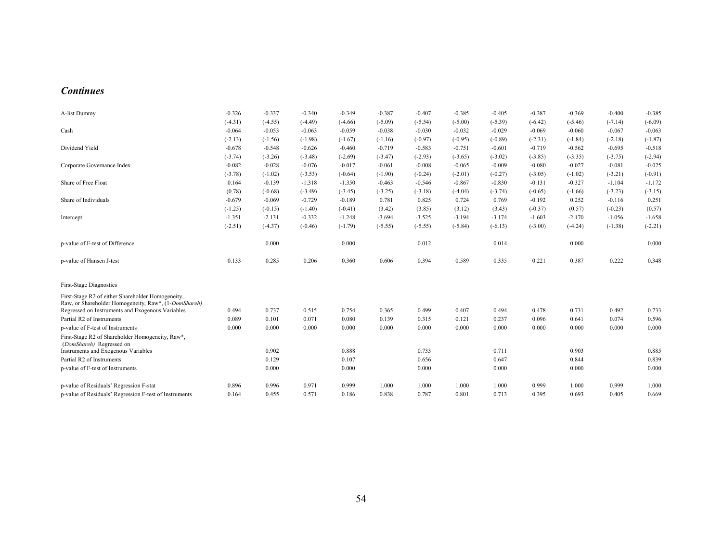#### *Continues*

| A-list Dummy                                                                                              | $-0.326$  | $-0.337$  | $-0.340$  | $-0.349$  | $-0.387$  | $-0.407$  | $-0.385$  | $-0.405$  | $-0.387$  | $-0.369$  | $-0.400$  | $-0.385$  |
|-----------------------------------------------------------------------------------------------------------|-----------|-----------|-----------|-----------|-----------|-----------|-----------|-----------|-----------|-----------|-----------|-----------|
|                                                                                                           | $(-4.31)$ | $(-4.55)$ | $(-4.49)$ | $(-4.66)$ | $(-5.09)$ | $(-5.54)$ | $(-5.00)$ | $(-5.39)$ | $(-6.42)$ | $(-5.46)$ | $(-7.14)$ | $(-6.09)$ |
| Cash                                                                                                      | $-0.064$  | $-0.053$  | $-0.063$  | $-0.059$  | $-0.038$  | $-0.030$  | $-0.032$  | $-0.029$  | $-0.069$  | $-0.060$  | $-0.067$  | $-0.063$  |
|                                                                                                           | $(-2.13)$ | $(-1.56)$ | $(-1.98)$ | $(-1.67)$ | $(-1.16)$ | $(-0.97)$ | $(-0.95)$ | $(-0.89)$ | $(-2.31)$ | $(-1.84)$ | $(-2.18)$ | $(-1.87)$ |
| Dividend Yield                                                                                            | $-0.678$  | $-0.548$  | $-0.626$  | $-0.460$  | $-0.719$  | $-0.583$  | $-0.751$  | $-0.601$  | $-0.719$  | $-0.562$  | $-0.695$  | $-0.518$  |
|                                                                                                           | $(-3.74)$ | $(-3.26)$ | $(-3.48)$ | $(-2.69)$ | $(-3.47)$ | $(-2.93)$ | $(-3.65)$ | $(-3.02)$ | $(-3.85)$ | $(-3.35)$ | $(-3.75)$ | $(-2.94)$ |
| Corporate Governance Index                                                                                | $-0.082$  | $-0.028$  | $-0.076$  | $-0.017$  | $-0.061$  | $-0.008$  | $-0.065$  | $-0.009$  | $-0.080$  | $-0.027$  | $-0.081$  | $-0.025$  |
|                                                                                                           | $(-3.78)$ | $(-1.02)$ | $(-3.53)$ | $(-0.64)$ | $(-1.90)$ | $(-0.24)$ | $(-2.01)$ | $(-0.27)$ | $(-3.05)$ | $(-1.02)$ | $(-3.21)$ | $(-0.91)$ |
| Share of Free Float                                                                                       | 0.164     | $-0.139$  | $-1.318$  | $-1.350$  | $-0.463$  | $-0.546$  | $-0.867$  | $-0.830$  | $-0.131$  | $-0.327$  | $-1.104$  | $-1.172$  |
|                                                                                                           | (0.78)    | $(-0.68)$ | $(-3.49)$ | $(-3.45)$ | $(-3.25)$ | $(-3.18)$ | $(-4.04)$ | $(-3.74)$ | $(-0.65)$ | $(-1.66)$ | $(-3.23)$ | $(-3.15)$ |
| Share of Individuals                                                                                      | $-0.679$  | $-0.069$  | $-0.729$  | $-0.189$  | 0.781     | 0.825     | 0.724     | 0.769     | $-0.192$  | 0.252     | $-0.116$  | 0.251     |
|                                                                                                           | $(-1.25)$ | $(-0.15)$ | $(-1.40)$ | $(-0.41)$ | (3.42)    | (3.85)    | (3.12)    | (3.43)    | $(-0.37)$ | (0.57)    | $(-0.23)$ | (0.57)    |
| Intercept                                                                                                 | $-1.351$  | $-2.131$  | $-0.332$  | $-1.248$  | $-3.694$  | $-3.525$  | $-3.194$  | $-3.174$  | $-1.603$  | $-2.170$  | $-1.056$  | $-1.658$  |
|                                                                                                           | $(-2.51)$ | $(-4.37)$ | $(-0.46)$ | $(-1.79)$ | $(-5.55)$ | $(-5.55)$ | $(-5.84)$ | $(-6.13)$ | $(-3.00)$ | $(-4.24)$ | $(-1.38)$ | $(-2.21)$ |
| p-value of F-test of Difference                                                                           |           | 0.000     |           | 0.000     |           | 0.012     |           | 0.014     |           | 0.000     |           | 0.000     |
| p-value of Hansen J-test                                                                                  | 0.133     | 0.285     | 0.206     | 0.360     | 0.606     | 0.394     | 0.589     | 0.335     | 0.221     | 0.387     | 0.222     | 0.348     |
| <b>First-Stage Diagnostics</b>                                                                            |           |           |           |           |           |           |           |           |           |           |           |           |
| First-Stage R2 of either Shareholder Homogeneity,<br>Raw, or Shareholder Homogeneity, Raw*, (1-DomShareh) | 0.494     | 0.737     | 0.515     | 0.754     | 0.365     | 0.499     | 0.407     | 0.494     | 0.478     | 0.731     | 0.492     | 0.733     |
| Regressed on Instruments and Exogenous Variables<br>Partial R2 of Instruments                             | 0.089     | 0.101     | 0.071     | 0.080     | 0.139     | 0.315     | 0.121     | 0.237     | 0.096     | 0.641     | 0.074     | 0.596     |
| p-value of F-test of Instruments                                                                          | 0.000     | 0.000     | 0.000     | 0.000     | 0.000     | 0.000     | 0.000     | 0.000     | 0.000     | 0.000     | 0.000     | 0.000     |
| First-Stage R2 of Shareholder Homogeneity, Raw*,<br>(DomShareh) Regressed on                              |           |           |           |           |           |           |           |           |           |           |           |           |
| Instruments and Exogenous Variables                                                                       |           | 0.902     |           | 0.888     |           | 0.733     |           | 0.711     |           | 0.903     |           | 0.885     |
| Partial R2 of Instruments                                                                                 |           | 0.129     |           | 0.107     |           | 0.656     |           | 0.647     |           | 0.844     |           | 0.839     |
| p-value of F-test of Instruments                                                                          |           | 0.000     |           | 0.000     |           | 0.000     |           | 0.000     |           | 0.000     |           | 0.000     |
| p-value of Residuals' Regression F-stat                                                                   | 0.896     | 0.996     | 0.971     | 0.999     | 1.000     | 1.000     | 1.000     | 1.000     | 0.999     | 1.000     | 0.999     | 1.000     |
| p-value of Residuals' Regression F-test of Instruments                                                    | 0.164     | 0.455     | 0.571     | 0.186     | 0.838     | 0.787     | 0.801     | 0.713     | 0.395     | 0.693     | 0.405     | 0.669     |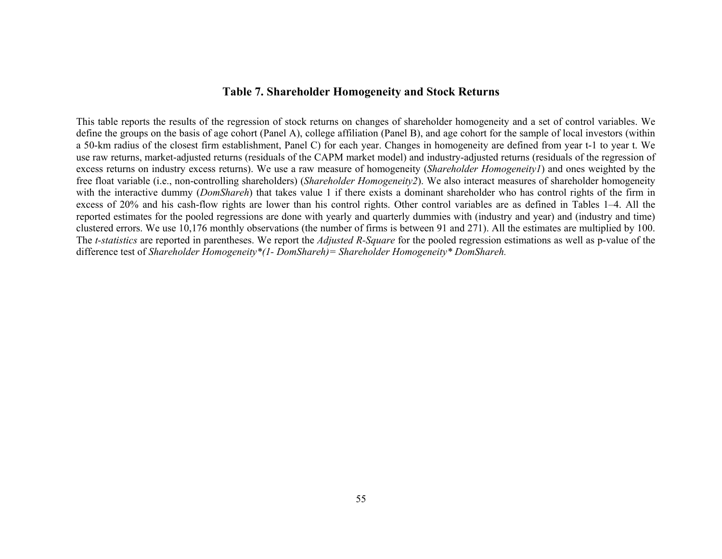## **Table 7. Shareholder Homogeneity and Stock Returns**

This table reports the results of the regression of stock returns on changes of shareholder homogeneity and a set of control variables. We define the groups on the basis of age cohort (Panel A), college affiliation (Panel B), and age cohort for the sample of local investors (within a 50-km radius of the closest firm establishment, Panel C) for each year. Changes in homogeneity are defined from year t-1 to year t. We use raw returns, market-adjusted returns (residuals of the CAPM market model) and industry-adjusted returns (residuals of the regression of excess returns on industry excess returns). We use a raw measure of homogeneity (*Shareholder Homogeneity1*) and ones weighted by the free float variable (i.e., non-controlling shareholders) (*Shareholder Homogeneity2*). We also interact measures of shareholder homogeneity with the interactive dummy (*DomShareh*) that takes value 1 if there exists a dominant shareholder who has control rights of the firm in excess of 20% and his cash-flow rights are lower than his control rights. Other control variables are as defined in Tables 1–4. All the reported estimates for the pooled regressions are done with yearly and quarterly dummies with (industry and year) and (industry and time) clustered errors. We use 10,176 monthly observations (the number of firms is between 91 and 271). All the estimates are multiplied by 100. The *t-statistics* are reported in parentheses. We report the *Adjusted R-Square* for the pooled regression estimations as well as p-value of the difference test of *Shareholder Homogeneity\*(1- DomShareh)= Shareholder Homogeneity\* DomShareh.*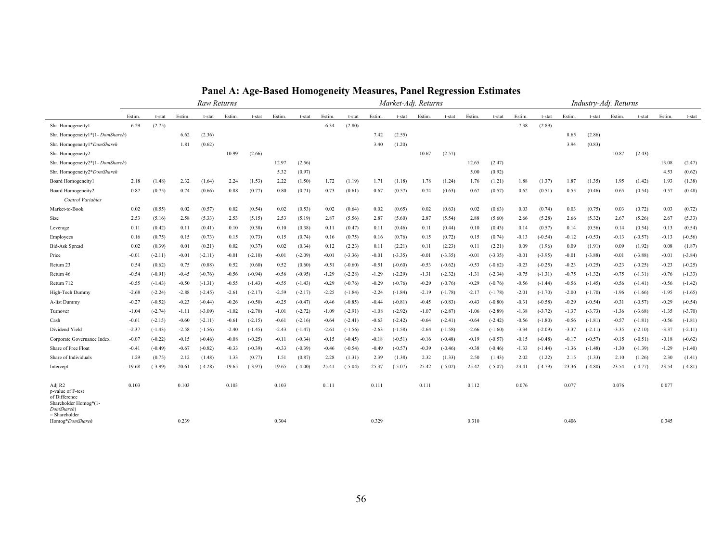|                                                                                                      |          |           |          | Raw Returns |          |           |          |           |          |           |          | Market-Adj. Returns |          |           |          |           |          |           |          | Industry-Adj. Returns |          |           |          |           |
|------------------------------------------------------------------------------------------------------|----------|-----------|----------|-------------|----------|-----------|----------|-----------|----------|-----------|----------|---------------------|----------|-----------|----------|-----------|----------|-----------|----------|-----------------------|----------|-----------|----------|-----------|
|                                                                                                      | Estim.   | t-stat    | Estim.   | t-stat      | Estim.   | t-stat    | Estim.   | t-stat    | Estim.   | t-stat    | Estim.   | t-stat              | Estim.   | t-stat    | Estim.   | t-stat    | Estim.   | t-stat    | Estim.   | t-stat                | Estim.   | t-stat    | Estim.   | t-stat    |
| Shr. Homogeneityl                                                                                    | 6.29     | (2.75)    |          |             |          |           |          |           | 6.34     | (2.80)    |          |                     |          |           |          |           | 7.38     | (2.89)    |          |                       |          |           |          |           |
| Shr. Homogeneity1*(1-DomShareh)                                                                      |          |           | 6.62     | (2.36)      |          |           |          |           |          |           | 7.42     | (2.55)              |          |           |          |           |          |           | 8.65     | (2.86)                |          |           |          |           |
| Shr. Homogeneity1*DomShareh                                                                          |          |           | 1.81     | (0.62)      |          |           |          |           |          |           | 3.40     | (1.20)              |          |           |          |           |          |           | 3.94     | (0.83)                |          |           |          |           |
| Shr. Homogeneity2                                                                                    |          |           |          |             | 10.99    | (2.66)    |          |           |          |           |          |                     | 10.67    | (2.57)    |          |           |          |           |          |                       | 10.87    | (2.43)    |          |           |
| Shr. Homogeneity2*(1- DomShareh)                                                                     |          |           |          |             |          |           | 12.97    | (2.56)    |          |           |          |                     |          |           | 12.65    | (2.47)    |          |           |          |                       |          |           | 13.08    | (2.47)    |
| Shr. Homogeneity2*DomShareh                                                                          |          |           |          |             |          |           | 5.32     | (0.97)    |          |           |          |                     |          |           | 5.00     | (0.92)    |          |           |          |                       |          |           | 4.53     | (0.62)    |
| Board Homogeneityl                                                                                   | 2.18     | (1.48)    | 2.32     | (1.64)      | 2.24     | (1.53)    | 2.22     | (1.50)    | 1.72     | (1.19)    | 1.71     | (1.18)              | 1.78     | (1.24)    | 1.76     | (1.21)    | 1.88     | (1.37)    | 1.87     | (1.35)                | 1.95     | (1.42)    | 1.93     | (1.38)    |
| Board Homogeneity2                                                                                   | 0.87     | (0.75)    | 0.74     | (0.66)      | 0.88     | (0.77)    | 0.80     | (0.71)    | 0.73     | (0.61)    | 0.67     | (0.57)              | 0.74     | (0.63)    | 0.67     | (0.57)    | 0.62     | (0.51)    | 0.55     | (0.46)                | 0.65     | (0.54)    | 0.57     | (0.48)    |
| Control Variables                                                                                    |          |           |          |             |          |           |          |           |          |           |          |                     |          |           |          |           |          |           |          |                       |          |           |          |           |
| Market-to-Book                                                                                       | 0.02     | (0.55)    | 0.02     | (0.57)      | 0.02     | (0.54)    | 0.02     | (0.53)    | 0.02     | (0.64)    | 0.02     | (0.65)              | 0.02     | (0.63)    | 0.02     | (0.63)    | 0.03     | (0.74)    | 0.03     | (0.75)                | 0.03     | (0.72)    | 0.03     | (0.72)    |
| Size                                                                                                 | 2.53     | (5.16)    | 2.58     | (5.33)      | 2.53     | (5.15)    | 2.53     | (5.19)    | 2.87     | (5.56)    | 2.87     | (5.60)              | 2.87     | (5.54)    | 2.88     | (5.60)    | 2.66     | (5.28)    | 2.66     | (5.32)                | 2.67     | (5.26)    | 2.67     | (5.33)    |
| Leverage                                                                                             | 0.11     | (0.42)    | 0.11     | (0.41)      | 0.10     | (0.38)    | 0.10     | (0.38)    | 0.11     | (0.47)    | 0.11     | (0.46)              | 0.11     | (0.44)    | 0.10     | (0.43)    | 0.14     | (0.57)    | 0.14     | (0.56)                | 0.14     | (0.54)    | 0.13     | (0.54)    |
| Employees                                                                                            | 0.16     | (0.75)    | 0.15     | (0.73)      | 0.15     | (0.73)    | 0.15     | (0.74)    | 0.16     | (0.75)    | 0.16     | (0.76)              | 0.15     | (0.72)    | 0.15     | (0.74)    | $-0.13$  | $(-0.54)$ | $-0.12$  | $(-0.53)$             | $-0.13$  | $(-0.57)$ | $-0.13$  | $(-0.56)$ |
| <b>Bid-Ask Spread</b>                                                                                | 0.02     | (0.39)    | 0.01     | (0.21)      | 0.02     | (0.37)    | 0.02     | (0.34)    | 0.12     | (2.23)    | 0.11     | (2.21)              | 0.11     | (2.23)    | 0.11     | (2.21)    | 0.09     | (1.96)    | 0.09     | (1.91)                | 0.09     | (1.92)    | 0.08     | (1.87)    |
| Price                                                                                                | $-0.01$  | $(-2.11)$ | $-0.01$  | $(-2.11)$   | $-0.01$  | $(-2.10)$ | $-0.01$  | $(-2.09)$ | $-0.01$  | $(-3.36)$ | $-0.01$  | $(-3.35)$           | $-0.01$  | $(-3.35)$ | $-0.01$  | $(-3.35)$ | $-0.01$  | $(-3.95)$ | $-0.01$  | $(-3.88)$             | $-0.01$  | $(-3.88)$ | $-0.01$  | $(-3.84)$ |
| Return 23                                                                                            | 0.54     | (0.62)    | 0.75     | (0.88)      | 0.52     | (0.60)    | 0.52     | (0.60)    | $-0.51$  | $(-0.60)$ | $-0.51$  | $(-0.60)$           | $-0.53$  | $(-0.62)$ | $-0.53$  | $(-0.62)$ | $-0.23$  | $(-0.25)$ | $-0.23$  | $(-0.25)$             | $-0.23$  | $(-0.25)$ | $-0.23$  | $(-0.25)$ |
| Return 46                                                                                            | $-0.54$  | $(-0.91)$ | $-0.45$  | $(-0.76)$   | $-0.56$  | $(-0.94)$ | $-0.56$  | $(-0.95)$ | $-1.29$  | $(-2.28)$ | $-1.29$  | $(-2.29)$           | $-1.31$  | $(-2.32)$ | $-1.31$  | $(-2.34)$ | $-0.75$  | $(-1.31)$ | $-0.75$  | $(-1.32)$             | $-0.75$  | $(-1.31)$ | $-0.76$  | $(-1.33)$ |
| Return 712                                                                                           | $-0.55$  | $(-1.43)$ | $-0.50$  | $(-1.31)$   | $-0.55$  | $(-1.43)$ | $-0.55$  | $(-1.43)$ | $-0.29$  | $(-0.76)$ | $-0.29$  | $(-0.76)$           | $-0.29$  | $(-0.76)$ | $-0.29$  | $(-0.76)$ | $-0.56$  | $(-1.44)$ | $-0.56$  | $(-1.45)$             | $-0.56$  | $(-1.41)$ | $-0.56$  | $(-1.42)$ |
| High-Tech Dummy                                                                                      | $-2.68$  | $(-2.24)$ | $-2.88$  | $(-2.45)$   | $-2.61$  | $(-2.17)$ | $-2.59$  | $(-2.17)$ | $-2.25$  | $(-1.84)$ | $-2.24$  | $(-1.84)$           | $-2.19$  | $(-1.78)$ | $-2.17$  | $(-1.78)$ | $-2.01$  | $(-1.70)$ | $-2.00$  | $(-1.70)$             | $-1.96$  | $(-1.66)$ | $-1.95$  | $(-1.65)$ |
| A-list Dummy                                                                                         | $-0.27$  | $(-0.52)$ | $-0.23$  | $(-0.44)$   | $-0.26$  | $(-0.50)$ | $-0.25$  | $(-0.47)$ | $-0.46$  | $(-0.85)$ | $-0.44$  | $(-0.81)$           | $-0.45$  | $(-0.83)$ | $-0.43$  | $(-0.80)$ | $-0.31$  | $(-0.58)$ | $-0.29$  | $(-0.54)$             | $-0.31$  | $(-0.57)$ | $-0.29$  | $(-0.54)$ |
| Turnover                                                                                             | $-1.04$  | $(-2.74)$ | $-1.11$  | $(-3.09)$   | $-1.02$  | $(-2.70)$ | $-1.01$  | $(-2.72)$ | $-1.09$  | $(-2.91)$ | $-1.08$  | $(-2.92)$           | $-1.07$  | $(-2.87)$ | $-1.06$  | $(-2.89)$ | $-1.38$  | $(-3.72)$ | $-1.37$  | $(-3.73)$             | $-1.36$  | $(-3.68)$ | $-1.35$  | $(-3.70)$ |
| Cash                                                                                                 | $-0.61$  | $(-2.15)$ | $-0.60$  | $(-2.11)$   | $-0.61$  | $(-2.15)$ | $-0.61$  | $(-2.16)$ | $-0.64$  | $(-2.41)$ | $-0.63$  | $(-2.42)$           | $-0.64$  | $(-2.41)$ | $-0.64$  | $(-2.42)$ | $-0.56$  | $(-1.80)$ | $-0.56$  | $(-1.81)$             | $-0.57$  | $(-1.81)$ | $-0.56$  | $(-1.81)$ |
| Dividend Yield                                                                                       | $-2.37$  | $(-1.43)$ | $-2.58$  | $(-1.56)$   | $-2.40$  | $(-1.45)$ | $-2.43$  | $(-1.47)$ | $-2.61$  | $(-1.56)$ | $-2.63$  | $(-1.58)$           | $-2.64$  | $(-1.58)$ | $-2.66$  | $(-1.60)$ | $-3.34$  | $(-2.09)$ | $-3.37$  | $(-2.11)$             | $-3.35$  | $(-2.10)$ | $-3.37$  | $(-2.11)$ |
| Corporate Governance Index                                                                           | $-0.07$  | $(-0.22)$ | $-0.15$  | $(-0.46)$   | $-0.08$  | $(-0.25)$ | -0.11    | $(-0.34)$ | $-0.15$  | $(-0.45)$ | $-0.18$  | $(-0.51)$           | $-0.16$  | $(-0.48)$ | $-0.19$  | $(-0.57)$ | $-0.15$  | $(-0.48)$ | $-0.17$  | $(-0.57)$             | $-0.15$  | $(-0.51)$ | $-0.18$  | $(-0.62)$ |
| Share of Free Float                                                                                  | $-0.41$  | $(-0.49)$ | $-0.67$  | $(-0.82)$   | $-0.33$  | $(-0.39)$ | $-0.33$  | $(-0.39)$ | $-0.46$  | $(-0.54)$ | $-0.49$  | $(-0.57)$           | $-0.39$  | $(-0.46)$ | $-0.38$  | $(-0.46)$ | $-1.33$  | $(-1.44)$ | $-1.36$  | $(-1.48)$             | $-1.30$  | $(-1.39)$ | $-1.29$  | $(-1.40)$ |
| Share of Individuals                                                                                 | 1.29     | (0.75)    | 2.12     | (1.48)      | 1.33     | (0.77)    | 1.51     | (0.87)    | 2.28     | (1.31)    | 2.39     | (1.38)              | 2.32     | (1.33)    | 2.50     | (1.43)    | 2.02     | (1.22)    | 2.15     | (1.33)                | 2.10     | (1.26)    | 2.30     | (1.41)    |
| Intercept                                                                                            | $-19.68$ | $(-3.99)$ | $-20.61$ | $(-4.28)$   | $-19.65$ | $(-3.97)$ | $-19.65$ | $(-4.00)$ | $-25.41$ | $(-5.04)$ | $-25.37$ | $(-5.07)$           | $-25.42$ | $(-5.02)$ | $-25.42$ | $(-5.07)$ | $-23.41$ | $(-4.79)$ | $-23.36$ | $(-4.80)$             | $-23.54$ | $(-4.77)$ | $-23.54$ | $(-4.81)$ |
| Adj R2<br>p-value of F-test<br>of Difference<br>Shareholder Homog*(1-<br>DomShareh)<br>= Shareholder | 0.103    |           | 0.103    |             | 0.103    |           | 0.103    |           | 0.111    |           | 0.111    |                     | 0.111    |           | 0.112    |           | 0.076    |           | 0.077    |                       | 0.076    |           | 0.077    |           |
| Homog*DomShareh                                                                                      |          |           | 0.239    |             |          |           | 0.304    |           |          |           | 0.329    |                     |          |           | 0.310    |           |          |           | 0.406    |                       |          |           | 0.345    |           |

**Panel A: Age-Based Homogeneity Measures, Panel Regression Estimates**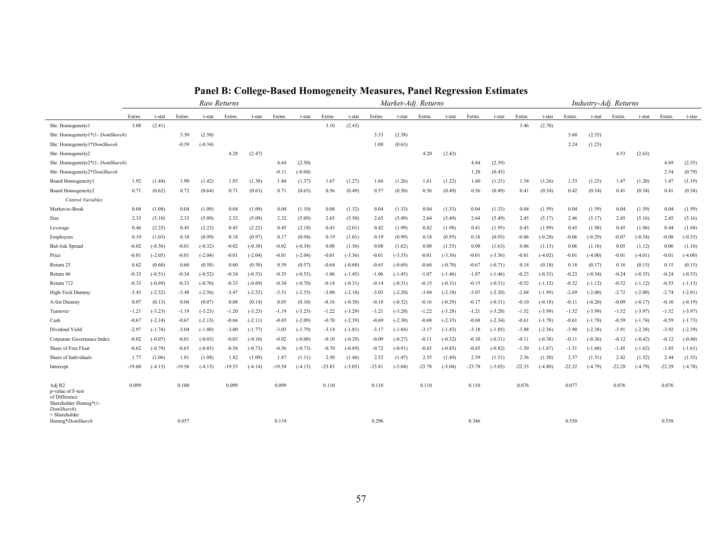|                                                                                                      |          |           |          |           | Raw Returns |           |          |           |          |           |          | Market-Adj. Returns |          |           |          |           |          |           |          | Industry-Adj. Returns |          |           |          |           |
|------------------------------------------------------------------------------------------------------|----------|-----------|----------|-----------|-------------|-----------|----------|-----------|----------|-----------|----------|---------------------|----------|-----------|----------|-----------|----------|-----------|----------|-----------------------|----------|-----------|----------|-----------|
|                                                                                                      | Estim.   | t-stat    | Estim.   | t-stat    | Estim.      | t-stat    | Estim.   | t-stat    | Estim.   | t-stat    | Estim.   | t-stat              | Estim.   | t-stat    | Estim.   | t-stat    | Estim.   | t-stat    | Estim.   | t-stat                | Estim.   | t-stat    | Estim.   | t-stat    |
| Shr. Homogeneityl                                                                                    | 3.08     | (2.41)    |          |           |             |           |          |           | 3.10     | (2.43)    |          |                     |          |           |          |           | 3.46     | (2.70)    |          |                       |          |           |          |           |
| Shr. Homogeneity1*(1-DomShareh)                                                                      |          |           | 3.50     | (2.50)    |             |           |          |           |          |           | 3.33     | (2.38)              |          |           |          |           |          |           | 3.60     | (2.55)                |          |           |          |           |
| Shr. Homogeneity1*DomShareh                                                                          |          |           | $-0.59$  | $(-0.34)$ |             |           |          |           |          |           | 1.08     | (0.63)              |          |           |          |           |          |           | 2.24     | (1.23)                |          |           |          |           |
| Shr. Homogeneity2                                                                                    |          |           |          |           | 4.28        | (2.47)    |          |           |          |           |          |                     | 4.20     | (2.42)    |          |           |          |           |          |                       | 4.53     | (2.63)    |          |           |
| Shr. Homogeneity2*(1- DomShareh)                                                                     |          |           |          |           |             |           | 4.64     | (2.50)    |          |           |          |                     |          |           | 4.44     | (2.39)    |          |           |          |                       |          |           | 4.69     | (2.55)    |
| Shr. Homogeneity2*DomShareh                                                                          |          |           |          |           |             |           | $-0.11$  | $(-0.04)$ |          |           |          |                     |          |           | 1.28     | (0.45)    |          |           |          |                       |          |           | 2.54     | (0.79)    |
| Board Homogeneityl                                                                                   | 1.92     | (1.44)    | 1.90     | (1.42)    | 1.85        | (1.38)    | 1.84     | (1.37)    | 1.67     | (1.27)    | 1.66     | (1.26)              | 1.61     | (1.22)    | 1.60     | (1.21)    | 1.54     | (1.26)    | 1.53     | (1.25)                | 1.47     | (1.20)    | 1.47     | (1.19)    |
| Board Homogeneity2<br>Control Variables                                                              | 0.71     | (0.62)    | 0.72     | (0.64)    | 0.71        | (0.63)    | 0.71     | (0.63)    | 0.56     | (0.49)    | 0.57     | (0.50)              | 0.56     | (0.49)    | 0.56     | (0.49)    | 0.41     | (0.34)    | 0.42     | (0.34)                | 0.41     | (0.34)    | 0.41     | (0.34)    |
| Market-to-Book                                                                                       | 0.04     | (1.08)    | 0.04     | (1.09)    | 0.04        | (1.09)    | 0.04     | (1.10)    | 0.04     | (1.32)    | 0.04     | (1.33)              | 0.04     | (1.33)    | 0.04     | (1.33)    | 0.04     | (1.59)    | 0.04     | (1.59)                | 0.04     | (1.59)    | 0.04     | (1.59)    |
| Size                                                                                                 | 2.33     | (5.10)    | 2.33     | (5.09)    | 2.32        | (5.09)    | 2.32     | (5.09)    | 2.65     | (5.50)    | 2.65     | (5.49)              | 2.64     | (5.49)    | 2.64     | (5.49)    | 2.45     | (5.17)    | 2.46     | (5.17)                | 2.45     | (5.16)    | 2.45     | (5.16)    |
| Leverage                                                                                             | 0.46     | (2.25)    | 0.45     | (2.23)    | 0.45        | (2.22)    | 0.45     | (2.18)    | 0.43     | (2.01)    | 0.42     | (1.99)              | 0.42     | (1.98)    | 0.41     | (1.95)    | 0.45     | (1.99)    | 0.45     | (1.98)                | 0.45     | (1.96)    | 0.44     | (1.94)    |
| Employees                                                                                            | 0.19     | (1.03)    | 0.18     | (0.99)    | 0.18        | (0.97)    | 0.17     | (0.94)    | 0.19     | (1.01)    | 0.19     | (0.99)              | 0.18     | (0.95)    | 0.18     | (0.93)    | $-0.06$  | $(-0.28)$ | $-0.06$  | $(-0.29)$             | $-0.07$  | $(-0.34)$ | $-0.08$  | $(-0.35)$ |
| <b>Bid-Ask Spread</b>                                                                                | $-0.02$  | $(-0.36)$ | $-0.01$  | $(-0.32)$ | $-0.02$     | $(-0.38)$ | $-0.02$  | $(-0.34)$ | 0.08     | (1.56)    | 0.08     | (1.62)              | 0.08     | (1.55)    | 0.08     | (1.63)    | 0.06     | (1.13)    | 0.06     | (1.16)                | 0.05     | (1.12)    | 0.06     | (1.16)    |
| Price                                                                                                | $-0.01$  | $(-2.05)$ | $-0.01$  | $(-2.04)$ | $-0.01$     | $(-2.04)$ | $-0.01$  | $(-2.04)$ | $-0.01$  | $(-3.36)$ | $-0.01$  | $(-3.35)$           | $-0.01$  | $(-3.36)$ | $-0.01$  | $(-3.36)$ | $-0.01$  | $(-4.02)$ | $-0.01$  | $(-4.00)$             | $-0.01$  | $(-4.01)$ | $-0.01$  | $(-4.00)$ |
| Return 23                                                                                            | 0.62     | (0.60)    | 0.60     | (0.58)    | 0.60        | (0.58)    | 0.59     | (0.57)    | $-0.64$  | $(-0.68)$ | $-0.65$  | $(-0.69)$           | $-0.66$  | $(-0.70)$ | $-0.67$  | $(-0.71)$ | 0.18     | (0.18)    | 0.18     | (0.17)                | 0.16     | (0.15)    | 0.15     | (0.15)    |
| Return 46                                                                                            | $-0.33$  | $(-0.51)$ | $-0.34$  | $(-0.52)$ | $-0.34$     | $(-0.53)$ | $-0.35$  | $(-0.53)$ | $-1.06$  | $(-1.45)$ | $-1.06$  | $(-1.45)$           | $-1.07$  | $(-1.46)$ | $-1.07$  | $(-1.46)$ | $-0.23$  | $(-0.33)$ | $-0.23$  | $(-0.34)$             | $-0.24$  | $(-0.35)$ | $-0.24$  | $(-0.35)$ |
| Return 712                                                                                           | $-0.33$  | $(-0.69)$ | $-0.33$  | $(-0.70)$ | $-0.33$     | $(-0.69)$ | $-0.34$  | $(-0.70)$ | $-0.14$  | $(-0.31)$ | $-0.14$  | $(-0.31)$           | $-0.15$  | $(-0.31)$ | $-0.15$  | $(-0.31)$ | $-0.52$  | $(-1.12)$ | $-0.52$  | $(-1.12)$             | $-0.52$  | $(-1.12)$ | $-0.53$  | $(-1.13)$ |
| High-Tech Dummy                                                                                      | $-3.43$  | $(-2.52)$ | $-3.48$  | $(-2.56)$ | $-3.47$     | $(-2.52)$ | $-3.51$  | $(-2.55)$ | $-3.00$  | $(-2.18)$ | $-3.03$  | $(-2.20)$           | $-3.04$  | $(-2.18)$ | $-3.07$  | $(-2.20)$ | $-2.68$  | $(-1.99)$ | $-2.69$  | $(-2.00)$             | $-2.72$  | $(-2.00)$ | $-2.74$  | $(-2.01)$ |
| A-list Dummy                                                                                         | 0.07     | (0.13)    | 0.04     | (0.07)    | 0.08        | (0.14)    | 0.05     | (0.10)    | $-0.16$  | $(-0.30)$ | $-0.18$  | $(-0.32)$           | $-0.16$  | $(-0.29)$ | $-0.17$  | $(-0.31)$ | $-0.10$  | $(-0.18)$ | $-0.11$  | $(-0.20)$             | $-0.09$  | $(-0.17)$ | $-0.10$  | $(-0.19)$ |
| Turnover                                                                                             | $-1.21$  | $(-3.23)$ | $-1.19$  | $(-3.23)$ | $-1.20$     | $(-3.23)$ | $-1.19$  | $(-3.25)$ | $-1.22$  | $(-3.29)$ | $-1.21$  | $(-3.28)$           | $-1.22$  | $(-3.28)$ | $-1.21$  | $(-3.28)$ | $-1.52$  | $(-3.99)$ | $-1.52$  | $(-3.99)$             | $-1.52$  | $(-3.97)$ | $-1.52$  | $(-3.97)$ |
| Cash                                                                                                 | $-0.67$  | $(-2.14)$ | $-0.67$  | $(-2.13)$ | $-0.66$     | $(-2.11)$ | $-0.65$  | $(-2.09)$ | $-0.70$  | $(-2.39)$ | $-0.69$  | $(-2.38)$           | $-0.68$  | $(-2.35)$ | $-0.68$  | $(-2.34)$ | $-0.61$  | $(-1.78)$ | $-0.61$  | $(-1.78)$             | $-0.59$  | $(-1.74)$ | $-0.59$  | $(-1.73)$ |
| Dividend Yield                                                                                       | $-2.97$  | $(-1.74)$ | $-3.04$  | $(-1.80)$ | $-3.00$     | $(-1.77)$ | $-3.03$  | $(-1.79)$ | $-3.14$  | $(-1.81)$ | $-3.17$  | $(-1.84)$           | $-3.17$  | $(-1.83)$ | $-3.18$  | $(-1.85)$ | $-3.88$  | $(-2.36)$ | $-3.90$  | $(-2.38)$             | $-3.91$  | $(-2.38)$ | $-3.92$  | $(-2.39)$ |
| Corporate Governance Index                                                                           | $-0.02$  | $(-0.07)$ | $-0.01$  | $(-0.03)$ | $-0.03$     | $(-0.10)$ | $-0.02$  | $(-0.08)$ | $-0.10$  | $(-0.29)$ | $-0.09$  | $(-0.27)$           | $-0.11$  | $(-0.32)$ | -0.10    | $(-0.31)$ | $-0.11$  | $(-0.38)$ | $-0.11$  | $(-0.36)$             | $-0.12$  | $(-0.42)$ | $-0.12$  | $(-0.40)$ |
| Share of Free Float                                                                                  | $-0.62$  | $(-0.79)$ | $-0.65$  | $(-0.83)$ | $-0.56$     | $(-0.73)$ | $-0.56$  | $(-0.73)$ | $-0.70$  | $(-0.89)$ | $-0.72$  | $(-0.91)$           | $-0.65$  | $(-0.83)$ | -0.65    | $(-0.82)$ | $-1.50$  | $(-1.67)$ | $-1.51$  | $(-1.68)$             | $-1.45$  | $(-1.62)$ | $-1.45$  | $(-1.61)$ |
| Share of Individuals                                                                                 | 1.77     | (1.06)    | 1.81     | (1.08)    | 1.82        | (1.09)    | 1.87     | (1.11)    | 2.50     | (1.46)    | 2.52     | (1.47)              | 2.55     | (1.49)    | 2.59     | (1.51)    | 2.36     | (1.50)    | 2.37     | (1.51)                | 2.42     | (1.52)    | 2.44     | (1.53)    |
| Intercept                                                                                            | $-19.60$ | $(-4.15)$ | $-19.56$ | $(-4.13)$ | $-19.53$    | $(-4.14)$ | $-19.54$ | $(-4.13)$ | $-23.83$ | $(-5.05)$ | $-23.81$ | $(-5.04)$           | $-23.78$ | $(-5.04)$ | $-23.78$ | $(-5.03)$ | $-22.33$ | $(-4.80)$ | $-22.32$ | $(-4.79)$             | $-22.28$ | $(-4.79)$ | $-22.29$ | $(-4.78)$ |
| Adj R2<br>p-value of F-test<br>of Difference<br>Shareholder Homog*(1-<br>DomShareh)<br>= Shareholder | 0.099    |           | 0.100    |           | 0.099       |           | 0.099    |           | 0.110    |           | 0.110    |                     | 0.110    |           | 0.110    |           | 0.076    |           | 0.077    |                       | 0.076    |           | 0.076    |           |
| Homog*DomShareh                                                                                      |          |           | 0.057    |           |             |           | 0.119    |           |          |           | 0.296    |                     |          |           | 0.346    |           |          |           | 0.550    |                       |          |           | 0.558    |           |

**Panel B: College-Based Homogeneity Measures, Panel Regression Estimates**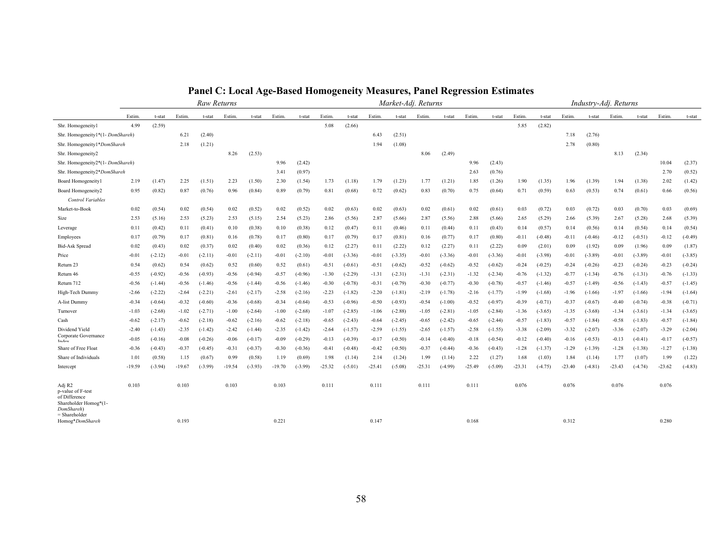|                                                                                                      |          |           |          | Raw Returns |          |           |          |           |          |           |          | Market-Adj. Returns |          |           |          |           |          |           |          | Industry-Adj. Returns |          |           |          |           |
|------------------------------------------------------------------------------------------------------|----------|-----------|----------|-------------|----------|-----------|----------|-----------|----------|-----------|----------|---------------------|----------|-----------|----------|-----------|----------|-----------|----------|-----------------------|----------|-----------|----------|-----------|
|                                                                                                      | Estim.   | t-stat    | Estim.   | t-stat      | Estim.   | t-stat    | Estim.   | t-stat    | Estim.   | t-stat    | Estim.   | t-stat              | Estim.   | t-stat    | Estim.   | t-stat    | Estim.   | t-stat    | Estim.   | t-stat                | Estim    | t-stat    | Estim.   | t-stat    |
| Shr. Homogeneityl                                                                                    | 4.99     | (2.59)    |          |             |          |           |          |           | 5.08     | (2.66)    |          |                     |          |           |          |           | 5.85     | (2.82)    |          |                       |          |           |          |           |
| Shr. Homogeneity1*(1-DomShareh)                                                                      |          |           | 6.21     | (2.40)      |          |           |          |           |          |           | 6.43     | (2.51)              |          |           |          |           |          |           | 7.18     | (2.76)                |          |           |          |           |
| Shr. Homogeneity1*DomShareh                                                                          |          |           | 2.18     | (1.21)      |          |           |          |           |          |           | 1.94     | (1.08)              |          |           |          |           |          |           | 2.78     | (0.80)                |          |           |          |           |
| Shr. Homogeneity2                                                                                    |          |           |          |             | 8.26     | (2.53)    |          |           |          |           |          |                     | 8.06     | (2.49)    |          |           |          |           |          |                       | 8.13     | (2.34)    |          |           |
| Shr. Homogeneity2*(1- DomShareh)                                                                     |          |           |          |             |          |           | 9.96     | (2.42)    |          |           |          |                     |          |           | 9.96     | (2.43)    |          |           |          |                       |          |           | 10.04    | (2.37)    |
| Shr. Homogeneity2*DomShareh                                                                          |          |           |          |             |          |           | 3.41     | (0.97)    |          |           |          |                     |          |           | 2.63     | (0.76)    |          |           |          |                       |          |           | 2.70     | (0.52)    |
| Board Homogeneityl                                                                                   | 2.19     | (1.47)    | 2.25     | (1.51)      | 2.23     | (1.50)    | 2.30     | (1.54)    | 1.73     | (1.18)    | 1.79     | (1.23)              | 1.77     | (1.21)    | 1.85     | (1.26)    | 1.90     | (1.35)    | 1.96     | (1.39)                | 1.94     | (1.38)    | 2.02     | (1.42)    |
| Board Homogeneity2<br>Control Variables                                                              | 0.95     | (0.82)    | 0.87     | (0.76)      | 0.96     | (0.84)    | 0.89     | (0.79)    | 0.81     | (0.68)    | 0.72     | (0.62)              | 0.83     | (0.70)    | 0.75     | (0.64)    | 0.71     | (0.59)    | 0.63     | (0.53)                | 0.74     | (0.61)    | 0.66     | (0.56)    |
| Market-to-Book                                                                                       | 0.02     | (0.54)    | 0.02     | (0.54)      | 0.02     | (0.52)    | 0.02     | (0.52)    | 0.02     | (0.63)    | 0.02     | (0.63)              | 0.02     | (0.61)    | 0.02     | (0.61)    | 0.03     | (0.72)    | 0.03     | (0.72)                | 0.03     | (0.70)    | 0.03     | (0.69)    |
| Size                                                                                                 | 2.53     | (5.16)    | 2.53     | (5.23)      | 2.53     | (5.15)    | 2.54     | (5.23)    | 2.86     | (5.56)    | 2.87     | (5.66)              | 2.87     | (5.56)    | 2.88     | (5.66)    | 2.65     | (5.29)    | 2.66     | (5.39)                | 2.67     | (5.28)    | 2.68     | (5.39)    |
| Leverage                                                                                             | 0.11     | (0.42)    | 0.11     | (0.41)      | 0.10     | (0.38)    | 0.10     | (0.38)    | 0.12     | (0.47)    | 0.11     | (0.46)              | 0.11     | (0.44)    | 0.11     | (0.43)    | 0.14     | (0.57)    | 0.14     | (0.56)                | 0.14     | (0.54)    | 0.14     | (0.54)    |
| Employees                                                                                            | 0.17     | (0.79)    | 0.17     | (0.81)      | 0.16     | (0.78)    | 0.17     | (0.80)    | 0.17     | (0.79)    | 0.17     | (0.81)              | 0.16     | (0.77)    | 0.17     | (0.80)    | $-0.11$  | $(-0.48)$ | $-0.11$  | $(-0.46)$             | $-0.12$  | $(-0.51)$ | $-0.12$  | $(-0.49)$ |
| <b>Bid-Ask Spread</b>                                                                                | 0.02     | (0.43)    | 0.02     | (0.37)      | 0.02     | (0.40)    | 0.02     | (0.36)    | 0.12     | (2.27)    | 0.11     | (2.22)              | 0.12     | (2.27)    | 0.11     | (2.22)    | 0.09     | (2.01)    | 0.09     | (1.92)                | 0.09     | (1.96)    | 0.09     | (1.87)    |
| Price                                                                                                | $-0.01$  | $(-2.12)$ | $-0.01$  | $(-2.11)$   | $-0.01$  | $(-2.11)$ | $-0.01$  | $(-2.10)$ | $-0.01$  | $(-3.36)$ | $-0.01$  | $(-3.35)$           | $-0.01$  | $(-3.36)$ | $-0.01$  | $(-3.36)$ | $-0.01$  | $(-3.98)$ | $-0.01$  | $(-3.89)$             | $-0.01$  | $(-3.89)$ | $-0.01$  | $(-3.85)$ |
| Return 23                                                                                            | 0.54     | (0.62)    | 0.54     | (0.62)      | 0.52     | (0.60)    | 0.52     | (0.61)    | $-0.51$  | $(-0.61)$ | $-0.51$  | $(-0.62)$           | $-0.52$  | $(-0.62)$ | $-0.52$  | $(-0.62)$ | $-0.24$  | $(-0.25)$ | $-0.24$  | $(-0.26)$             | $-0.23$  | $(-0.24)$ | $-0.23$  | $(-0.24)$ |
| Return 46                                                                                            | $-0.55$  | $(-0.92)$ | $-0.56$  | $(-0.93)$   | $-0.56$  | $(-0.94)$ | $-0.57$  | $(-0.96)$ | $-1.30$  | $(-2.29)$ | -1.31    | $(-2.31)$           | $-1.31$  | $(-2.31)$ | $-1.32$  | $(-2.34)$ | $-0.76$  | $(-1.32)$ | $-0.77$  | $(-1.34)$             | $-0.76$  | $(-1.31)$ | $-0.76$  | $(-1.33)$ |
| Return 712                                                                                           | $-0.56$  | $(-1.44)$ | $-0.56$  | $(-1.46)$   | $-0.56$  | $(-1.44)$ | $-0.56$  | $(-1.46)$ | $-0.30$  | $(-0.78)$ | $-0.31$  | $(-0.79)$           | $-0.30$  | $(-0.77)$ | $-0.30$  | $(-0.78)$ | $-0.57$  | $(-1.46)$ | $-0.57$  | $(-1.49)$             | $-0.56$  | $(-1.43)$ | $-0.57$  | $(-1.45)$ |
| High-Tech Dummy                                                                                      | $-2.66$  | $(-2.22)$ | $-2.64$  | $(-2.21)$   | $-2.61$  | $(-2.17)$ | $-2.58$  | $(-2.16)$ | $-2.23$  | $(-1.82)$ | $-2.20$  | $(-1.81)$           | $-2.19$  | $(-1.78)$ | $-2.16$  | $(-1.77)$ | $-1.99$  | $(-1.68)$ | $-1.96$  | $(-1.66)$             | $-1.97$  | $(-1.66)$ | $-1.94$  | $(-1.64)$ |
| A-list Dummy                                                                                         | $-0.34$  | $(-0.64)$ | $-0.32$  | $(-0.60)$   | $-0.36$  | $(-0.68)$ | $-0.34$  | $(-0.64)$ | $-0.53$  | $(-0.96)$ | $-0.50$  | $(-0.93)$           | $-0.54$  | $(-1.00)$ | $-0.52$  | $(-0.97)$ | $-0.39$  | $(-0.71)$ | $-0.37$  | $(-0.67)$             | $-0.40$  | $(-0.74)$ | $-0.38$  | $(-0.71)$ |
| Turnover                                                                                             | $-1.03$  | $(-2.68)$ | $-1.02$  | $(-2.71)$   | $-1.00$  | $(-2.64)$ | $-1.00$  | $(-2.68)$ | $-1.07$  | $(-2.85)$ | $-1.06$  | $(-2.88)$           | $-1.05$  | $(-2.81)$ | $-1.05$  | $(-2.84)$ | $-1.36$  | $(-3.65)$ | $-1.35$  | $(-3.68)$             | $-1.34$  | $(-3.61)$ | $-1.34$  | $(-3.65)$ |
| Cash                                                                                                 | $-0.62$  | $(-2.17)$ | $-0.62$  | $(-2.18)$   | $-0.62$  | $(-2.16)$ | $-0.62$  | $(-2.18)$ | $-0.65$  | $(-2.43)$ | $-0.64$  | $(-2.45)$           | $-0.65$  | $(-2.42)$ | $-0.65$  | $(-2.44)$ | $-0.57$  | $(-1.83)$ | $-0.57$  | $(-1.84)$             | $-0.58$  | $(-1.83)$ | $-0.57$  | $(-1.84)$ |
| Dividend Yield                                                                                       | $-2.40$  | $(-1.43)$ | $-2.35$  | $(-1.42)$   | $-2.42$  | $(-1.44)$ | $-2.35$  | $(-1.42)$ | $-2.64$  | $(-1.57)$ | $-2.59$  | $(-1.55)$           | $-2.65$  | $(-1.57)$ | $-2.58$  | $(-1.55)$ | $-3.38$  | $(-2.09)$ | $-3.32$  | $(-2.07)$             | $-3.36$  | $(-2.07)$ | $-3.29$  | $(-2.04)$ |
| Corporate Governance<br>Indev                                                                        | $-0.05$  | $(-0.16)$ | $-0.08$  | $(-0.26)$   | $-0.06$  | $(-0.17)$ | $-0.09$  | $(-0.29)$ | $-0.13$  | $(-0.39)$ | $-0.17$  | $(-0.50)$           | $-0.14$  | $(-0.40)$ | $-0.18$  | $(-0.54)$ | $-0.12$  | $(-0.40)$ | $-0.16$  | $(-0.53)$             | $-0.13$  | $(-0.41)$ | $-0.17$  | $(-0.57)$ |
| Share of Free Float                                                                                  | $-0.36$  | $(-0.43)$ | $-0.37$  | $(-0.45)$   | $-0.31$  | $(-0.37)$ | $-0.30$  | $(-0.36)$ | $-0.41$  | $(-0.48)$ | $-0.42$  | $(-0.50)$           | $-0.37$  | $(-0.44)$ | $-0.36$  | $(-0.43)$ | $-1.28$  | $(-1.37)$ | $-1.29$  | $(-1.39)$             | $-1.28$  | $(-1.38)$ | $-1.27$  | $(-1.38)$ |
| Share of Individuals                                                                                 | 1.01     | (0.58)    | 1.15     | (0.67)      | 0.99     | (0.58)    | 1.19     | (0.69)    | 1.98     | (1.14)    | 2.14     | (1.24)              | 1.99     | (1.14)    | 2.22     | (1.27)    | 1.68     | (1.03)    | 1.84     | (1.14)                | 1.77     | (1.07)    | 1.99     | (1.22)    |
| Intercept                                                                                            | $-19.59$ | $(-3.94)$ | $-19.67$ | $(-3.99)$   | $-19.54$ | $(-3.93)$ | $-19.70$ | $(-3.99)$ | $-25.32$ | $(-5.01)$ | $-25.41$ | $(-5.08)$           | $-25.31$ | $(-4.99)$ | $-25.49$ | $(-5.09)$ | $-23.31$ | $(-4.75)$ | $-23.40$ | $(-4.81)$             | $-23.43$ | $(-4.74)$ | $-23.62$ | $(-4.83)$ |
| Adj R2<br>p-value of F-test<br>of Difference<br>Shareholder Homog*(1-<br>DomShareh)<br>= Shareholder | 0.103    |           | 0.103    |             | 0.103    |           | 0.103    |           | 0.111    |           | 0.111    |                     | 0.111    |           | 0.111    |           | 0.076    |           | 0.076    |                       | 0.076    |           | 0.076    |           |
| Homog*DomShareh                                                                                      |          |           | 0.193    |             |          |           | 0.221    |           |          |           | 0.147    |                     |          |           | 0.168    |           |          |           | 0.312    |                       |          |           | 0.280    |           |

**Panel C: Local Age-Based Homogeneity Measures, Panel Regression Estimates**